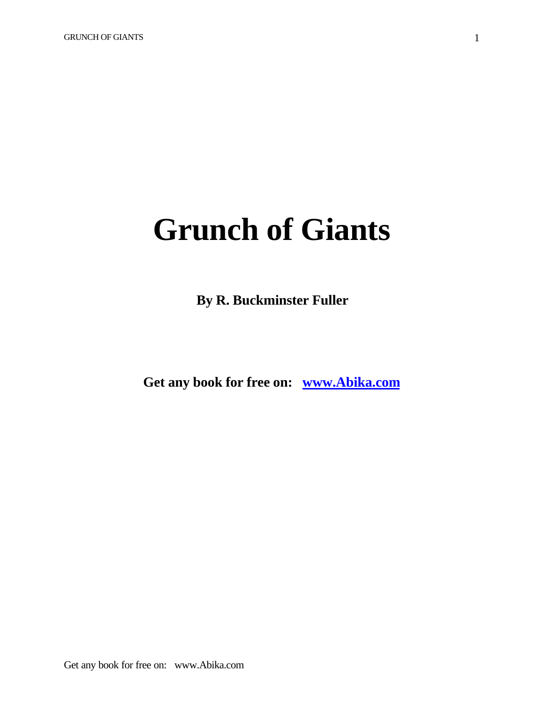# **Grunch of Giants**

**By R. Buckminster Fuller**

**Get any book for free on: www.Abika.com**

Get any book for free on: www.Abika.com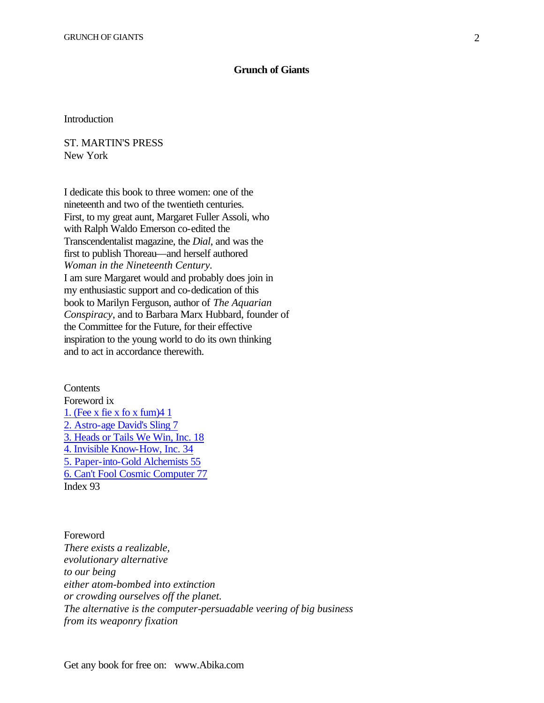#### **Grunch of Giants**

**Introduction** 

ST. MARTIN'S PRESS New York

I dedicate this book to three women: one of the nineteenth and two of the twentieth centuries. First, to my great aunt, Margaret Fuller Assoli, who with Ralph Waldo Emerson co-edited the Transcendentalist magazine, the *Dial*, and was the first to publish Thoreau—and herself authored *Woman in the Nineteenth Century.* I am sure Margaret would and probably does join in my enthusiastic support and co-dedication of this book to Marilyn Ferguson, author of *The Aquarian Conspiracy*, and to Barbara Marx Hubbard, founder of the Committee for the Future, for their effective inspiration to the young world to do its own thinking and to act in accordance therewith.

**Contents** Foreword ix 1. (Fee x fie x fo x fum)4 1 2. Astro-age David's Sling 7 3. Heads or Tails We Win, Inc. 18 4. Invisible Know-How, Inc. 34 5. Paper-into-Gold Alchemists 55 6. Can't Fool Cosmic Computer 77 Index 93

Foreword *There exists a realizable, evolutionary alternative to our being either atom-bombed into extinction or crowding ourselves off the planet. The alternative is the computer-persuadable veering of big business from its weaponry fixation*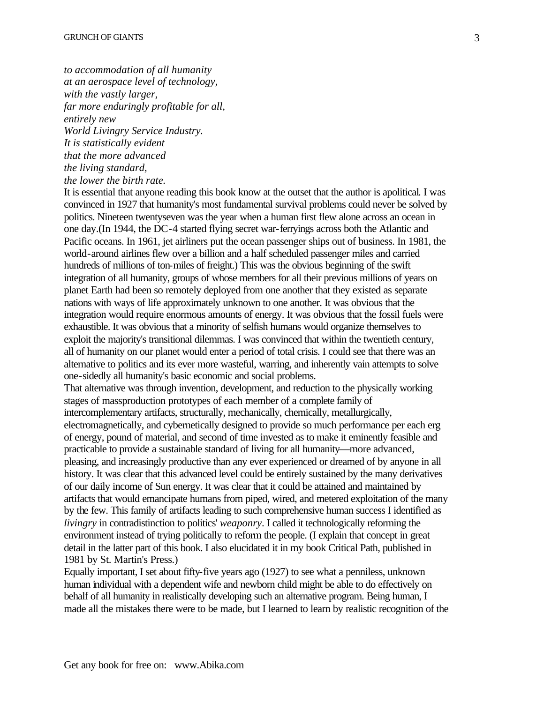*to accommodation of all humanity at an aerospace level of technology, with the vastly larger, far more enduringly profitable for all, entirely new World Livingry Service Industry. It is statistically evident that the more advanced the living standard, the lower the birth rate.*

It is essential that anyone reading this book know at the outset that the author is apolitical. I was convinced in 1927 that humanity's most fundamental survival problems could never be solved by politics. Nineteen twentyseven was the year when a human first flew alone across an ocean in one day.(In 1944, the DC-4 started flying secret war-ferryings across both the Atlantic and Pacific oceans. In 1961, jet airliners put the ocean passenger ships out of business. In 1981, the world-around airlines flew over a billion and a half scheduled passenger miles and carried hundreds of millions of ton-miles of freight.) This was the obvious beginning of the swift integration of all humanity, groups of whose members for all their previous millions of years on planet Earth had been so remotely deployed from one another that they existed as separate nations with ways of life approximately unknown to one another. It was obvious that the integration would require enormous amounts of energy. It was obvious that the fossil fuels were exhaustible. It was obvious that a minority of selfish humans would organize themselves to exploit the majority's transitional dilemmas. I was convinced that within the twentieth century, all of humanity on our planet would enter a period of total crisis. I could see that there was an alternative to politics and its ever more wasteful, warring, and inherently vain attempts to solve one-sidedly all humanity's basic economic and social problems.

That alternative was through invention, development, and reduction to the physically working stages of massproduction prototypes of each member of a complete family of intercomplementary artifacts, structurally, mechanically, chemically, metallurgically, electromagnetically, and cybernetically designed to provide so much performance per each erg of energy, pound of material, and second of time invested as to make it eminently feasible and practicable to provide a sustainable standard of living for all humanity—more advanced, pleasing, and increasingly productive than any ever experienced or dreamed of by anyone in all history. It was clear that this advanced level could be entirely sustained by the many derivatives of our daily income of Sun energy. It was clear that it could be attained and maintained by artifacts that would emancipate humans from piped, wired, and metered exploitation of the many by the few. This family of artifacts leading to such comprehensive human success I identified as *livingry* in contradistinction to politics' *weaponry*. I called it technologically reforming the environment instead of trying politically to reform the people. (I explain that concept in great detail in the latter part of this book. I also elucidated it in my book Critical Path, published in 1981 by St. Martin's Press.)

Equally important, I set about fifty-five years ago (1927) to see what a penniless, unknown human individual with a dependent wife and newborn child might be able to do effectively on behalf of all humanity in realistically developing such an alternative program. Being human, I made all the mistakes there were to be made, but I learned to learn by realistic recognition of the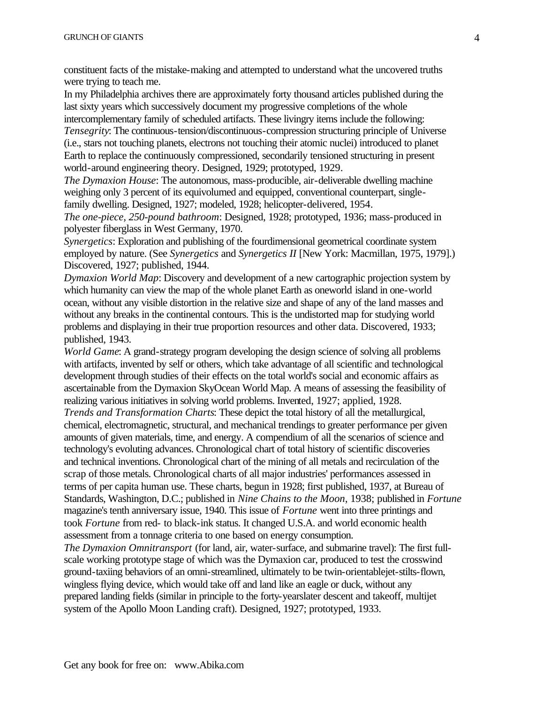constituent facts of the mistake-making and attempted to understand what the uncovered truths were trying to teach me.

In my Philadelphia archives there are approximately forty thousand articles published during the last sixty years which successively document my progressive completions of the whole

intercomplementary family of scheduled artifacts. These livingry items include the following: *Tensegrity*: The continuous-tension/discontinuous-compression structuring principle of Universe (i.e., stars not touching planets, electrons not touching their atomic nuclei) introduced to planet Earth to replace the continuously compressioned, secondarily tensioned structuring in present world-around engineering theory. Designed, 1929; prototyped, 1929.

*The Dymaxion House*: The autonomous, mass-producible, air-deliverable dwelling machine weighing only 3 percent of its equivolumed and equipped, conventional counterpart, singlefamily dwelling. Designed, 1927; modeled, 1928; helicopter-delivered, 1954.

*The one-piece, 250-pound bathroom*: Designed, 1928; prototyped, 1936; mass-produced in polyester fiberglass in West Germany, 1970.

*Synergetics*: Exploration and publishing of the fourdimensional geometrical coordinate system employed by nature. (See *Synergetics* and *Synergetics II* [New York: Macmillan, 1975, 1979].) Discovered, 1927; published, 1944.

*Dymaxion World Map*: Discovery and development of a new cartographic projection system by which humanity can view the map of the whole planet Earth as oneworld island in one-world ocean, without any visible distortion in the relative size and shape of any of the land masses and without any breaks in the continental contours. This is the undistorted map for studying world problems and displaying in their true proportion resources and other data. Discovered, 1933; published, 1943.

*World Game*: A grand-strategy program developing the design science of solving all problems with artifacts, invented by self or others, which take advantage of all scientific and technological development through studies of their effects on the total world's social and economic affairs as ascertainable from the Dymaxion SkyOcean World Map. A means of assessing the feasibility of realizing various initiatives in solving world problems. Invented, 1927; applied, 1928.

*Trends and Transformation Charts*: These depict the total history of all the metallurgical, chemical, electromagnetic, structural, and mechanical trendings to greater performance per given amounts of given materials, time, and energy. A compendium of all the scenarios of science and technology's evoluting advances. Chronological chart of total history of scientific discoveries and technical inventions. Chronological chart of the mining of all metals and recirculation of the scrap of those metals. Chronological charts of all major industries' performances assessed in terms of per capita human use. These charts, begun in 1928; first published, 1937, at Bureau of Standards, Washington, D.C.; published in *Nine Chains to the Moon*, 1938; published in *Fortune* magazine's tenth anniversary issue, 1940. This issue of *Fortune* went into three printings and took *Fortune* from red- to black-ink status. It changed U.S.A. and world economic health assessment from a tonnage criteria to one based on energy consumption.

*The Dymaxion Omnitransport* (for land, air, water-surface, and submarine travel): The first fullscale working prototype stage of which was the Dymaxion car, produced to test the crosswind ground-taxiing behaviors of an omni-streamlined, ultimately to be twin-orientablejet-stilts-flown, wingless flying device, which would take off and land like an eagle or duck, without any prepared landing fields (similar in principle to the forty-yearslater descent and takeoff, multijet system of the Apollo Moon Landing craft). Designed, 1927; prototyped, 1933.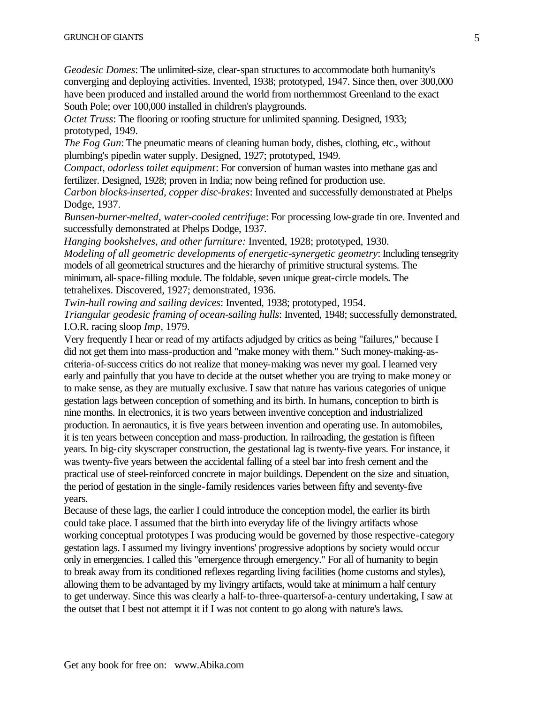*Geodesic Domes*: The unlimited-size, clear-span structures to accommodate both humanity's converging and deploying activities. Invented, 1938; prototyped, 1947. Since then, over 300,000 have been produced and installed around the world from northernmost Greenland to the exact South Pole; over 100,000 installed in children's playgrounds.

*Octet Truss*: The flooring or roofing structure for unlimited spanning. Designed, 1933; prototyped, 1949.

*The Fog Gun*: The pneumatic means of cleaning human body, dishes, clothing, etc., without plumbing's pipedin water supply. Designed, 1927; prototyped, 1949.

*Compact, odorless toilet equipment*: For conversion of human wastes into methane gas and fertilizer. Designed, 1928; proven in India; now being refined for production use.

*Carbon blocks-inserted, copper disc-brakes*: Invented and successfully demonstrated at Phelps Dodge, 1937.

*Bunsen-burner-melted, water-cooled centrifuge*: For processing low-grade tin ore. Invented and successfully demonstrated at Phelps Dodge, 1937.

*Hanging bookshelves, and other furniture:* Invented, 1928; prototyped, 1930.

*Modeling of all geometric developments of energetic-synergetic geometry*: Including tensegrity models of all geometrical structures and the hierarchy of primitive structural systems. The minimum, all-space-filling module. The foldable, seven unique great-circle models. The tetrahelixes. Discovered, 1927; demonstrated, 1936.

*Twin-hull rowing and sailing devices*: Invented, 1938; prototyped, 1954.

*Triangular geodesic framing of ocean-sailing hulls*: Invented, 1948; successfully demonstrated, I.O.R. racing sloop *Imp*, 1979.

Very frequently I hear or read of my artifacts adjudged by critics as being "failures," because I did not get them into mass-production and "make money with them." Such money-making-ascriteria-of-success critics do not realize that money-making was never my goal. I learned very early and painfully that you have to decide at the outset whether you are trying to make money or to make sense, as they are mutually exclusive. I saw that nature has various categories of unique gestation lags between conception of something and its birth. In humans, conception to birth is nine months. In electronics, it is two years between inventive conception and industrialized production. In aeronautics, it is five years between invention and operating use. In automobiles, it is ten years between conception and mass-production. In railroading, the gestation is fifteen years. In big-city skyscraper construction, the gestational lag is twenty-five years. For instance, it was twenty-five years between the accidental falling of a steel bar into fresh cement and the practical use of steel-reinforced concrete in major buildings. Dependent on the size and situation, the period of gestation in the single-family residences varies between fifty and seventy-five years.

Because of these lags, the earlier I could introduce the conception model, the earlier its birth could take place. I assumed that the birth into everyday life of the livingry artifacts whose working conceptual prototypes I was producing would be governed by those respective-category gestation lags. I assumed my livingry inventions' progressive adoptions by society would occur only in emergencies. I called this "emergence through emergency." For all of humanity to begin to break away from its conditioned reflexes regarding living facilities (home customs and styles), allowing them to be advantaged by my livingry artifacts, would take at minimum a half century to get underway. Since this was clearly a half-to-three-quartersof-a-century undertaking, I saw at the outset that I best not attempt it if I was not content to go along with nature's laws.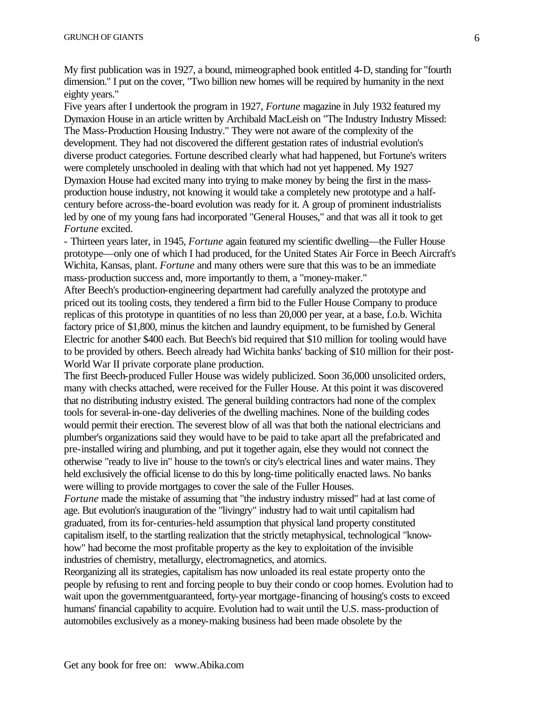My first publication was in 1927, a bound, mimeographed book entitled 4-D, standing for "fourth dimension." I put on the cover, "Two billion new homes will be required by humanity in the next eighty years."

Five years after I undertook the program in 1927, *Fortune* magazine in July 1932 featured my Dymaxion House in an article written by Archibald MacLeish on "The Industry Industry Missed: The Mass-Production Housing Industry." They were not aware of the complexity of the development. They had not discovered the different gestation rates of industrial evolution's diverse product categories. Fortune described clearly what had happened, but Fortune's writers were completely unschooled in dealing with that which had not yet happened. My 1927 Dymaxion House had excited many into trying to make money by being the first in the massproduction house industry, not knowing it would take a completely new prototype and a halfcentury before across-the-board evolution was ready for it. A group of prominent industrialists led by one of my young fans had incorporated "General Houses," and that was all it took to get *Fortune* excited.

- Thirteen years later, in 1945, *Fortune* again featured my scientific dwelling—the Fuller House prototype—only one of which I had produced, for the United States Air Force in Beech Aircraft's Wichita, Kansas, plant. *Fortune* and many others were sure that this was to be an immediate mass-production success and, more importantly to them, a "money-maker."

After Beech's production-engineering department had carefully analyzed the prototype and priced out its tooling costs, they tendered a firm bid to the Fuller House Company to produce replicas of this prototype in quantities of no less than 20,000 per year, at a base, f.o.b. Wichita factory price of \$1,800, minus the kitchen and laundry equipment, to be furnished by General Electric for another \$400 each. But Beech's bid required that \$10 million for tooling would have to be provided by others. Beech already had Wichita banks' backing of \$10 million for their post-World War II private corporate plane production.

The first Beech-produced Fuller House was widely publicized. Soon 36,000 unsolicited orders, many with checks attached, were received for the Fuller House. At this point it was discovered that no distributing industry existed. The general building contractors had none of the complex tools for several-in-one-day deliveries of the dwelling machines. None of the building codes would permit their erection. The severest blow of all was that both the national electricians and plumber's organizations said they would have to be paid to take apart all the prefabricated and pre-installed wiring and plumbing, and put it together again, else they would not connect the otherwise "ready to live in" house to the town's or city's electrical lines and water mains. They held exclusively the official license to do this by long-time politically enacted laws. No banks were willing to provide mortgages to cover the sale of the Fuller Houses.

*Fortune* made the mistake of assuming that "the industry industry missed" had at last come of age. But evolution's inauguration of the "livingry" industry had to wait until capitalism had graduated, from its for-centuries-held assumption that physical land property constituted capitalism itself, to the startling realization that the strictly metaphysical, technological "knowhow" had become the most profitable property as the key to exploitation of the invisible industries of chemistry, metallurgy, electromagnetics, and atomics.

Reorganizing all its strategies, capitalism has now unloaded its real estate property onto the people by refusing to rent and forcing people to buy their condo or coop homes. Evolution had to wait upon the governmentguaranteed, forty-year mortgage-financing of housing's costs to exceed humans' financial capability to acquire. Evolution had to wait until the U.S. mass-production of automobiles exclusively as a money-making business had been made obsolete by the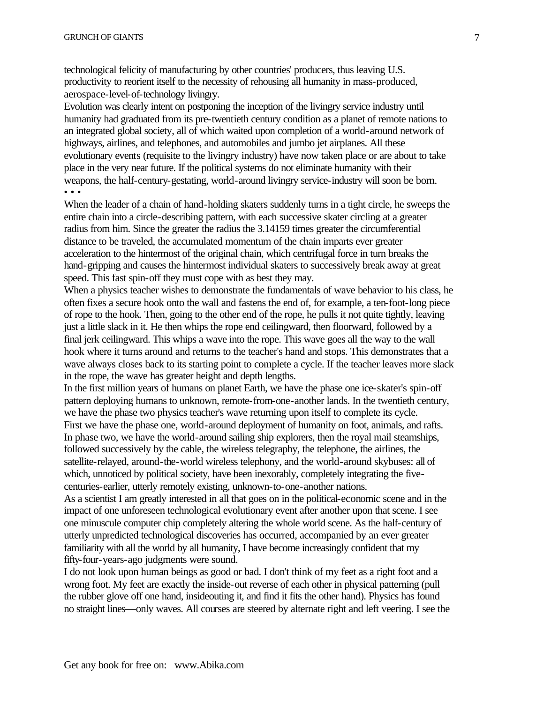technological felicity of manufacturing by other countries' producers, thus leaving U.S. productivity to reorient itself to the necessity of rehousing all humanity in mass-produced, aerospace-level-of-technology livingry.

Evolution was clearly intent on postponing the inception of the livingry service industry until humanity had graduated from its pre-twentieth century condition as a planet of remote nations to an integrated global society, all of which waited upon completion of a world-around network of highways, airlines, and telephones, and automobiles and jumbo jet airplanes. All these evolutionary events (requisite to the livingry industry) have now taken place or are about to take place in the very near future. If the political systems do not eliminate humanity with their weapons, the half-century-gestating, world-around livingry service-industry will soon be born. • • •

When the leader of a chain of hand-holding skaters suddenly turns in a tight circle, he sweeps the entire chain into a circle-describing pattern, with each successive skater circling at a greater radius from him. Since the greater the radius the 3.14159 times greater the circumferential distance to be traveled, the accumulated momentum of the chain imparts ever greater acceleration to the hintermost of the original chain, which centrifugal force in turn breaks the hand-gripping and causes the hintermost individual skaters to successively break away at great speed. This fast spin-off they must cope with as best they may.

When a physics teacher wishes to demonstrate the fundamentals of wave behavior to his class, he often fixes a secure hook onto the wall and fastens the end of, for example, a ten-foot-long piece of rope to the hook. Then, going to the other end of the rope, he pulls it not quite tightly, leaving just a little slack in it. He then whips the rope end ceilingward, then floorward, followed by a final jerk ceilingward. This whips a wave into the rope. This wave goes all the way to the wall hook where it turns around and returns to the teacher's hand and stops. This demonstrates that a wave always closes back to its starting point to complete a cycle. If the teacher leaves more slack in the rope, the wave has greater height and depth lengths.

In the first million years of humans on planet Earth, we have the phase one ice-skater's spin-off pattern deploying humans to unknown, remote-from-one-another lands. In the twentieth century, we have the phase two physics teacher's wave returning upon itself to complete its cycle. First we have the phase one, world-around deployment of humanity on foot, animals, and rafts. In phase two, we have the world-around sailing ship explorers, then the royal mail steamships, followed successively by the cable, the wireless telegraphy, the telephone, the airlines, the satellite-relayed, around-the-world wireless telephony, and the world-around skybuses: all of which, unnoticed by political society, have been inexorably, completely integrating the five-

centuries-earlier, utterly remotely existing, unknown-to-one-another nations.

As a scientist I am greatly interested in all that goes on in the political-economic scene and in the impact of one unforeseen technological evolutionary event after another upon that scene. I see one minuscule computer chip completely altering the whole world scene. As the half-century of utterly unpredicted technological discoveries has occurred, accompanied by an ever greater familiarity with all the world by all humanity, I have become increasingly confident that my fifty-four-years-ago judgments were sound.

I do not look upon human beings as good or bad. I don't think of my feet as a right foot and a wrong foot. My feet are exactly the inside-out reverse of each other in physical patterning (pull the rubber glove off one hand, insideouting it, and find it fits the other hand). Physics has found no straight lines—only waves. All courses are steered by alternate right and left veering. I see the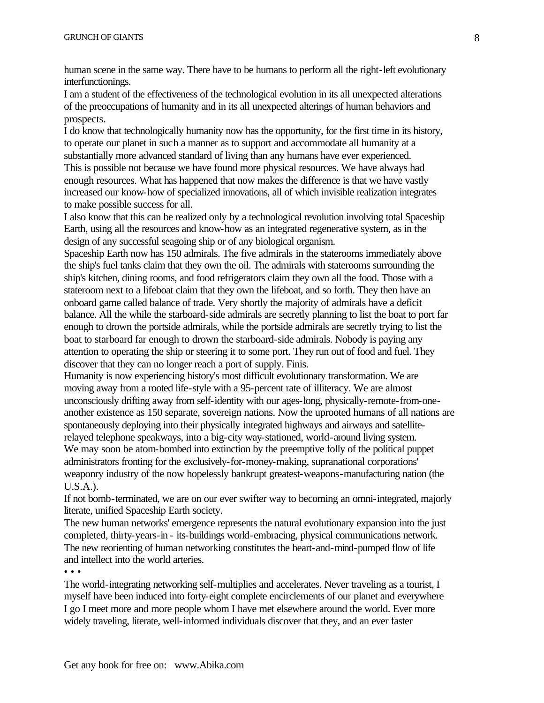human scene in the same way. There have to be humans to perform all the right-left evolutionary interfunctionings.

I am a student of the effectiveness of the technological evolution in its all unexpected alterations of the preoccupations of humanity and in its all unexpected alterings of human behaviors and prospects.

I do know that technologically humanity now has the opportunity, for the first time in its history, to operate our planet in such a manner as to support and accommodate all humanity at a substantially more advanced standard of living than any humans have ever experienced. This is possible not because we have found more physical resources. We have always had enough resources. What has happened that now makes the difference is that we have vastly increased our know-how of specialized innovations, all of which invisible realization integrates to make possible success for all.

I also know that this can be realized only by a technological revolution involving total Spaceship Earth, using all the resources and know-how as an integrated regenerative system, as in the design of any successful seagoing ship or of any biological organism.

Spaceship Earth now has 150 admirals. The five admirals in the staterooms immediately above the ship's fuel tanks claim that they own the oil. The admirals with staterooms surrounding the ship's kitchen, dining rooms, and food refrigerators claim they own all the food. Those with a stateroom next to a lifeboat claim that they own the lifeboat, and so forth. They then have an onboard game called balance of trade. Very shortly the majority of admirals have a deficit balance. All the while the starboard-side admirals are secretly planning to list the boat to port far enough to drown the portside admirals, while the portside admirals are secretly trying to list the boat to starboard far enough to drown the starboard-side admirals. Nobody is paying any attention to operating the ship or steering it to some port. They run out of food and fuel. They discover that they can no longer reach a port of supply. Finis.

Humanity is now experiencing history's most difficult evolutionary transformation. We are moving away from a rooted life-style with a 95-percent rate of illiteracy. We are almost unconsciously drifting away from self-identity with our ages-long, physically-remote-from-oneanother existence as 150 separate, sovereign nations. Now the uprooted humans of all nations are spontaneously deploying into their physically integrated highways and airways and satelliterelayed telephone speakways, into a big-city way-stationed, world-around living system. We may soon be atom-bombed into extinction by the preemptive folly of the political puppet administrators fronting for the exclusively-for-money-making, supranational corporations' weaponry industry of the now hopelessly bankrupt greatest-weapons-manufacturing nation (the U.S.A.).

If not bomb-terminated, we are on our ever swifter way to becoming an omni-integrated, majorly literate, unified Spaceship Earth society.

The new human networks' emergence represents the natural evolutionary expansion into the just completed, thirty-years-in - its-buildings world-embracing, physical communications network. The new reorienting of human networking constitutes the heart-and-mind-pumped flow of life and intellect into the world arteries.

• • •

The world-integrating networking self-multiplies and accelerates. Never traveling as a tourist, I myself have been induced into forty-eight complete encirclements of our planet and everywhere I go I meet more and more people whom I have met elsewhere around the world. Ever more widely traveling, literate, well-informed individuals discover that they, and an ever faster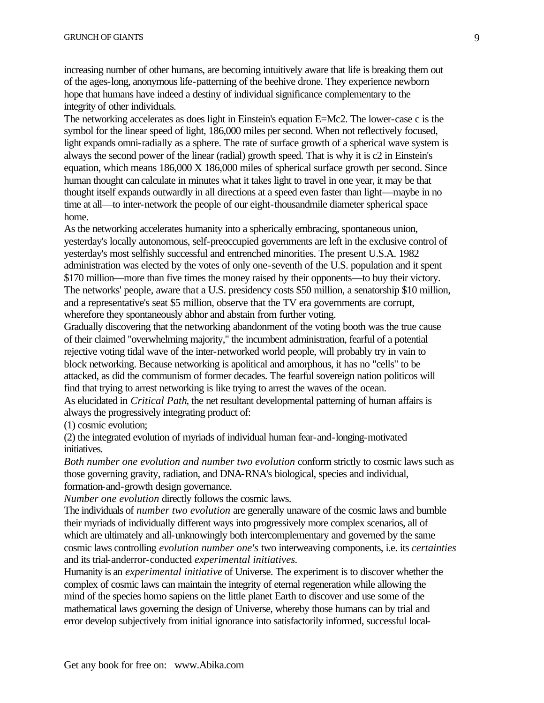increasing number of other humans, are becoming intuitively aware that life is breaking them out of the ages-long, anonymous life-patterning of the beehive drone. They experience newborn hope that humans have indeed a destiny of individual significance complementary to the integrity of other individuals.

The networking accelerates as does light in Einstein's equation E=Mc2. The lower-case c is the symbol for the linear speed of light, 186,000 miles per second. When not reflectively focused, light expands omni-radially as a sphere. The rate of surface growth of a spherical wave system is always the second power of the linear (radial) growth speed. That is why it is c2 in Einstein's equation, which means 186,000 X 186,000 miles of spherical surface growth per second. Since human thought can calculate in minutes what it takes light to travel in one year, it may be that thought itself expands outwardly in all directions at a speed even faster than light—maybe in no time at all—to inter-network the people of our eight-thousandmile diameter spherical space home.

As the networking accelerates humanity into a spherically embracing, spontaneous union, yesterday's locally autonomous, self-preoccupied governments are left in the exclusive control of yesterday's most selfishly successful and entrenched minorities. The present U.S.A. 1982 administration was elected by the votes of only one-seventh of the U.S. population and it spent \$170 million—more than five times the money raised by their opponents—to buy their victory. The networks' people, aware that a U.S. presidency costs \$50 million, a senatorship \$10 million, and a representative's seat \$5 million, observe that the TV era governments are corrupt, wherefore they spontaneously abhor and abstain from further voting.

Gradually discovering that the networking abandonment of the voting booth was the true cause of their claimed "overwhelming majority," the incumbent administration, fearful of a potential rejective voting tidal wave of the inter-networked world people, will probably try in vain to block networking. Because networking is apolitical and amorphous, it has no "cells" to be attacked, as did the communism of former decades. The fearful sovereign nation politicos will find that trying to arrest networking is like trying to arrest the waves of the ocean.

As elucidated in *Critical Path*, the net resultant developmental patterning of human affairs is always the progressively integrating product of:

(1) cosmic evolution;

(2) the integrated evolution of myriads of individual human fear-and-longing-motivated initiatives.

*Both number one evolution and number two evolution* conform strictly to cosmic laws such as those governing gravity, radiation, and DNA-RNA's biological, species and individual, formation-and-growth design governance.

*Number one evolution* directly follows the cosmic laws.

The individuals of *number two evolution* are generally unaware of the cosmic laws and bumble their myriads of individually different ways into progressively more complex scenarios, all of which are ultimately and all-unknowingly both intercomplementary and governed by the same cosmic laws controlling *evolution number one's* two interweaving components, i.e. its *certainties* and its trial-anderror-conducted *experimental initiatives.*

Humanity is an *experimental initiative* of Universe. The experiment is to discover whether the complex of cosmic laws can maintain the integrity of eternal regeneration while allowing the mind of the species homo sapiens on the little planet Earth to discover and use some of the mathematical laws governing the design of Universe, whereby those humans can by trial and error develop subjectively from initial ignorance into satisfactorily informed, successful local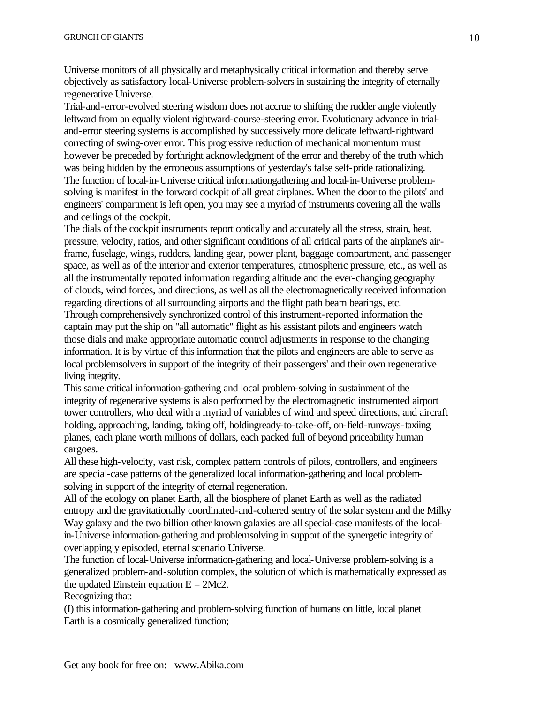Universe monitors of all physically and metaphysically critical information and thereby serve objectively as satisfactory local-Universe problem-solvers in sustaining the integrity of eternally regenerative Universe.

Trial-and-error-evolved steering wisdom does not accrue to shifting the rudder angle violently leftward from an equally violent rightward-course-steering error. Evolutionary advance in trialand-error steering systems is accomplished by successively more delicate leftward-rightward correcting of swing-over error. This progressive reduction of mechanical momentum must however be preceded by forthright acknowledgment of the error and thereby of the truth which was being hidden by the erroneous assumptions of yesterday's false self-pride rationalizing. The function of local-in-Universe critical informationgathering and local-in-Universe problemsolving is manifest in the forward cockpit of all great airplanes. When the door to the pilots' and engineers' compartment is left open, you may see a myriad of instruments covering all the walls and ceilings of the cockpit.

The dials of the cockpit instruments report optically and accurately all the stress, strain, heat, pressure, velocity, ratios, and other significant conditions of all critical parts of the airplane's airframe, fuselage, wings, rudders, landing gear, power plant, baggage compartment, and passenger space, as well as of the interior and exterior temperatures, atmospheric pressure, etc., as well as all the instrumentally reported information regarding altitude and the ever-changing geography of clouds, wind forces, and directions, as well as all the electromagnetically received information regarding directions of all surrounding airports and the flight path beam bearings, etc.

Through comprehensively synchronized control of this instrument-reported information the captain may put the ship on "all automatic" flight as his assistant pilots and engineers watch those dials and make appropriate automatic control adjustments in response to the changing information. It is by virtue of this information that the pilots and engineers are able to serve as local problemsolvers in support of the integrity of their passengers' and their own regenerative living integrity.

This same critical information-gathering and local problem-solving in sustainment of the integrity of regenerative systems is also performed by the electromagnetic instrumented airport tower controllers, who deal with a myriad of variables of wind and speed directions, and aircraft holding, approaching, landing, taking off, holdingready-to-take-off, on-field-runways-taxiing planes, each plane worth millions of dollars, each packed full of beyond priceability human cargoes.

All these high-velocity, vast risk, complex pattern controls of pilots, controllers, and engineers are special-case patterns of the generalized local information-gathering and local problemsolving in support of the integrity of eternal regeneration.

All of the ecology on planet Earth, all the biosphere of planet Earth as well as the radiated entropy and the gravitationally coordinated-and-cohered sentry of the solar system and the Milky Way galaxy and the two billion other known galaxies are all special-case manifests of the localin-Universe information-gathering and problemsolving in support of the synergetic integrity of overlappingly episoded, eternal scenario Universe.

The function of local-Universe information-gathering and local-Universe problem-solving is a generalized problem-and-solution complex, the solution of which is mathematically expressed as the updated Einstein equation  $E = 2Mc2$ .

Recognizing that:

(I) this information-gathering and problem-solving function of humans on little, local planet Earth is a cosmically generalized function;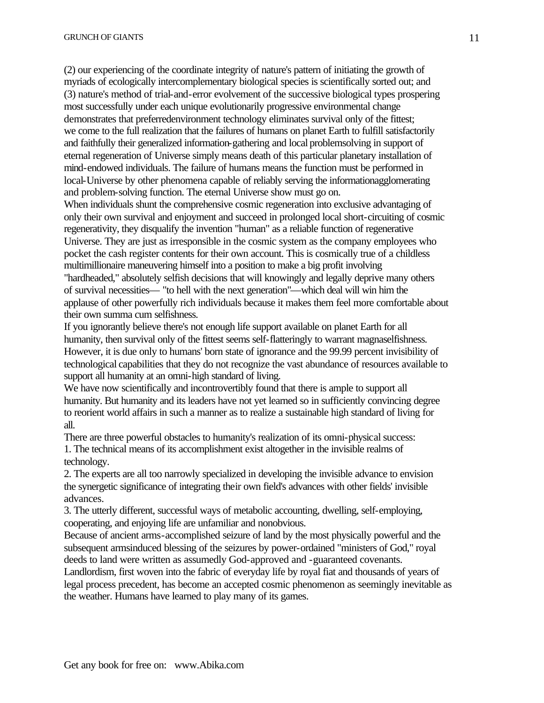(2) our experiencing of the coordinate integrity of nature's pattern of initiating the growth of myriads of ecologically intercomplementary biological species is scientifically sorted out; and (3) nature's method of trial-and-error evolvement of the successive biological types prospering most successfully under each unique evolutionarily progressive environmental change demonstrates that preferredenvironment technology eliminates survival only of the fittest; we come to the full realization that the failures of humans on planet Earth to fulfill satisfactorily and faithfully their generalized information-gathering and local problemsolving in support of eternal regeneration of Universe simply means death of this particular planetary installation of mind-endowed individuals. The failure of humans means the function must be performed in local-Universe by other phenomena capable of reliably serving the informationagglomerating and problem-solving function. The eternal Universe show must go on.

When individuals shunt the comprehensive cosmic regeneration into exclusive advantaging of only their own survival and enjoyment and succeed in prolonged local short-circuiting of cosmic regenerativity, they disqualify the invention "human" as a reliable function of regenerative Universe. They are just as irresponsible in the cosmic system as the company employees who pocket the cash register contents for their own account. This is cosmically true of a childless multimillionaire maneuvering himself into a position to make a big profit involving "hardheaded," absolutely selfish decisions that will knowingly and legally deprive many others of survival necessities— "to hell with the next generation"—which deal will win him the applause of other powerfully rich individuals because it makes them feel more comfortable about their own summa cum selfishness.

If you ignorantly believe there's not enough life support available on planet Earth for all humanity, then survival only of the fittest seems self-flatteringly to warrant magnaselfishness. However, it is due only to humans' born state of ignorance and the 99.99 percent invisibility of technological capabilities that they do not recognize the vast abundance of resources available to support all humanity at an omni-high standard of living.

We have now scientifically and incontrovertibly found that there is ample to support all humanity. But humanity and its leaders have not yet learned so in sufficiently convincing degree to reorient world affairs in such a manner as to realize a sustainable high standard of living for all.

There are three powerful obstacles to humanity's realization of its omni-physical success: 1. The technical means of its accomplishment exist altogether in the invisible realms of technology.

2. The experts are all too narrowly specialized in developing the invisible advance to envision the synergetic significance of integrating their own field's advances with other fields' invisible advances.

3. The utterly different, successful ways of metabolic accounting, dwelling, self-employing, cooperating, and enjoying life are unfamiliar and nonobvious.

Because of ancient arms-accomplished seizure of land by the most physically powerful and the subsequent armsinduced blessing of the seizures by power-ordained "ministers of God," royal deeds to land were written as assumedly God-approved and -guaranteed covenants.

Landlordism, first woven into the fabric of everyday life by royal fiat and thousands of years of legal process precedent, has become an accepted cosmic phenomenon as seemingly inevitable as the weather. Humans have learned to play many of its games.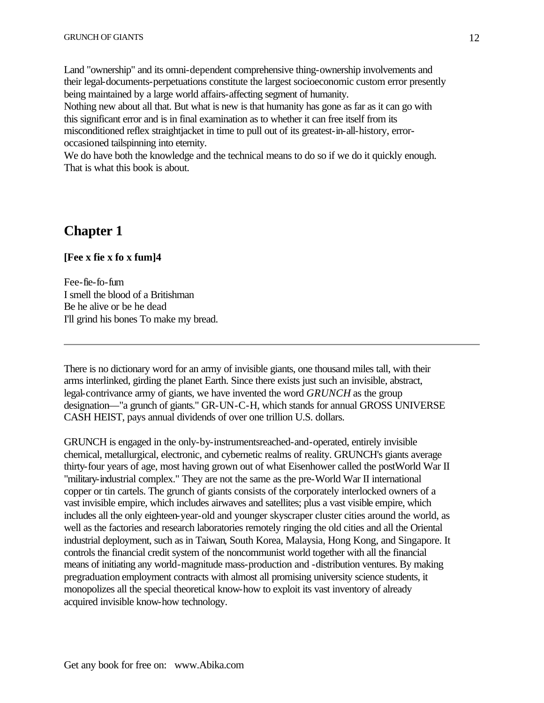Land "ownership" and its omni-dependent comprehensive thing-ownership involvements and their legal-documents-perpetuations constitute the largest socioeconomic custom error presently being maintained by a large world affairs-affecting segment of humanity.

Nothing new about all that. But what is new is that humanity has gone as far as it can go with this significant error and is in final examination as to whether it can free itself from its misconditioned reflex straightjacket in time to pull out of its greatest-in-all-history, erroroccasioned tailspinning into eternity.

We do have both the knowledge and the technical means to do so if we do it quickly enough. That is what this book is about.

# **Chapter 1**

## **[Fee x fie x fo x fum]4**

Fee-fie-fo-fum I smell the blood of a Britishman Be he alive or be he dead I'll grind his bones To make my bread.

There is no dictionary word for an army of invisible giants, one thousand miles tall, with their arms interlinked, girding the planet Earth. Since there exists just such an invisible, abstract, legal-contrivance army of giants, we have invented the word *GRUNCH* as the group designation—"a grunch of giants." GR-UN-C-H, which stands for annual GROSS UNIVERSE CASH HEIST, pays annual dividends of over one trillion U.S. dollars.

GRUNCH is engaged in the only-by-instrumentsreached-and-operated, entirely invisible chemical, metallurgical, electronic, and cybernetic realms of reality. GRUNCH's giants average thirty-four years of age, most having grown out of what Eisenhower called the postWorld War II "military-industrial complex." They are not the same as the pre-World War II international copper or tin cartels. The grunch of giants consists of the corporately interlocked owners of a vast invisible empire, which includes airwaves and satellites; plus a vast visible empire, which includes all the only eighteen-year-old and younger skyscraper cluster cities around the world, as well as the factories and research laboratories remotely ringing the old cities and all the Oriental industrial deployment, such as in Taiwan, South Korea, Malaysia, Hong Kong, and Singapore. It controls the financial credit system of the noncommunist world together with all the financial means of initiating any world-magnitude mass-production and -distribution ventures. By making pregraduation employment contracts with almost all promising university science students, it monopolizes all the special theoretical know-how to exploit its vast inventory of already acquired invisible know-how technology.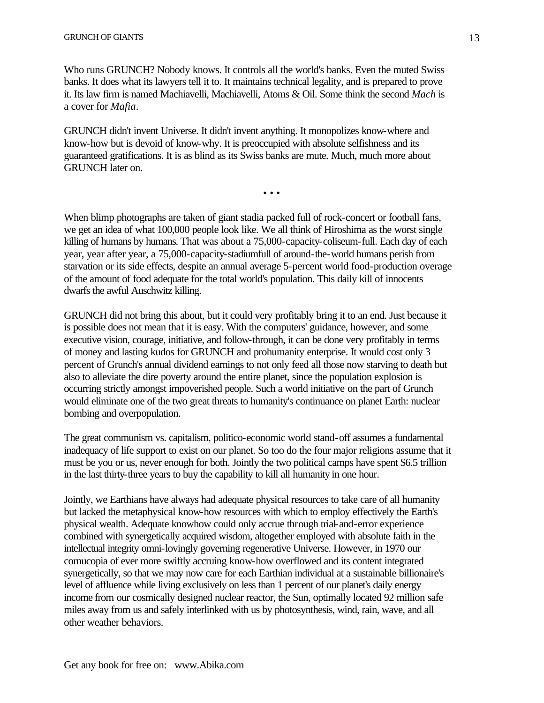Who runs GRUNCH? Nobody knows. It controls all the world's banks. Even the muted Swiss banks. It does what its lawyers tell it to. It maintains technical legality, and is prepared to prove it. Its law firm is named Machiavelli, Machiavelli, Atoms & Oil. Some think the second *Mach* is a cover for *Mafia*.

GRUNCH didn't invent Universe. It didn't invent anything. It monopolizes know-where and know-how but is devoid of know-why. It is preoccupied with absolute selfishness and its guaranteed gratifications. It is as blind as its Swiss banks are mute. Much, much more about GRUNCH later on.

• • •

When blimp photographs are taken of giant stadia packed full of rock-concert or football fans, we get an idea of what 100,000 people look like. We all think of Hiroshima as the worst single killing of humans by humans. That was about a 75,000-capacity-coliseum-full. Each day of each year, year after year, a 75,000-capacity-stadiumfull of around-the-world humans perish from starvation or its side effects, despite an annual average 5-percent world food-production overage of the amount of food adequate for the total world's population. This daily kill of innocents dwarfs the awful Auschwitz killing.

GRUNCH did not bring this about, but it could very profitably bring it to an end. Just because it is possible does not mean that it is easy. With the computers' guidance, however, and some executive vision, courage, initiative, and follow-through, it can be done very profitably in terms of money and lasting kudos for GRUNCH and prohumanity enterprise. It would cost only 3 percent of Grunch's annual dividend earnings to not only feed all those now starving to death but also to alleviate the dire poverty around the entire planet, since the population explosion is occurring strictly amongst impoverished people. Such a world initiative on the part of Grunch would eliminate one of the two great threats to humanity's continuance on planet Earth: nuclear bombing and overpopulation.

The great communism vs. capitalism, politico-economic world stand-off assumes a fundamental inadequacy of life support to exist on our planet. So too do the four major religions assume that it must be you or us, never enough for both. Jointly the two political camps have spent \$6.5 trillion in the last thirty-three years to buy the capability to kill all humanity in one hour.

Jointly, we Earthians have always had adequate physical resources to take care of all humanity but lacked the metaphysical know-how resources with which to employ effectively the Earth's physical wealth. Adequate knowhow could only accrue through trial-and-error experience combined with synergetically acquired wisdom, altogether employed with absolute faith in the intellectual integrity omni-lovingly governing regenerative Universe. However, in 1970 our cornucopia of ever more swiftly accruing know-how overflowed and its content integrated synergetically, so that we may now care for each Earthian individual at a sustainable billionaire's level of affluence while living exclusively on less than 1 percent of our planet's daily energy income from our cosmically designed nuclear reactor, the Sun, optimally located 92 million safe miles away from us and safely interlinked with us by photosynthesis, wind, rain, wave, and all other weather behaviors.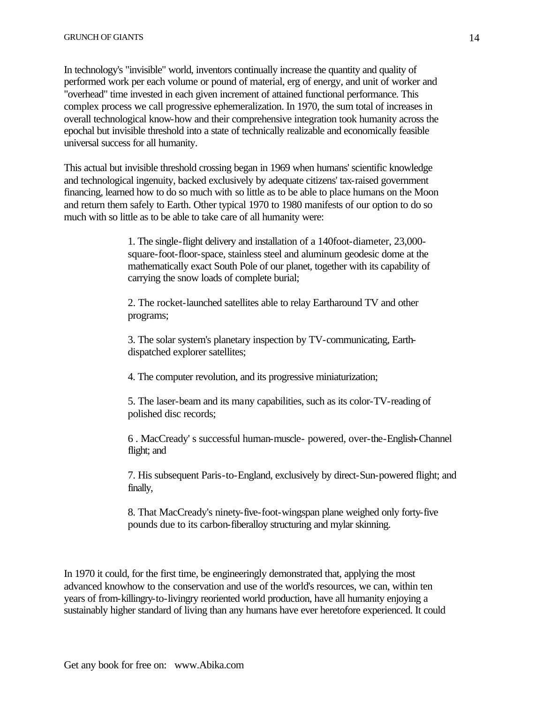In technology's "invisible" world, inventors continually increase the quantity and quality of performed work per each volume or pound of material, erg of energy, and unit of worker and "overhead" time invested in each given increment of attained functional performance. This complex process we call progressive ephemeralization. In 1970, the sum total of increases in overall technological know-how and their comprehensive integration took humanity across the epochal but invisible threshold into a state of technically realizable and economically feasible universal success for all humanity.

This actual but invisible threshold crossing began in 1969 when humans' scientific knowledge and technological ingenuity, backed exclusively by adequate citizens' tax-raised government financing, learned how to do so much with so little as to be able to place humans on the Moon and return them safely to Earth. Other typical 1970 to 1980 manifests of our option to do so much with so little as to be able to take care of all humanity were:

> 1. The single-flight delivery and installation of a 140foot-diameter, 23,000 square-foot-floor-space, stainless steel and aluminum geodesic dome at the mathematically exact South Pole of our planet, together with its capability of carrying the snow loads of complete burial;

2. The rocket-launched satellites able to relay Eartharound TV and other programs;

3. The solar system's planetary inspection by TV-communicating, Earthdispatched explorer satellites;

4. The computer revolution, and its progressive miniaturization;

5. The laser-beam and its many capabilities, such as its color-TV-reading of polished disc records;

6 . MacCready' s successful human-muscle- powered, over-the-English-Channel flight; and

7. His subsequent Paris-to-England, exclusively by direct-Sun-powered flight; and finally,

8. That MacCready's ninety-five-foot-wingspan plane weighed only forty-five pounds due to its carbon-fiberalloy structuring and mylar skinning.

In 1970 it could, for the first time, be engineeringly demonstrated that, applying the most advanced knowhow to the conservation and use of the world's resources, we can, within ten years of from-killingry-to-livingry reoriented world production, have all humanity enjoying a sustainably higher standard of living than any humans have ever heretofore experienced. It could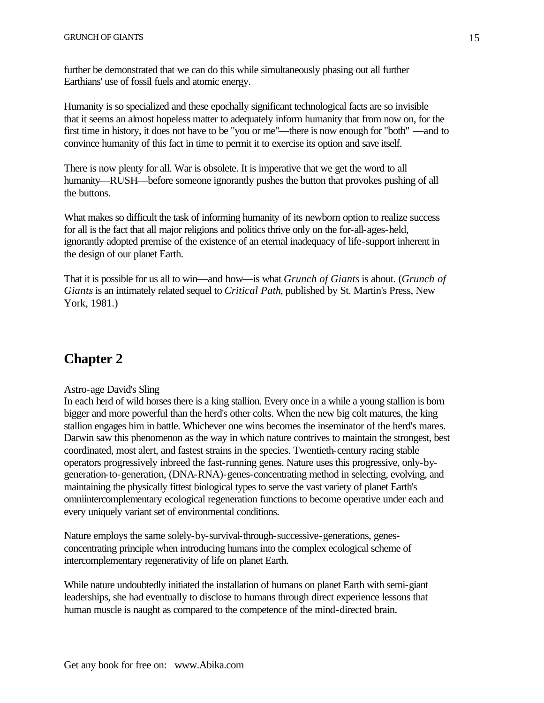further be demonstrated that we can do this while simultaneously phasing out all further Earthians' use of fossil fuels and atomic energy.

Humanity is so specialized and these epochally significant technological facts are so invisible that it seems an almost hopeless matter to adequately inform humanity that from now on, for the first time in history, it does not have to be "you or me"—there is now enough for "both" —and to convince humanity of this fact in time to permit it to exercise its option and save itself.

There is now plenty for all. War is obsolete. It is imperative that we get the word to all humanity—RUSH—before someone ignorantly pushes the button that provokes pushing of all the buttons.

What makes so difficult the task of informing humanity of its newborn option to realize success for all is the fact that all major religions and politics thrive only on the for-all-ages-held, ignorantly adopted premise of the existence of an eternal inadequacy of life-support inherent in the design of our planet Earth.

That it is possible for us all to win—and how—is what *Grunch of Giants* is about. (*Grunch of Giants* is an intimately related sequel to *Critical Path*, published by St. Martin's Press, New York, 1981.)

# **Chapter 2**

Astro-age David's Sling

In each herd of wild horses there is a king stallion. Every once in a while a young stallion is born bigger and more powerful than the herd's other colts. When the new big colt matures, the king stallion engages him in battle. Whichever one wins becomes the inseminator of the herd's mares. Darwin saw this phenomenon as the way in which nature contrives to maintain the strongest, best coordinated, most alert, and fastest strains in the species. Twentieth-century racing stable operators progressively inbreed the fast-running genes. Nature uses this progressive, only-bygeneration-to-generation, (DNA-RNA)-genes-concentrating method in selecting, evolving, and maintaining the physically fittest biological types to serve the vast variety of planet Earth's omniintercomplementary ecological regeneration functions to become operative under each and every uniquely variant set of environmental conditions.

Nature employs the same solely-by-survival-through-successive-generations, genesconcentrating principle when introducing humans into the complex ecological scheme of intercomplementary regenerativity of life on planet Earth.

While nature undoubtedly initiated the installation of humans on planet Earth with semi-giant leaderships, she had eventually to disclose to humans through direct experience lessons that human muscle is naught as compared to the competence of the mind-directed brain.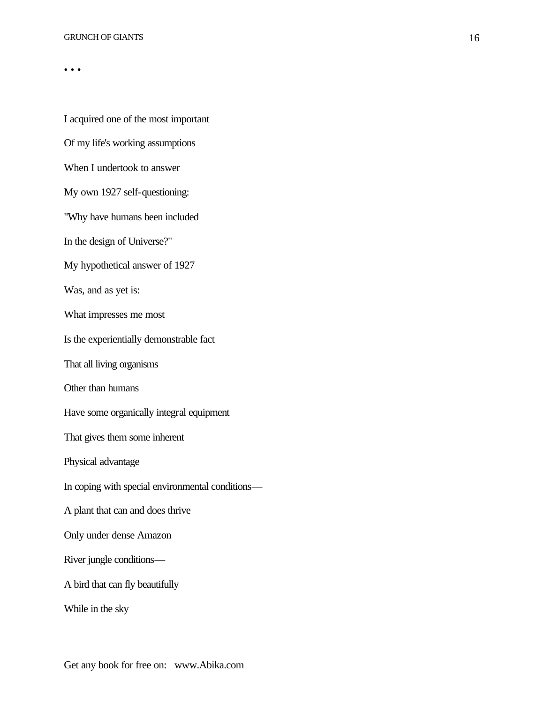• • •

I acquired one of the most important Of my life's working assumptions When I undertook to answer My own 1927 self-questioning: "Why have humans been included In the design of Universe?" My hypothetical answer of 1927 Was, and as yet is: What impresses me most Is the experientially demonstrable fact That all living organisms Other than humans Have some organically integral equipment That gives them some inherent Physical advantage In coping with special environmental conditions— A plant that can and does thrive Only under dense Amazon River jungle conditions— A bird that can fly beautifully While in the sky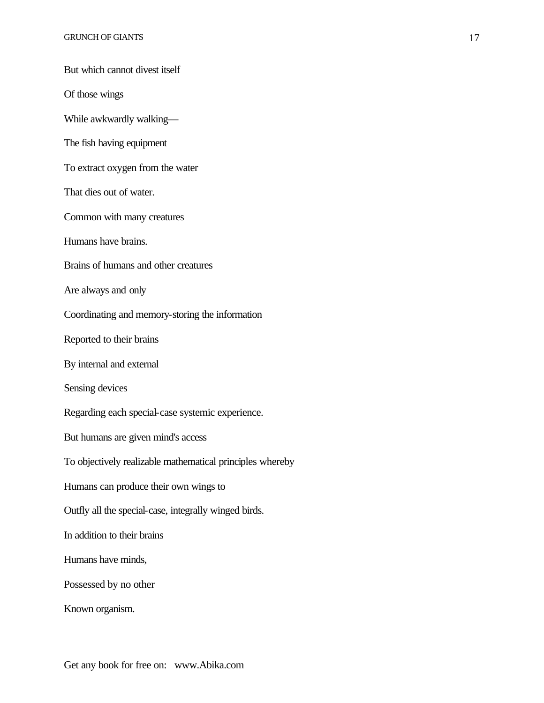| But which cannot divest itself                            |
|-----------------------------------------------------------|
| Of those wings                                            |
| While awkwardly walking-                                  |
| The fish having equipment                                 |
| To extract oxygen from the water                          |
| That dies out of water.                                   |
| Common with many creatures                                |
| Humans have brains.                                       |
| Brains of humans and other creatures                      |
| Are always and only                                       |
| Coordinating and memory-storing the information           |
| Reported to their brains                                  |
| By internal and external                                  |
| Sensing devices                                           |
| Regarding each special-case systemic experience.          |
| But humans are given mind's access                        |
| To objectively realizable mathematical principles whereby |
| Humans can produce their own wings to                     |
| Outfly all the special-case, integrally winged birds.     |
| In addition to their brains                               |
| Humans have minds,                                        |
| Possessed by no other                                     |
| Known organism.                                           |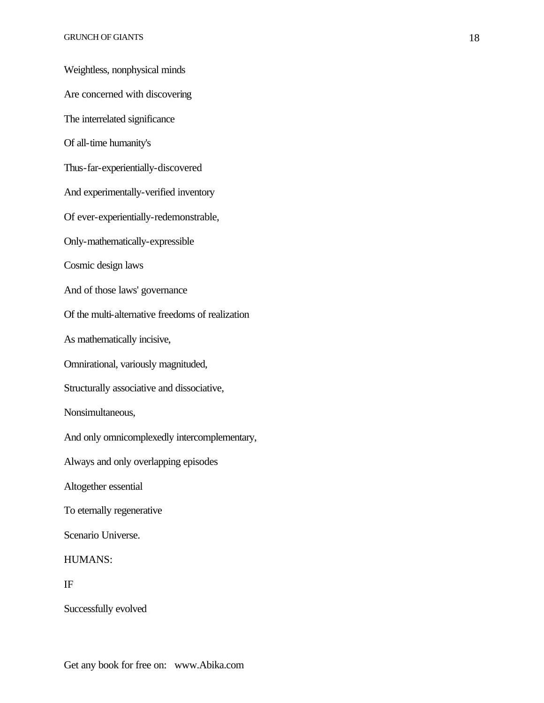Weightless, nonphysical minds Are concerned with discovering The interrelated significance Of all-time humanity's Thus-far-experientially-discovered And experimentally-verified inventory Of ever-experientially-redemonstrable, Only-mathematically-expressible Cosmic design laws And of those laws' governance Of the multi-alternative freedoms of realization As mathematically incisive, Omnirational, variously magnituded, Structurally associative and dissociative, Nonsimultaneous, And only omnicomplexedly intercomplementary, Always and only overlapping episodes Altogether essential To eternally regenerative Scenario Universe. HUMANS: IF Successfully evolved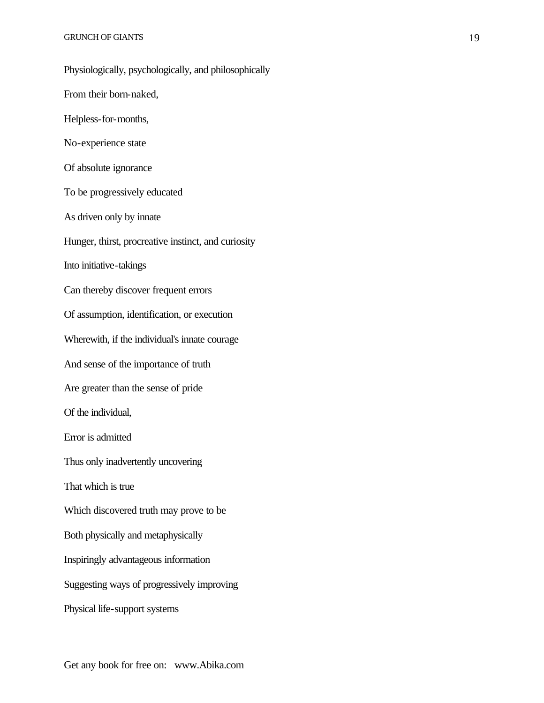Physiologically, psychologically, and philosophically From their born-naked, Helpless-for-months, No-experience state Of absolute ignorance To be progressively educated As driven only by innate Hunger, thirst, procreative instinct, and curiosity Into initiative-takings Can thereby discover frequent errors Of assumption, identification, or execution Wherewith, if the individual's innate courage And sense of the importance of truth Are greater than the sense of pride Of the individual, Error is admitted Thus only inadvertently uncovering That which is true Which discovered truth may prove to be Both physically and metaphysically Inspiringly advantageous information Suggesting ways of progressively improving Physical life-support systems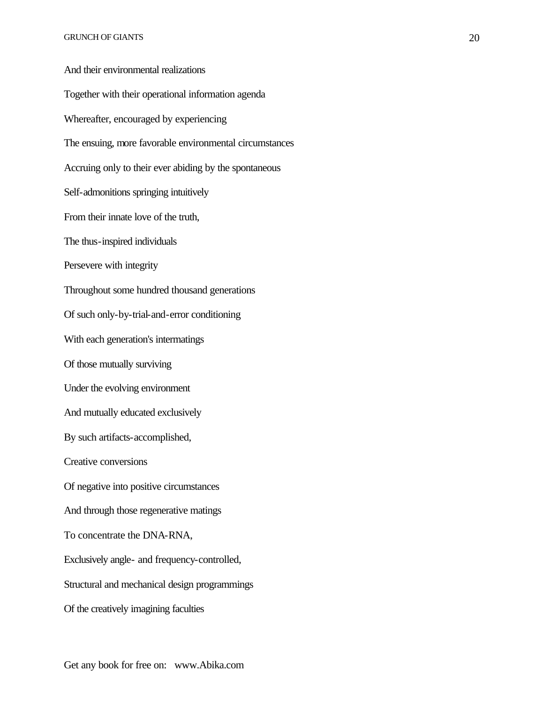And their environmental realizations Together with their operational information agenda Whereafter, encouraged by experiencing The ensuing, more favorable environmental circumstances Accruing only to their ever abiding by the spontaneous Self-admonitions springing intuitively From their innate love of the truth, The thus-inspired individuals Persevere with integrity Throughout some hundred thousand generations Of such only-by-trial-and-error conditioning With each generation's intermatings Of those mutually surviving Under the evolving environment And mutually educated exclusively By such artifacts-accomplished, Creative conversions Of negative into positive circumstances And through those regenerative matings To concentrate the DNA-RNA, Exclusively angle- and frequency-controlled, Structural and mechanical design programmings Of the creatively imagining faculties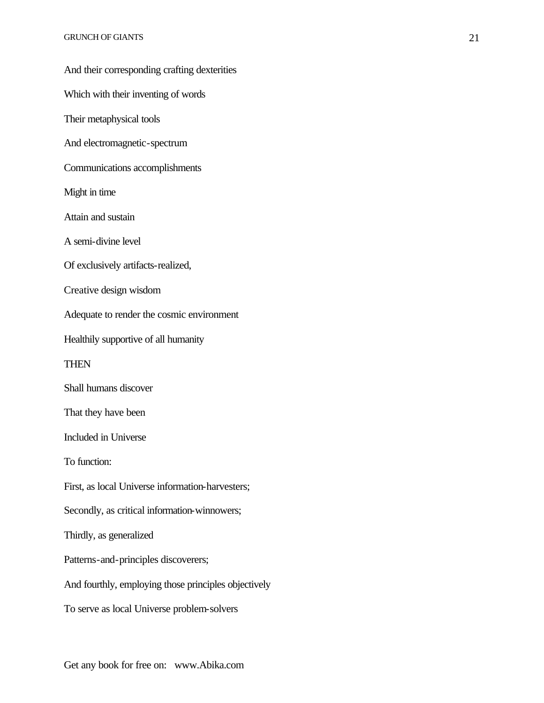And their corresponding crafting dexterities Which with their inventing of words Their metaphysical tools And electromagnetic-spectrum Communications accomplishments Might in time Attain and sustain A semi-divine level Of exclusively artifacts-realized, Creative design wisdom Adequate to render the cosmic environment Healthily supportive of all humanity **THEN** Shall humans discover That they have been Included in Universe To function: First, as local Universe information-harvesters; Secondly, as critical information-winnowers; Thirdly, as generalized Patterns-and-principles discoverers; And fourthly, employing those principles objectively To serve as local Universe problem-solvers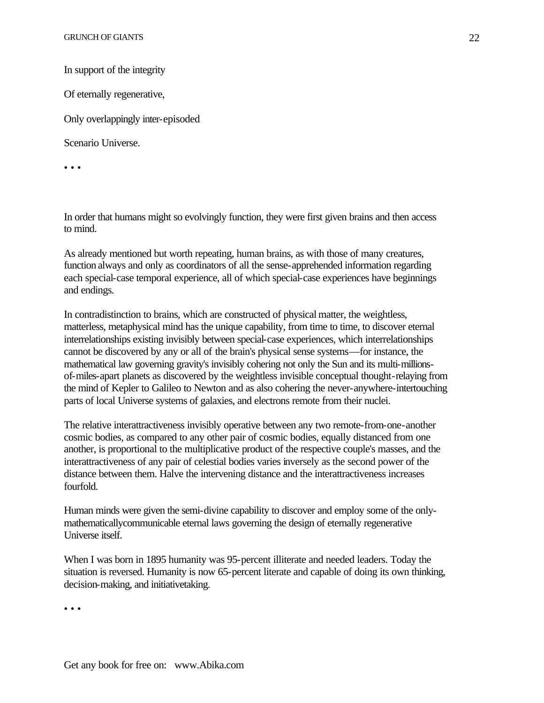In support of the integrity

Of eternally regenerative,

Only overlappingly inter-episoded

Scenario Universe.

• • •

In order that humans might so evolvingly function, they were first given brains and then access to mind.

As already mentioned but worth repeating, human brains, as with those of many creatures, function always and only as coordinators of all the sense-apprehended information regarding each special-case temporal experience, all of which special-case experiences have beginnings and endings.

In contradistinction to brains, which are constructed of physical matter, the weightless, matterless, metaphysical mind has the unique capability, from time to time, to discover eternal interrelationships existing invisibly between special-case experiences, which interrelationships cannot be discovered by any or all of the brain's physical sense systems—for instance, the mathematical law governing gravity's invisibly cohering not only the Sun and its multi-millionsof-miles-apart planets as discovered by the weightless invisible conceptual thought-relaying from the mind of Kepler to Galileo to Newton and as also cohering the never-anywhere-intertouching parts of local Universe systems of galaxies, and electrons remote from their nuclei.

The relative interattractiveness invisibly operative between any two remote-from-one-another cosmic bodies, as compared to any other pair of cosmic bodies, equally distanced from one another, is proportional to the multiplicative product of the respective couple's masses, and the interattractiveness of any pair of celestial bodies varies inversely as the second power of the distance between them. Halve the intervening distance and the interattractiveness increases fourfold.

Human minds were given the semi-divine capability to discover and employ some of the onlymathematicallycommunicable eternal laws governing the design of eternally regenerative Universe itself.

When I was born in 1895 humanity was 95-percent illiterate and needed leaders. Today the situation is reversed. Humanity is now 65-percent literate and capable of doing its own thinking, decision-making, and initiativetaking.

• • •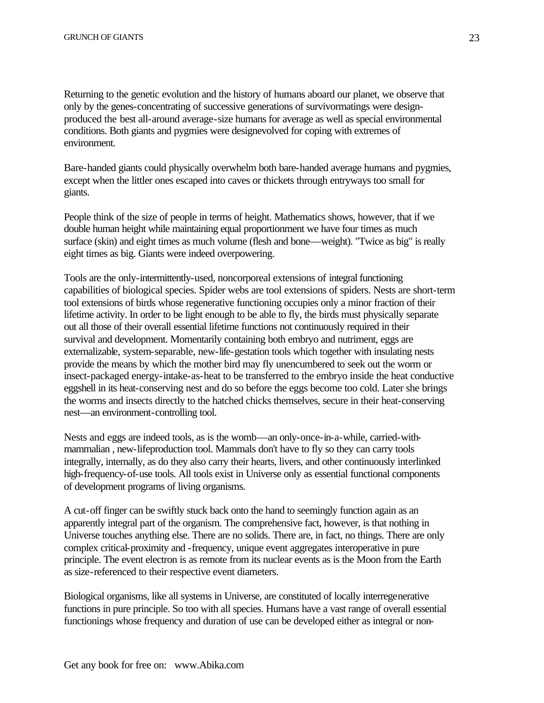Returning to the genetic evolution and the history of humans aboard our planet, we observe that only by the genes-concentrating of successive generations of survivormatings were designproduced the best all-around average-size humans for average as well as special environmental conditions. Both giants and pygmies were designevolved for coping with extremes of environment.

Bare-handed giants could physically overwhelm both bare-handed average humans and pygmies, except when the littler ones escaped into caves or thickets through entryways too small for giants.

People think of the size of people in terms of height. Mathematics shows, however, that if we double human height while maintaining equal proportionment we have four times as much surface (skin) and eight times as much volume (flesh and bone—weight). "Twice as big" is really eight times as big. Giants were indeed overpowering.

Tools are the only-intermittently-used, noncorporeal extensions of integral functioning capabilities of biological species. Spider webs are tool extensions of spiders. Nests are short-term tool extensions of birds whose regenerative functioning occupies only a minor fraction of their lifetime activity. In order to be light enough to be able to fly, the birds must physically separate out all those of their overall essential lifetime functions not continuously required in their survival and development. Momentarily containing both embryo and nutriment, eggs are externalizable, system-separable, new-life-gestation tools which together with insulating nests provide the means by which the mother bird may fly unencumbered to seek out the worm or insect-packaged energy-intake-as-heat to be transferred to the embryo inside the heat conductive eggshell in its heat-conserving nest and do so before the eggs become too cold. Later she brings the worms and insects directly to the hatched chicks themselves, secure in their heat-conserving nest—an environment-controlling tool.

Nests and eggs are indeed tools, as is the womb—an only-once-in-a-while, carried-withmammalian , new-lifeproduction tool. Mammals don't have to fly so they can carry tools integrally, internally, as do they also carry their hearts, livers, and other continuously interlinked high-frequency-of-use tools. All tools exist in Universe only as essential functional components of development programs of living organisms.

A cut-off finger can be swiftly stuck back onto the hand to seemingly function again as an apparently integral part of the organism. The comprehensive fact, however, is that nothing in Universe touches anything else. There are no solids. There are, in fact, no things. There are only complex critical-proximity and -frequency, unique event aggregates interoperative in pure principle. The event electron is as remote from its nuclear events as is the Moon from the Earth as size-referenced to their respective event diameters.

Biological organisms, like all systems in Universe, are constituted of locally interregenerative functions in pure principle. So too with all species. Humans have a vast range of overall essential functionings whose frequency and duration of use can be developed either as integral or non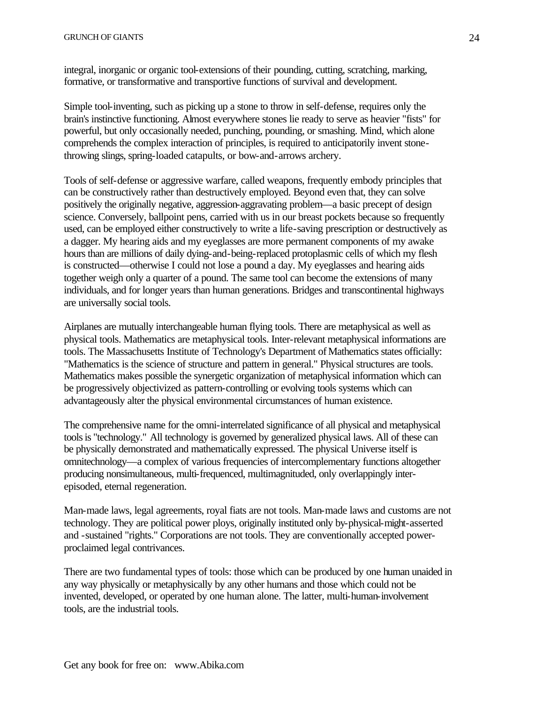integral, inorganic or organic tool-extensions of their pounding, cutting, scratching, marking, formative, or transformative and transportive functions of survival and development.

Simple tool-inventing, such as picking up a stone to throw in self-defense, requires only the brain's instinctive functioning. Almost everywhere stones lie ready to serve as heavier "fists" for powerful, but only occasionally needed, punching, pounding, or smashing. Mind, which alone comprehends the complex interaction of principles, is required to anticipatorily invent stonethrowing slings, spring-loaded catapults, or bow-and-arrows archery.

Tools of self-defense or aggressive warfare, called weapons, frequently embody principles that can be constructively rather than destructively employed. Beyond even that, they can solve positively the originally negative, aggression-aggravating problem—a basic precept of design science. Conversely, ballpoint pens, carried with us in our breast pockets because so frequently used, can be employed either constructively to write a life-saving prescription or destructively as a dagger. My hearing aids and my eyeglasses are more permanent components of my awake hours than are millions of daily dying-and-being-replaced protoplasmic cells of which my flesh is constructed—otherwise I could not lose a pound a day. My eyeglasses and hearing aids together weigh only a quarter of a pound. The same tool can become the extensions of many individuals, and for longer years than human generations. Bridges and transcontinental highways are universally social tools.

Airplanes are mutually interchangeable human flying tools. There are metaphysical as well as physical tools. Mathematics are metaphysical tools. Inter-relevant metaphysical informations are tools. The Massachusetts Institute of Technology's Department of Mathematics states officially: "Mathematics is the science of structure and pattern in general." Physical structures are tools. Mathematics makes possible the synergetic organization of metaphysical information which can be progressively objectivized as pattern-controlling or evolving tools systems which can advantageously alter the physical environmental circumstances of human existence.

The comprehensive name for the omni-interrelated significance of all physical and metaphysical tools is "technology." All technology is governed by generalized physical laws. All of these can be physically demonstrated and mathematically expressed. The physical Universe itself is omnitechnology—a complex of various frequencies of intercomplementary functions altogether producing nonsimultaneous, multi-frequenced, multimagnituded, only overlappingly interepisoded, eternal regeneration.

Man-made laws, legal agreements, royal fiats are not tools. Man-made laws and customs are not technology. They are political power ploys, originally instituted only by-physical-might-asserted and -sustained "rights." Corporations are not tools. They are conventionally accepted powerproclaimed legal contrivances.

There are two fundamental types of tools: those which can be produced by one human unaided in any way physically or metaphysically by any other humans and those which could not be invented, developed, or operated by one human alone. The latter, multi-human-involvement tools, are the industrial tools.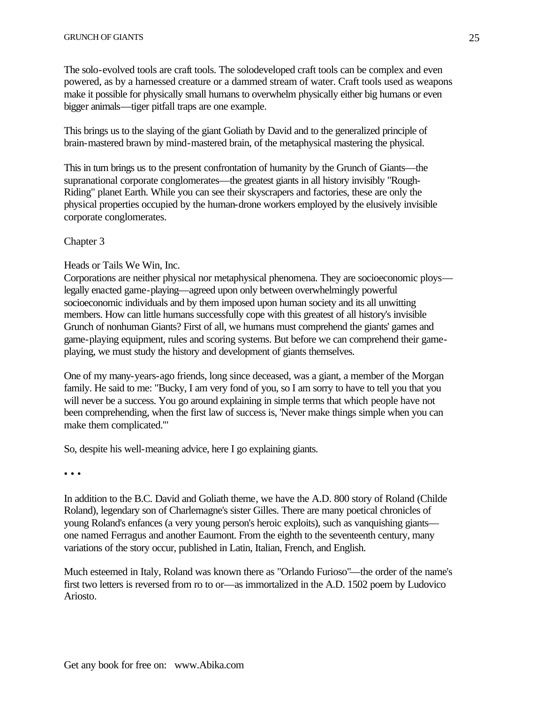The solo-evolved tools are craft tools. The solodeveloped craft tools can be complex and even powered, as by a harnessed creature or a dammed stream of water. Craft tools used as weapons make it possible for physically small humans to overwhelm physically either big humans or even bigger animals—tiger pitfall traps are one example.

This brings us to the slaying of the giant Goliath by David and to the generalized principle of brain-mastered brawn by mind-mastered brain, of the metaphysical mastering the physical.

This in turn brings us to the present confrontation of humanity by the Grunch of Giants—the supranational corporate conglomerates—the greatest giants in all history invisibly "Rough-Riding" planet Earth. While you can see their skyscrapers and factories, these are only the physical properties occupied by the human-drone workers employed by the elusively invisible corporate conglomerates.

### Chapter 3

### Heads or Tails We Win, Inc.

Corporations are neither physical nor metaphysical phenomena. They are socioeconomic ploys legally enacted game-playing—agreed upon only between overwhelmingly powerful socioeconomic individuals and by them imposed upon human society and its all unwitting members. How can little humans successfully cope with this greatest of all history's invisible Grunch of nonhuman Giants? First of all, we humans must comprehend the giants' games and game-playing equipment, rules and scoring systems. But before we can comprehend their gameplaying, we must study the history and development of giants themselves.

One of my many-years-ago friends, long since deceased, was a giant, a member of the Morgan family. He said to me: "Bucky, I am very fond of you, so I am sorry to have to tell you that you will never be a success. You go around explaining in simple terms that which people have not been comprehending, when the first law of success is, 'Never make things simple when you can make them complicated.'"

So, despite his well-meaning advice, here I go explaining giants.

• • •

In addition to the B.C. David and Goliath theme, we have the A.D. 800 story of Roland (Childe Roland), legendary son of Charlemagne's sister Gilles. There are many poetical chronicles of young Roland's enfances (a very young person's heroic exploits), such as vanquishing giants one named Ferragus and another Eaumont. From the eighth to the seventeenth century, many variations of the story occur, published in Latin, Italian, French, and English.

Much esteemed in Italy, Roland was known there as "Orlando Furioso"—the order of the name's first two letters is reversed from ro to or—as immortalized in the A.D. 1502 poem by Ludovico Ariosto.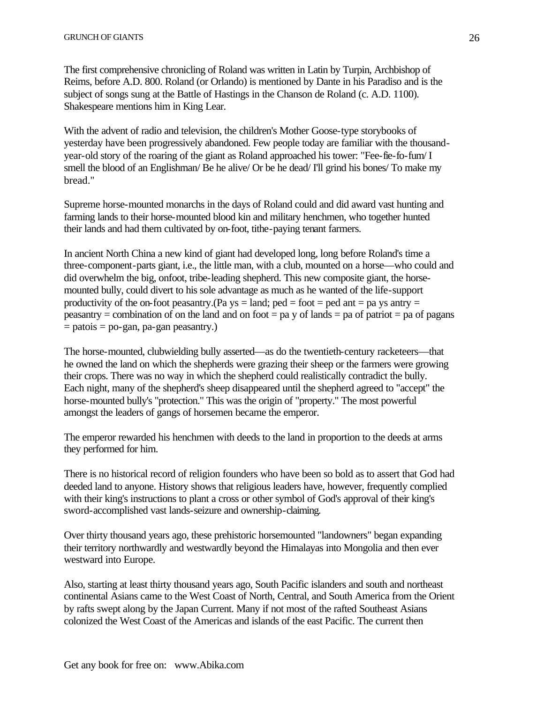The first comprehensive chronicling of Roland was written in Latin by Turpin, Archbishop of Reims, before A.D. 800. Roland (or Orlando) is mentioned by Dante in his Paradiso and is the subject of songs sung at the Battle of Hastings in the Chanson de Roland (c. A.D. 1100). Shakespeare mentions him in King Lear.

With the advent of radio and television, the children's Mother Goose-type storybooks of yesterday have been progressively abandoned. Few people today are familiar with the thousandyear-old story of the roaring of the giant as Roland approached his tower: "Fee-fie-fo-fum/ I smell the blood of an Englishman/ Be he alive/ Or be he dead/ I'll grind his bones/ To make my bread."

Supreme horse-mounted monarchs in the days of Roland could and did award vast hunting and farming lands to their horse-mounted blood kin and military henchmen, who together hunted their lands and had them cultivated by on-foot, tithe-paying tenant farmers.

In ancient North China a new kind of giant had developed long, long before Roland's time a three-component-parts giant, i.e., the little man, with a club, mounted on a horse—who could and did overwhelm the big, onfoot, tribe-leading shepherd. This new composite giant, the horsemounted bully, could divert to his sole advantage as much as he wanted of the life-support productivity of the on-foot peasantry.(Pa ys = land; ped = foot = ped ant = pa ys antry = peasantry = combination of on the land and on foot = pa y of lands = pa of patriot = pa of pagans  $=$  patois  $=$  po-gan, pa-gan peasantry.)

The horse-mounted, clubwielding bully asserted—as do the twentieth-century racketeers—that he owned the land on which the shepherds were grazing their sheep or the farmers were growing their crops. There was no way in which the shepherd could realistically contradict the bully. Each night, many of the shepherd's sheep disappeared until the shepherd agreed to "accept" the horse-mounted bully's "protection." This was the origin of "property." The most powerful amongst the leaders of gangs of horsemen became the emperor.

The emperor rewarded his henchmen with deeds to the land in proportion to the deeds at arms they performed for him.

There is no historical record of religion founders who have been so bold as to assert that God had deeded land to anyone. History shows that religious leaders have, however, frequently complied with their king's instructions to plant a cross or other symbol of God's approval of their king's sword-accomplished vast lands-seizure and ownership-claiming.

Over thirty thousand years ago, these prehistoric horsemounted "landowners" began expanding their territory northwardly and westwardly beyond the Himalayas into Mongolia and then ever westward into Europe.

Also, starting at least thirty thousand years ago, South Pacific islanders and south and northeast continental Asians came to the West Coast of North, Central, and South America from the Orient by rafts swept along by the Japan Current. Many if not most of the rafted Southeast Asians colonized the West Coast of the Americas and islands of the east Pacific. The current then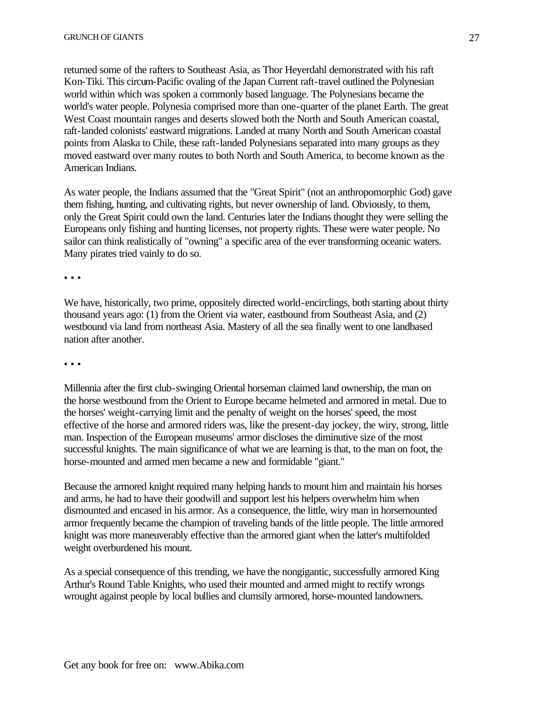returned some of the rafters to Southeast Asia, as Thor Heyerdahl demonstrated with his raft Kon-Tiki. This circum-Pacific ovaling of the Japan Current raft-travel outlined the Polynesian world within which was spoken a commonly based language. The Polynesians became the world's water people. Polynesia comprised more than one-quarter of the planet Earth. The great West Coast mountain ranges and deserts slowed both the North and South American coastal, raft-landed colonists' eastward migrations. Landed at many North and South American coastal points from Alaska to Chile, these raft-landed Polynesians separated into many groups as they moved eastward over many routes to both North and South America, to become known as the American Indians.

As water people, the Indians assumed that the "Great Spirit" (not an anthropomorphic God) gave them fishing, hunting, and cultivating rights, but never ownership of land. Obviously, to them, only the Great Spirit could own the land. Centuries later the Indians thought they were selling the Europeans only fishing and hunting licenses, not property rights. These were water people. No sailor can think realistically of "owning" a specific area of the ever transforming oceanic waters. Many pirates tried vainly to do so.

• • •

We have, historically, two prime, oppositely directed world-encirclings, both starting about thirty thousand years ago: (1) from the Orient via water, eastbound from Southeast Asia, and (2) westbound via land from northeast Asia. Mastery of all the sea finally went to one landbased nation after another.

• • •

Millennia after the first club-swinging Oriental horseman claimed land ownership, the man on the horse westbound from the Orient to Europe became helmeted and armored in metal. Due to the horses' weight-carrying limit and the penalty of weight on the horses' speed, the most effective of the horse and armored riders was, like the present-day jockey, the wiry, strong, little man. Inspection of the European museums' armor discloses the diminutive size of the most successful knights. The main significance of what we are learning is that, to the man on foot, the horse-mounted and armed men became a new and formidable "giant."

Because the armored knight required many helping hands to mount him and maintain his horses and arms, he had to have their goodwill and support lest his helpers overwhelm him when dismounted and encased in his armor. As a consequence, the little, wiry man in horsemounted armor frequently became the champion of traveling bands of the little people. The little armored knight was more maneuverably effective than the armored giant when the latter's multifolded weight overburdened his mount.

As a special consequence of this trending, we have the nongigantic, successfully armored King Arthur's Round Table Knights, who used their mounted and armed might to rectify wrongs wrought against people by local bullies and clumsily armored, horse-mounted landowners.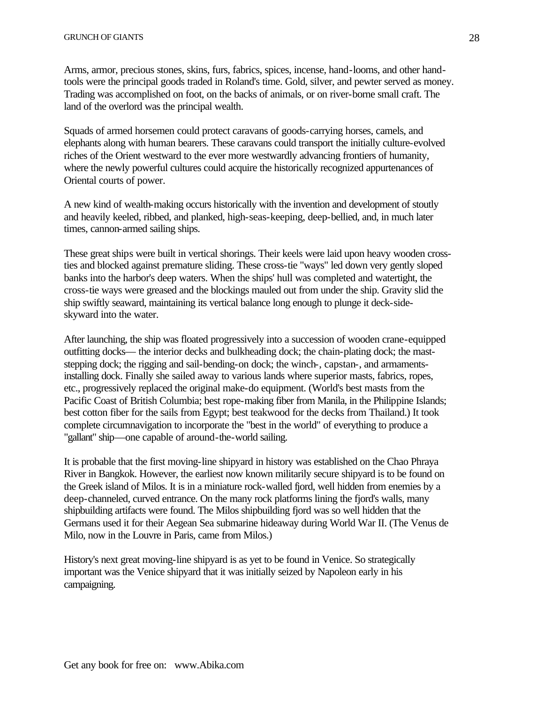Arms, armor, precious stones, skins, furs, fabrics, spices, incense, hand-looms, and other handtools were the principal goods traded in Roland's time. Gold, silver, and pewter served as money. Trading was accomplished on foot, on the backs of animals, or on river-borne small craft. The land of the overlord was the principal wealth.

Squads of armed horsemen could protect caravans of goods-carrying horses, camels, and elephants along with human bearers. These caravans could transport the initially culture-evolved riches of the Orient westward to the ever more westwardly advancing frontiers of humanity, where the newly powerful cultures could acquire the historically recognized appurtenances of Oriental courts of power.

A new kind of wealth-making occurs historically with the invention and development of stoutly and heavily keeled, ribbed, and planked, high-seas-keeping, deep-bellied, and, in much later times, cannon-armed sailing ships.

These great ships were built in vertical shorings. Their keels were laid upon heavy wooden crossties and blocked against premature sliding. These cross-tie "ways" led down very gently sloped banks into the harbor's deep waters. When the ships' hull was completed and watertight, the cross-tie ways were greased and the blockings mauled out from under the ship. Gravity slid the ship swiftly seaward, maintaining its vertical balance long enough to plunge it deck-sideskyward into the water.

After launching, the ship was floated progressively into a succession of wooden crane-equipped outfitting docks— the interior decks and bulkheading dock; the chain-plating dock; the maststepping dock; the rigging and sail-bending-on dock; the winch-, capstan-, and armamentsinstalling dock. Finally she sailed away to various lands where superior masts, fabrics, ropes, etc., progressively replaced the original make-do equipment. (World's best masts from the Pacific Coast of British Columbia; best rope-making fiber from Manila, in the Philippine Islands; best cotton fiber for the sails from Egypt; best teakwood for the decks from Thailand.) It took complete circumnavigation to incorporate the "best in the world" of everything to produce a "gallant" ship—one capable of around-the-world sailing.

It is probable that the first moving-line shipyard in history was established on the Chao Phraya River in Bangkok. However, the earliest now known militarily secure shipyard is to be found on the Greek island of Milos. It is in a miniature rock-walled fjord, well hidden from enemies by a deep-channeled, curved entrance. On the many rock platforms lining the fjord's walls, many shipbuilding artifacts were found. The Milos shipbuilding fjord was so well hidden that the Germans used it for their Aegean Sea submarine hideaway during World War II. (The Venus de Milo, now in the Louvre in Paris, came from Milos.)

History's next great moving-line shipyard is as yet to be found in Venice. So strategically important was the Venice shipyard that it was initially seized by Napoleon early in his campaigning.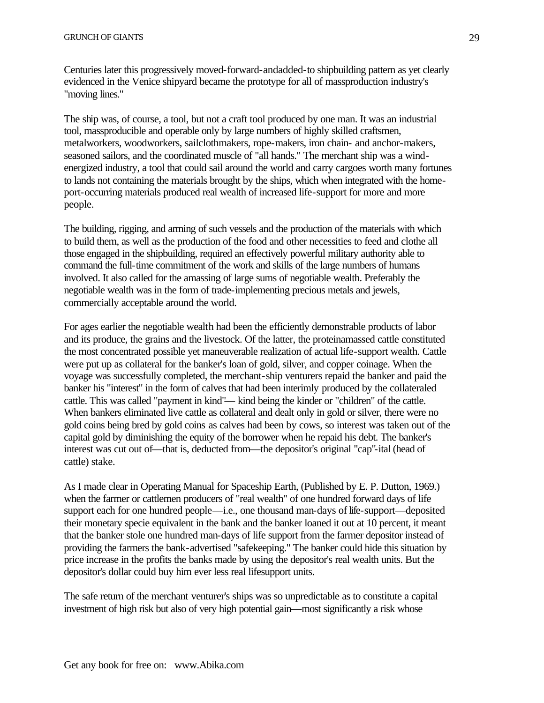Centuries later this progressively moved-forward-andadded-to shipbuilding pattern as yet clearly evidenced in the Venice shipyard became the prototype for all of massproduction industry's "moving lines."

The ship was, of course, a tool, but not a craft tool produced by one man. It was an industrial tool, massproducible and operable only by large numbers of highly skilled craftsmen, metalworkers, woodworkers, sailclothmakers, rope-makers, iron chain- and anchor-makers, seasoned sailors, and the coordinated muscle of "all hands." The merchant ship was a windenergized industry, a tool that could sail around the world and carry cargoes worth many fortunes to lands not containing the materials brought by the ships, which when integrated with the homeport-occurring materials produced real wealth of increased life-support for more and more people.

The building, rigging, and arming of such vessels and the production of the materials with which to build them, as well as the production of the food and other necessities to feed and clothe all those engaged in the shipbuilding, required an effectively powerful military authority able to command the full-time commitment of the work and skills of the large numbers of humans involved. It also called for the amassing of large sums of negotiable wealth. Preferably the negotiable wealth was in the form of trade-implementing precious metals and jewels, commercially acceptable around the world.

For ages earlier the negotiable wealth had been the efficiently demonstrable products of labor and its produce, the grains and the livestock. Of the latter, the proteinamassed cattle constituted the most concentrated possible yet maneuverable realization of actual life-support wealth. Cattle were put up as collateral for the banker's loan of gold, silver, and copper coinage. When the voyage was successfully completed, the merchant-ship venturers repaid the banker and paid the banker his "interest" in the form of calves that had been interimly produced by the collateraled cattle. This was called "payment in kind"— kind being the kinder or "children" of the cattle. When bankers eliminated live cattle as collateral and dealt only in gold or silver, there were no gold coins being bred by gold coins as calves had been by cows, so interest was taken out of the capital gold by diminishing the equity of the borrower when he repaid his debt. The banker's interest was cut out of—that is, deducted from—the depositor's original "cap"-ital (head of cattle) stake.

As I made clear in Operating Manual for Spaceship Earth, (Published by E. P. Dutton, 1969.) when the farmer or cattlemen producers of "real wealth" of one hundred forward days of life support each for one hundred people—i.e., one thousand man-days of life-support—deposited their monetary specie equivalent in the bank and the banker loaned it out at 10 percent, it meant that the banker stole one hundred man-days of life support from the farmer depositor instead of providing the farmers the bank-advertised "safekeeping." The banker could hide this situation by price increase in the profits the banks made by using the depositor's real wealth units. But the depositor's dollar could buy him ever less real lifesupport units.

The safe return of the merchant venturer's ships was so unpredictable as to constitute a capital investment of high risk but also of very high potential gain—most significantly a risk whose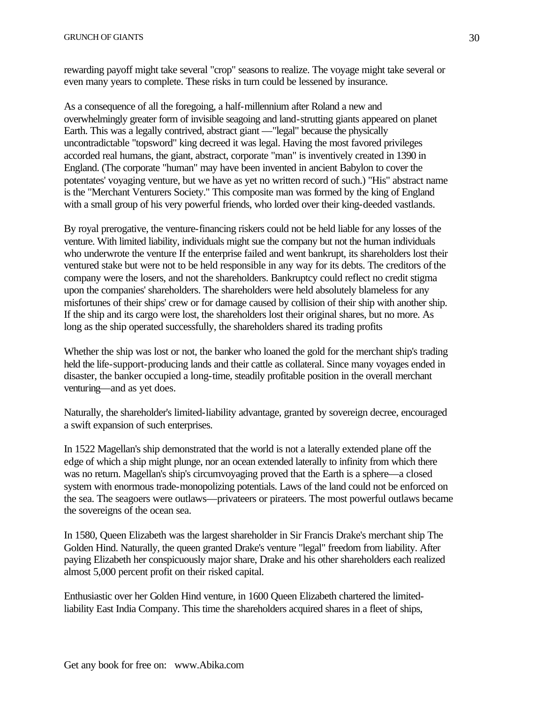rewarding payoff might take several "crop" seasons to realize. The voyage might take several or even many years to complete. These risks in turn could be lessened by insurance.

As a consequence of all the foregoing, a half-millennium after Roland a new and overwhelmingly greater form of invisible seagoing and land-strutting giants appeared on planet Earth. This was a legally contrived, abstract giant —"legal" because the physically uncontradictable "topsword" king decreed it was legal. Having the most favored privileges accorded real humans, the giant, abstract, corporate "man" is inventively created in 1390 in England. (The corporate "human" may have been invented in ancient Babylon to cover the potentates' voyaging venture, but we have as yet no written record of such.) "His" abstract name is the "Merchant Venturers Society." This composite man was formed by the king of England with a small group of his very powerful friends, who lorded over their king-deeded vastlands.

By royal prerogative, the venture-financing riskers could not be held liable for any losses of the venture. With limited liability, individuals might sue the company but not the human individuals who underwrote the venture If the enterprise failed and went bankrupt, its shareholders lost their ventured stake but were not to be held responsible in any way for its debts. The creditors of the company were the losers, and not the shareholders. Bankruptcy could reflect no credit stigma upon the companies' shareholders. The shareholders were held absolutely blameless for any misfortunes of their ships' crew or for damage caused by collision of their ship with another ship. If the ship and its cargo were lost, the shareholders lost their original shares, but no more. As long as the ship operated successfully, the shareholders shared its trading profits

Whether the ship was lost or not, the banker who loaned the gold for the merchant ship's trading held the life-support-producing lands and their cattle as collateral. Since many voyages ended in disaster, the banker occupied a long-time, steadily profitable position in the overall merchant venturing—and as yet does.

Naturally, the shareholder's limited-liability advantage, granted by sovereign decree, encouraged a swift expansion of such enterprises.

In 1522 Magellan's ship demonstrated that the world is not a laterally extended plane off the edge of which a ship might plunge, nor an ocean extended laterally to infinity from which there was no return. Magellan's ship's circumvoyaging proved that the Earth is a sphere—a closed system with enormous trade-monopolizing potentials. Laws of the land could not be enforced on the sea. The seagoers were outlaws—privateers or pirateers. The most powerful outlaws became the sovereigns of the ocean sea.

In 1580, Queen Elizabeth was the largest shareholder in Sir Francis Drake's merchant ship The Golden Hind. Naturally, the queen granted Drake's venture "legal" freedom from liability. After paying Elizabeth her conspicuously major share, Drake and his other shareholders each realized almost 5,000 percent profit on their risked capital.

Enthusiastic over her Golden Hind venture, in 1600 Queen Elizabeth chartered the limitedliability East India Company. This time the shareholders acquired shares in a fleet of ships,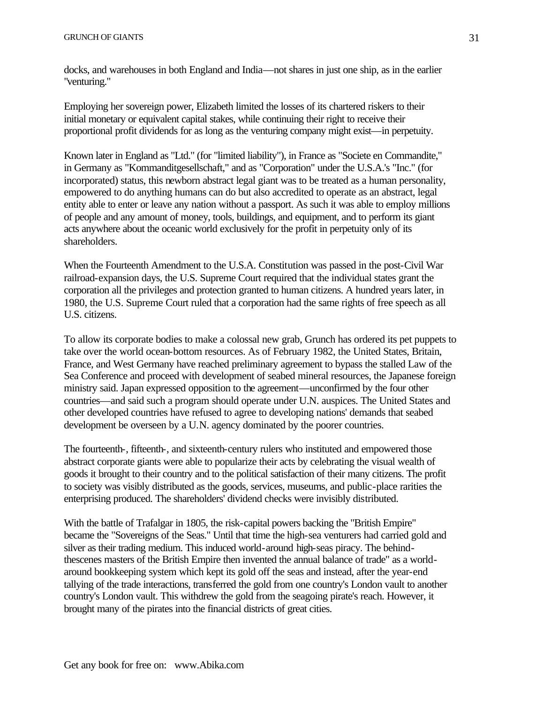docks, and warehouses in both England and India—not shares in just one ship, as in the earlier "venturing."

Employing her sovereign power, Elizabeth limited the losses of its chartered riskers to their initial monetary or equivalent capital stakes, while continuing their right to receive their proportional profit dividends for as long as the venturing company might exist—in perpetuity.

Known later in England as "Ltd." (for "limited liability"), in France as "Societe en Commandite," in Germany as "Kommanditgesellschaft," and as "Corporation" under the U.S.A.'s "Inc." (for incorporated) status, this newborn abstract legal giant was to be treated as a human personality, empowered to do anything humans can do but also accredited to operate as an abstract, legal entity able to enter or leave any nation without a passport. As such it was able to employ millions of people and any amount of money, tools, buildings, and equipment, and to perform its giant acts anywhere about the oceanic world exclusively for the profit in perpetuity only of its shareholders.

When the Fourteenth Amendment to the U.S.A. Constitution was passed in the post-Civil War railroad-expansion days, the U.S. Supreme Court required that the individual states grant the corporation all the privileges and protection granted to human citizens. A hundred years later, in 1980, the U.S. Supreme Court ruled that a corporation had the same rights of free speech as all U.S. citizens.

To allow its corporate bodies to make a colossal new grab, Grunch has ordered its pet puppets to take over the world ocean-bottom resources. As of February 1982, the United States, Britain, France, and West Germany have reached preliminary agreement to bypass the stalled Law of the Sea Conference and proceed with development of seabed mineral resources, the Japanese foreign ministry said. Japan expressed opposition to the agreement—unconfirmed by the four other countries—and said such a program should operate under U.N. auspices. The United States and other developed countries have refused to agree to developing nations' demands that seabed development be overseen by a U.N. agency dominated by the poorer countries.

The fourteenth-, fifteenth-, and sixteenth-century rulers who instituted and empowered those abstract corporate giants were able to popularize their acts by celebrating the visual wealth of goods it brought to their country and to the political satisfaction of their many citizens. The profit to society was visibly distributed as the goods, services, museums, and public-place rarities the enterprising produced. The shareholders' dividend checks were invisibly distributed.

With the battle of Trafalgar in 1805, the risk-capital powers backing the "British Empire" became the "Sovereigns of the Seas." Until that time the high-sea venturers had carried gold and silver as their trading medium. This induced world-around high-seas piracy. The behindthescenes masters of the British Empire then invented the annual balance of trade" as a worldaround bookkeeping system which kept its gold off the seas and instead, after the year-end tallying of the trade interactions, transferred the gold from one country's London vault to another country's London vault. This withdrew the gold from the seagoing pirate's reach. However, it brought many of the pirates into the financial districts of great cities.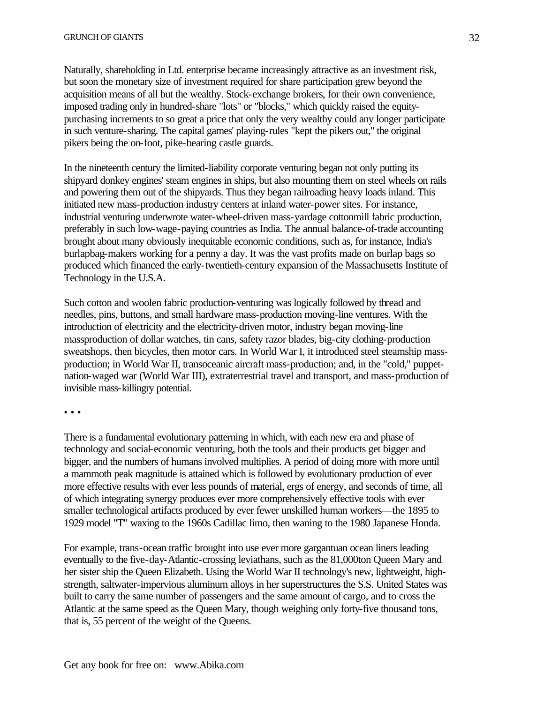Naturally, shareholding in Ltd. enterprise became increasingly attractive as an investment risk, but soon the monetary size of investment required for share participation grew beyond the acquisition means of all but the wealthy. Stock-exchange brokers, for their own convenience, imposed trading only in hundred-share "lots" or "blocks," which quickly raised the equitypurchasing increments to so great a price that only the very wealthy could any longer participate in such venture-sharing. The capital games' playing-rules "kept the pikers out," the original pikers being the on-foot, pike-bearing castle guards.

In the nineteenth century the limited-liability corporate venturing began not only putting its shipyard donkey engines' steam engines in ships, but also mounting them on steel wheels on rails and powering them out of the shipyards. Thus they began railroading heavy loads inland. This initiated new mass-production industry centers at inland water-power sites. For instance, industrial venturing underwrote water-wheel-driven mass-yardage cottonmill fabric production, preferably in such low-wage-paying countries as India. The annual balance-of-trade accounting brought about many obviously inequitable economic conditions, such as, for instance, India's burlapbag-makers working for a penny a day. It was the vast profits made on burlap bags so produced which financed the early-twentieth-century expansion of the Massachusetts Institute of Technology in the U.S.A.

Such cotton and woolen fabric production-venturing was logically followed by thread and needles, pins, buttons, and small hardware mass-production moving-line ventures. With the introduction of electricity and the electricity-driven motor, industry began moving-line massproduction of dollar watches, tin cans, safety razor blades, big-city clothing-production sweatshops, then bicycles, then motor cars. In World War I, it introduced steel steamship massproduction; in World War II, transoceanic aircraft mass-production; and, in the "cold," puppetnation-waged war (World War III), extraterrestrial travel and transport, and mass-production of invisible mass-killingry potential.

#### • • •

There is a fundamental evolutionary patterning in which, with each new era and phase of technology and social-economic venturing, both the tools and their products get bigger and bigger, and the numbers of humans involved multiplies. A period of doing more with more until a mammoth peak magnitude is attained which is followed by evolutionary production of ever more effective results with ever less pounds of material, ergs of energy, and seconds of time, all of which integrating synergy produces ever more comprehensively effective tools with ever smaller technological artifacts produced by ever fewer unskilled human workers—the 1895 to 1929 model "T" waxing to the 1960s Cadillac limo, then waning to the 1980 Japanese Honda.

For example, trans-ocean traffic brought into use ever more gargantuan ocean liners leading eventually to the five-day-Atlantic-crossing leviathans, such as the 81,000ton Queen Mary and her sister ship the Queen Elizabeth. Using the World War II technology's new, lightweight, highstrength, saltwater-impervious aluminum alloys in her superstructures the S.S. United States was built to carry the same number of passengers and the same amount of cargo, and to cross the Atlantic at the same speed as the Queen Mary, though weighing only forty-five thousand tons, that is, 55 percent of the weight of the Queens.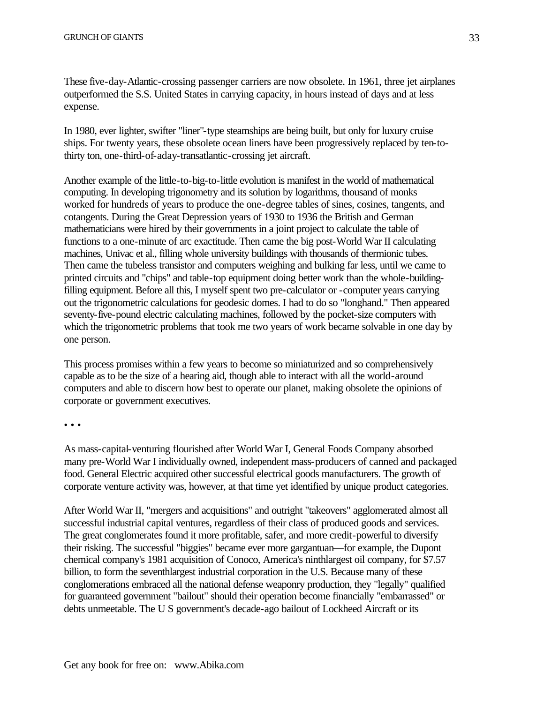These five-day-Atlantic-crossing passenger carriers are now obsolete. In 1961, three jet airplanes outperformed the S.S. United States in carrying capacity, in hours instead of days and at less expense.

In 1980, ever lighter, swifter "liner"-type steamships are being built, but only for luxury cruise ships. For twenty years, these obsolete ocean liners have been progressively replaced by ten-tothirty ton, one-third-of-aday-transatlantic-crossing jet aircraft.

Another example of the little-to-big-to-little evolution is manifest in the world of mathematical computing. In developing trigonometry and its solution by logarithms, thousand of monks worked for hundreds of years to produce the one-degree tables of sines, cosines, tangents, and cotangents. During the Great Depression years of 1930 to 1936 the British and German mathematicians were hired by their governments in a joint project to calculate the table of functions to a one-minute of arc exactitude. Then came the big post-World War II calculating machines, Univac et al., filling whole university buildings with thousands of thermionic tubes. Then came the tubeless transistor and computers weighing and bulking far less, until we came to printed circuits and "chips" and table-top equipment doing better work than the whole-buildingfilling equipment. Before all this, I myself spent two pre-calculator or -computer years carrying out the trigonometric calculations for geodesic domes. I had to do so "longhand." Then appeared seventy-five-pound electric calculating machines, followed by the pocket-size computers with which the trigonometric problems that took me two years of work became solvable in one day by one person.

This process promises within a few years to become so miniaturized and so comprehensively capable as to be the size of a hearing aid, though able to interact with all the world-around computers and able to discern how best to operate our planet, making obsolete the opinions of corporate or government executives.

• • •

As mass-capital-venturing flourished after World War I, General Foods Company absorbed many pre-World War I individually owned, independent mass-producers of canned and packaged food. General Electric acquired other successful electrical goods manufacturers. The growth of corporate venture activity was, however, at that time yet identified by unique product categories.

After World War II, "mergers and acquisitions" and outright "takeovers" agglomerated almost all successful industrial capital ventures, regardless of their class of produced goods and services. The great conglomerates found it more profitable, safer, and more credit-powerful to diversify their risking. The successful "biggies" became ever more gargantuan—for example, the Dupont chemical company's 1981 acquisition of Conoco, America's ninthlargest oil company, for \$7.57 billion, to form the seventhlargest industrial corporation in the U.S. Because many of these conglomerations embraced all the national defense weaponry production, they "legally" qualified for guaranteed government "bailout" should their operation become financially "embarrassed" or debts unmeetable. The U S government's decade-ago bailout of Lockheed Aircraft or its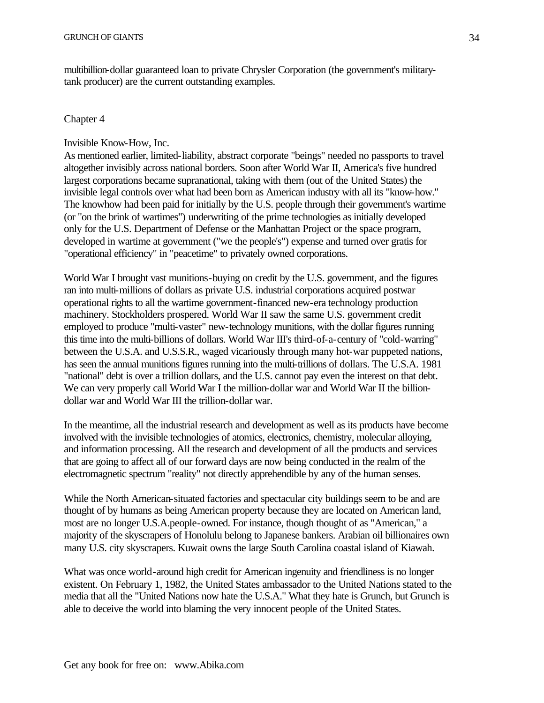multibillion-dollar guaranteed loan to private Chrysler Corporation (the government's militarytank producer) are the current outstanding examples.

#### Chapter 4

Invisible Know-How, Inc.

As mentioned earlier, limited-liability, abstract corporate "beings" needed no passports to travel altogether invisibly across national borders. Soon after World War II, America's five hundred largest corporations became supranational, taking with them (out of the United States) the invisible legal controls over what had been born as American industry with all its "know-how." The knowhow had been paid for initially by the U.S. people through their government's wartime (or "on the brink of wartimes") underwriting of the prime technologies as initially developed only for the U.S. Department of Defense or the Manhattan Project or the space program, developed in wartime at government ("we the people's") expense and turned over gratis for "operational efficiency" in "peacetime" to privately owned corporations.

World War I brought vast munitions-buying on credit by the U.S. government, and the figures ran into multi-millions of dollars as private U.S. industrial corporations acquired postwar operational rights to all the wartime government-financed new-era technology production machinery. Stockholders prospered. World War II saw the same U.S. government credit employed to produce "multi-vaster" new-technology munitions, with the dollar figures running this time into the multi-billions of dollars. World War III's third-of-a-century of "cold-warring" between the U.S.A. and U.S.S.R., waged vicariously through many hot-war puppeted nations, has seen the annual munitions figures running into the multi-trillions of dollars. The U.S.A. 1981 "national" debt is over a trillion dollars, and the U.S. cannot pay even the interest on that debt. We can very properly call World War I the million-dollar war and World War II the billiondollar war and World War III the trillion-dollar war.

In the meantime, all the industrial research and development as well as its products have become involved with the invisible technologies of atomics, electronics, chemistry, molecular alloying, and information processing. All the research and development of all the products and services that are going to affect all of our forward days are now being conducted in the realm of the electromagnetic spectrum "reality" not directly apprehendible by any of the human senses.

While the North American-situated factories and spectacular city buildings seem to be and are thought of by humans as being American property because they are located on American land, most are no longer U.S.A.people-owned. For instance, though thought of as "American," a majority of the skyscrapers of Honolulu belong to Japanese bankers. Arabian oil billionaires own many U.S. city skyscrapers. Kuwait owns the large South Carolina coastal island of Kiawah.

What was once world-around high credit for American ingenuity and friendliness is no longer existent. On February 1, 1982, the United States ambassador to the United Nations stated to the media that all the "United Nations now hate the U.S.A." What they hate is Grunch, but Grunch is able to deceive the world into blaming the very innocent people of the United States.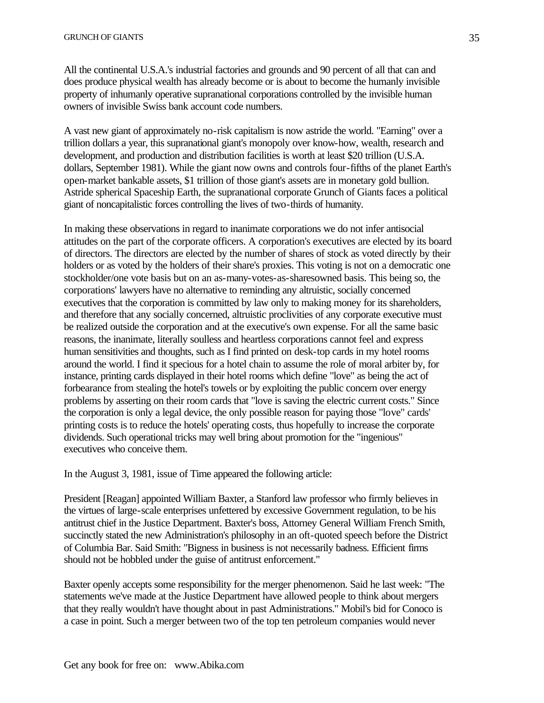All the continental U.S.A.'s industrial factories and grounds and 90 percent of all that can and does produce physical wealth has already become or is about to become the humanly invisible property of inhumanly operative supranational corporations controlled by the invisible human owners of invisible Swiss bank account code numbers.

A vast new giant of approximately no-risk capitalism is now astride the world. "Earning" over a trillion dollars a year, this supranational giant's monopoly over know-how, wealth, research and development, and production and distribution facilities is worth at least \$20 trillion (U.S.A. dollars, September 1981). While the giant now owns and controls four-fifths of the planet Earth's open-market bankable assets, \$1 trillion of those giant's assets are in monetary gold bullion. Astride spherical Spaceship Earth, the supranational corporate Grunch of Giants faces a political giant of noncapitalistic forces controlling the lives of two-thirds of humanity.

In making these observations in regard to inanimate corporations we do not infer antisocial attitudes on the part of the corporate officers. A corporation's executives are elected by its board of directors. The directors are elected by the number of shares of stock as voted directly by their holders or as voted by the holders of their share's proxies. This voting is not on a democratic one stockholder/one vote basis but on an as-many-votes-as-sharesowned basis. This being so, the corporations' lawyers have no alternative to reminding any altruistic, socially concerned executives that the corporation is committed by law only to making money for its shareholders, and therefore that any socially concerned, altruistic proclivities of any corporate executive must be realized outside the corporation and at the executive's own expense. For all the same basic reasons, the inanimate, literally soulless and heartless corporations cannot feel and express human sensitivities and thoughts, such as I find printed on desk-top cards in my hotel rooms around the world. I find it specious for a hotel chain to assume the role of moral arbiter by, for instance, printing cards displayed in their hotel rooms which define "love" as being the act of forbearance from stealing the hotel's towels or by exploiting the public concern over energy problems by asserting on their room cards that "love is saving the electric current costs." Since the corporation is only a legal device, the only possible reason for paying those "love" cards' printing costs is to reduce the hotels' operating costs, thus hopefully to increase the corporate dividends. Such operational tricks may well bring about promotion for the "ingenious" executives who conceive them.

In the August 3, 1981, issue of Time appeared the following article:

President [Reagan] appointed William Baxter, a Stanford law professor who firmly believes in the virtues of large-scale enterprises unfettered by excessive Government regulation, to be his antitrust chief in the Justice Department. Baxter's boss, Attorney General William French Smith, succinctly stated the new Administration's philosophy in an oft-quoted speech before the District of Columbia Bar. Said Smith: "Bigness in business is not necessarily badness. Efficient firms should not be hobbled under the guise of antitrust enforcement."

Baxter openly accepts some responsibility for the merger phenomenon. Said he last week: "The statements we've made at the Justice Department have allowed people to think about mergers that they really wouldn't have thought about in past Administrations." Mobil's bid for Conoco is a case in point. Such a merger between two of the top ten petroleum companies would never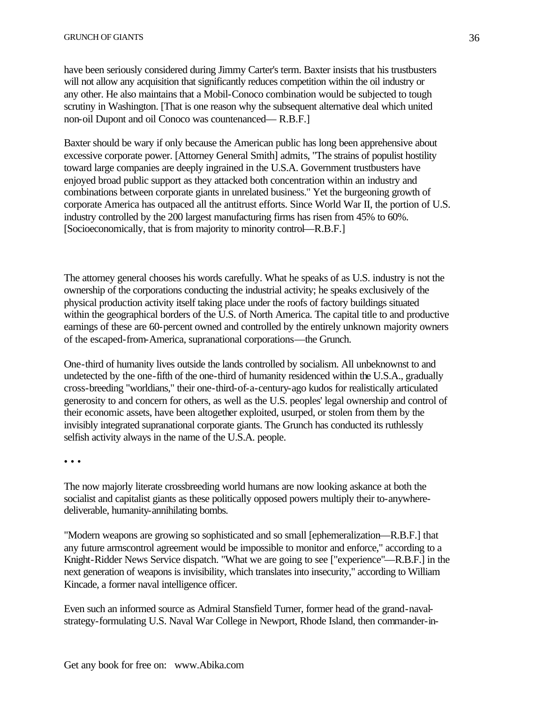have been seriously considered during Jimmy Carter's term. Baxter insists that his trustbusters will not allow any acquisition that significantly reduces competition within the oil industry or any other. He also maintains that a Mobil-Conoco combination would be subjected to tough scrutiny in Washington. [That is one reason why the subsequent alternative deal which united non-oil Dupont and oil Conoco was countenanced— R.B.F.]

Baxter should be wary if only because the American public has long been apprehensive about excessive corporate power. [Attorney General Smith] admits, "The strains of populist hostility toward large companies are deeply ingrained in the U.S.A. Government trustbusters have enjoyed broad public support as they attacked both concentration within an industry and combinations between corporate giants in unrelated business." Yet the burgeoning growth of corporate America has outpaced all the antitrust efforts. Since World War II, the portion of U.S. industry controlled by the 200 largest manufacturing firms has risen from 45% to 60%. [Socioeconomically, that is from majority to minority control—R.B.F.]

The attorney general chooses his words carefully. What he speaks of as U.S. industry is not the ownership of the corporations conducting the industrial activity; he speaks exclusively of the physical production activity itself taking place under the roofs of factory buildings situated within the geographical borders of the U.S. of North America. The capital title to and productive earnings of these are 60-percent owned and controlled by the entirely unknown majority owners of the escaped-from-America, supranational corporations—the Grunch.

One-third of humanity lives outside the lands controlled by socialism. All unbeknownst to and undetected by the one-fifth of the one-third of humanity residenced within the U.S.A., gradually cross-breeding "worldians," their one-third-of-a-century-ago kudos for realistically articulated generosity to and concern for others, as well as the U.S. peoples' legal ownership and control of their economic assets, have been altogether exploited, usurped, or stolen from them by the invisibly integrated supranational corporate giants. The Grunch has conducted its ruthlessly selfish activity always in the name of the U.S.A. people.

• • •

The now majorly literate crossbreeding world humans are now looking askance at both the socialist and capitalist giants as these politically opposed powers multiply their to-anywheredeliverable, humanity-annihilating bombs.

"Modern weapons are growing so sophisticated and so small [ephemeralization—R.B.F.] that any future armscontrol agreement would be impossible to monitor and enforce," according to a Knight-Ridder News Service dispatch. "What we are going to see ["experience"—R.B.F.] in the next generation of weapons is invisibility, which translates into insecurity," according to William Kincade, a former naval intelligence officer.

Even such an informed source as Admiral Stansfield Turner, former head of the grand-navalstrategy-formulating U.S. Naval War College in Newport, Rhode Island, then commander-in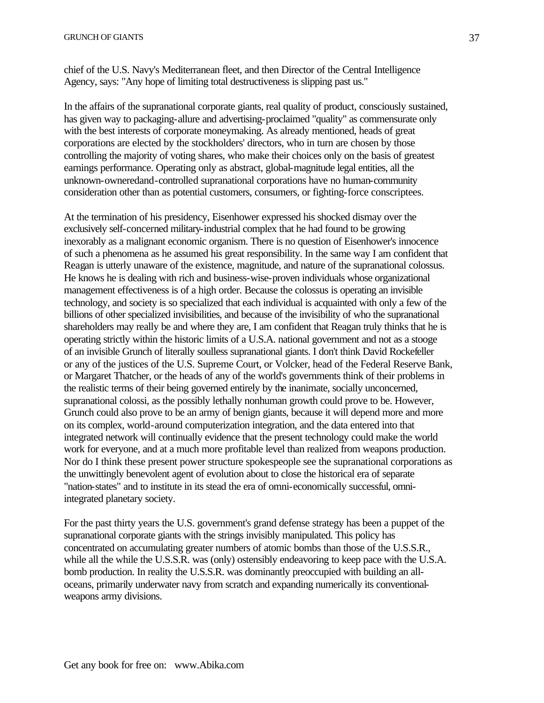chief of the U.S. Navy's Mediterranean fleet, and then Director of the Central Intelligence Agency, says: "Any hope of limiting total destructiveness is slipping past us."

In the affairs of the supranational corporate giants, real quality of product, consciously sustained, has given way to packaging-allure and advertising-proclaimed "quality" as commensurate only with the best interests of corporate moneymaking. As already mentioned, heads of great corporations are elected by the stockholders' directors, who in turn are chosen by those controlling the majority of voting shares, who make their choices only on the basis of greatest earnings performance. Operating only as abstract, global-magnitude legal entities, all the unknown-owneredand-controlled supranational corporations have no human-community consideration other than as potential customers, consumers, or fighting-force conscriptees.

At the termination of his presidency, Eisenhower expressed his shocked dismay over the exclusively self-concerned military-industrial complex that he had found to be growing inexorably as a malignant economic organism. There is no question of Eisenhower's innocence of such a phenomena as he assumed his great responsibility. In the same way I am confident that Reagan is utterly unaware of the existence, magnitude, and nature of the supranational colossus. He knows he is dealing with rich and business-wise-proven individuals whose organizational management effectiveness is of a high order. Because the colossus is operating an invisible technology, and society is so specialized that each individual is acquainted with only a few of the billions of other specialized invisibilities, and because of the invisibility of who the supranational shareholders may really be and where they are, I am confident that Reagan truly thinks that he is operating strictly within the historic limits of a U.S.A. national government and not as a stooge of an invisible Grunch of literally soulless supranational giants. I don't think David Rockefeller or any of the justices of the U.S. Supreme Court, or Volcker, head of the Federal Reserve Bank, or Margaret Thatcher, or the heads of any of the world's governments think of their problems in the realistic terms of their being governed entirely by the inanimate, socially unconcerned, supranational colossi, as the possibly lethally nonhuman growth could prove to be. However, Grunch could also prove to be an army of benign giants, because it will depend more and more on its complex, world-around computerization integration, and the data entered into that integrated network will continually evidence that the present technology could make the world work for everyone, and at a much more profitable level than realized from weapons production. Nor do I think these present power structure spokespeople see the supranational corporations as the unwittingly benevolent agent of evolution about to close the historical era of separate "nation-states" and to institute in its stead the era of omni-economically successful, omniintegrated planetary society.

For the past thirty years the U.S. government's grand defense strategy has been a puppet of the supranational corporate giants with the strings invisibly manipulated. This policy has concentrated on accumulating greater numbers of atomic bombs than those of the U.S.S.R., while all the while the U.S.S.R. was (only) ostensibly endeavoring to keep pace with the U.S.A. bomb production. In reality the U.S.S.R. was dominantly preoccupied with building an alloceans, primarily underwater navy from scratch and expanding numerically its conventionalweapons army divisions.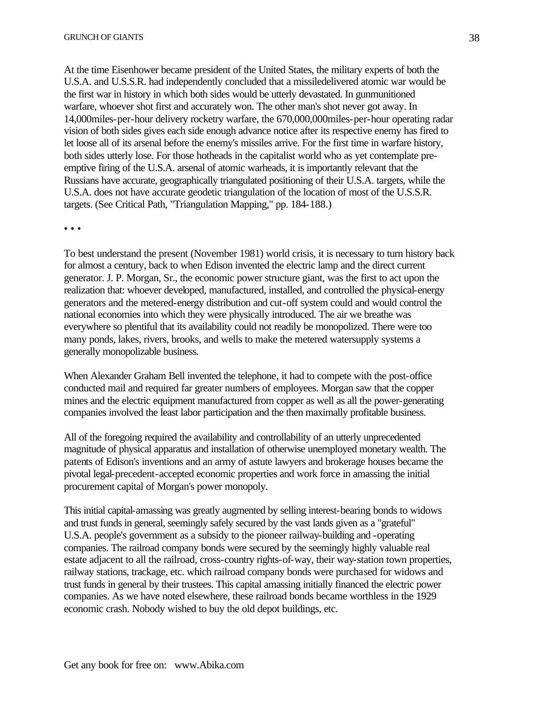At the time Eisenhower became president of the United States, the military experts of both the U.S.A. and U.S.S.R. had independently concluded that a missiledelivered atomic war would be the first war in history in which both sides would be utterly devastated. In gunmunitioned warfare, whoever shot first and accurately won. The other man's shot never got away. In 14,000miles-per-hour delivery rocketry warfare, the 670,000,000miles-per-hour operating radar vision of both sides gives each side enough advance notice after its respective enemy has fired to let loose all of its arsenal before the enemy's missiles arrive. For the first time in warfare history, both sides utterly lose. For those hotheads in the capitalist world who as yet contemplate preemptive firing of the U.S.A. arsenal of atomic warheads, it is importantly relevant that the Russians have accurate, geographically triangulated positioning of their U.S.A. targets, while the U.S.A. does not have accurate geodetic triangulation of the location of most of the U.S.S.R. targets. (See Critical Path, "Triangulation Mapping," pp. 184-188.)

• • •

To best understand the present (November 1981) world crisis, it is necessary to turn history back for almost a century, back to when Edison invented the electric lamp and the direct current generator. J. P. Morgan, Sr., the economic power structure giant, was the first to act upon the realization that: whoever developed, manufactured, installed, and controlled the physical-energy generators and the metered-energy distribution and cut-off system could and would control the national economies into which they were physically introduced. The air we breathe was everywhere so plentiful that its availability could not readily be monopolized. There were too many ponds, lakes, rivers, brooks, and wells to make the metered watersupply systems a generally monopolizable business.

When Alexander Graham Bell invented the telephone, it had to compete with the post-office conducted mail and required far greater numbers of employees. Morgan saw that the copper mines and the electric equipment manufactured from copper as well as all the power-generating companies involved the least labor participation and the then maximally profitable business.

All of the foregoing required the availability and controllability of an utterly unprecedented magnitude of physical apparatus and installation of otherwise unemployed monetary wealth. The patents of Edison's inventions and an army of astute lawyers and brokerage houses became the pivotal legal-precedent-accepted economic properties and work force in amassing the initial procurement capital of Morgan's power monopoly.

This initial capital-amassing was greatly augmented by selling interest-bearing bonds to widows and trust funds in general, seemingly safely secured by the vast lands given as a "grateful" U.S.A. people's government as a subsidy to the pioneer railway-building and -operating companies. The railroad company bonds were secured by the seemingly highly valuable real estate adjacent to all the railroad, cross-country rights-of-way, their way-station town properties, railway stations, trackage, etc. which railroad company bonds were purchased for widows and trust funds in general by their trustees. This capital amassing initially financed the electric power companies. As we have noted elsewhere, these railroad bonds became worthless in the 1929 economic crash. Nobody wished to buy the old depot buildings, etc.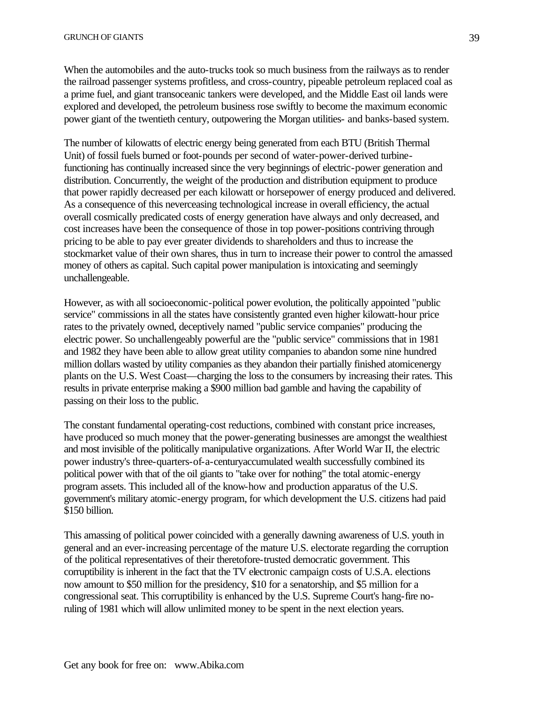When the automobiles and the auto-trucks took so much business from the railways as to render the railroad passenger systems profitless, and cross-country, pipeable petroleum replaced coal as a prime fuel, and giant transoceanic tankers were developed, and the Middle East oil lands were explored and developed, the petroleum business rose swiftly to become the maximum economic power giant of the twentieth century, outpowering the Morgan utilities- and banks-based system.

The number of kilowatts of electric energy being generated from each BTU (British Thermal Unit) of fossil fuels burned or foot-pounds per second of water-power-derived turbinefunctioning has continually increased since the very beginnings of electric-power generation and distribution. Concurrently, the weight of the production and distribution equipment to produce that power rapidly decreased per each kilowatt or horsepower of energy produced and delivered. As a consequence of this neverceasing technological increase in overall efficiency, the actual overall cosmically predicated costs of energy generation have always and only decreased, and cost increases have been the consequence of those in top power-positions contriving through pricing to be able to pay ever greater dividends to shareholders and thus to increase the stockmarket value of their own shares, thus in turn to increase their power to control the amassed money of others as capital. Such capital power manipulation is intoxicating and seemingly unchallengeable.

However, as with all socioeconomic-political power evolution, the politically appointed "public service" commissions in all the states have consistently granted even higher kilowatt-hour price rates to the privately owned, deceptively named "public service companies" producing the electric power. So unchallengeably powerful are the "public service" commissions that in 1981 and 1982 they have been able to allow great utility companies to abandon some nine hundred million dollars wasted by utility companies as they abandon their partially finished atomicenergy plants on the U.S. West Coast—charging the loss to the consumers by increasing their rates. This results in private enterprise making a \$900 million bad gamble and having the capability of passing on their loss to the public.

The constant fundamental operating-cost reductions, combined with constant price increases, have produced so much money that the power-generating businesses are amongst the wealthiest and most invisible of the politically manipulative organizations. After World War II, the electric power industry's three-quarters-of-a-centuryaccumulated wealth successfully combined its political power with that of the oil giants to "take over for nothing" the total atomic-energy program assets. This included all of the know-how and production apparatus of the U.S. government's military atomic-energy program, for which development the U.S. citizens had paid \$150 billion.

This amassing of political power coincided with a generally dawning awareness of U.S. youth in general and an ever-increasing percentage of the mature U.S. electorate regarding the corruption of the political representatives of their theretofore-trusted democratic government. This corruptibility is inherent in the fact that the TV electronic campaign costs of U.S.A. elections now amount to \$50 million for the presidency, \$10 for a senatorship, and \$5 million for a congressional seat. This corruptibility is enhanced by the U.S. Supreme Court's hang-fire noruling of 1981 which will allow unlimited money to be spent in the next election years.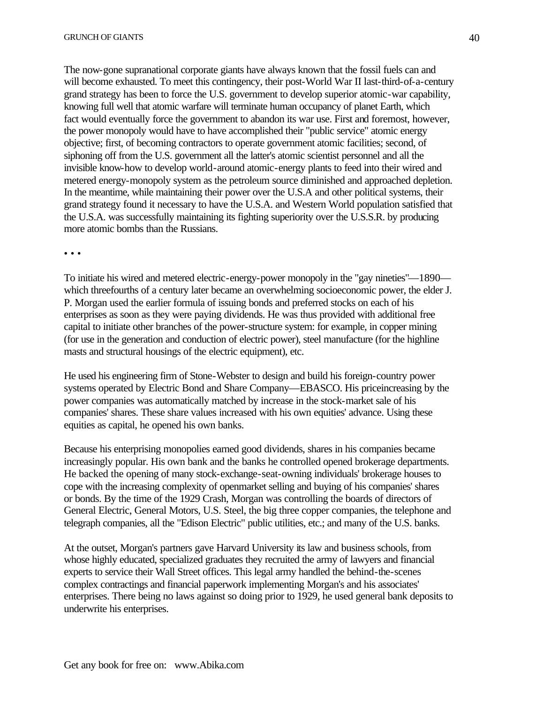The now-gone supranational corporate giants have always known that the fossil fuels can and will become exhausted. To meet this contingency, their post-World War II last-third-of-a-century grand strategy has been to force the U.S. government to develop superior atomic-war capability, knowing full well that atomic warfare will terminate human occupancy of planet Earth, which fact would eventually force the government to abandon its war use. First and foremost, however, the power monopoly would have to have accomplished their "public service" atomic energy objective; first, of becoming contractors to operate government atomic facilities; second, of siphoning off from the U.S. government all the latter's atomic scientist personnel and all the invisible know-how to develop world-around atomic-energy plants to feed into their wired and metered energy-monopoly system as the petroleum source diminished and approached depletion. In the meantime, while maintaining their power over the U.S.A and other political systems, their grand strategy found it necessary to have the U.S.A. and Western World population satisfied that the U.S.A. was successfully maintaining its fighting superiority over the U.S.S.R. by producing more atomic bombs than the Russians.

• • •

To initiate his wired and metered electric-energy-power monopoly in the "gay nineties"—1890 which threefourths of a century later became an overwhelming socioeconomic power, the elder J. P. Morgan used the earlier formula of issuing bonds and preferred stocks on each of his enterprises as soon as they were paying dividends. He was thus provided with additional free capital to initiate other branches of the power-structure system: for example, in copper mining (for use in the generation and conduction of electric power), steel manufacture (for the highline masts and structural housings of the electric equipment), etc.

He used his engineering firm of Stone-Webster to design and build his foreign-country power systems operated by Electric Bond and Share Company—EBASCO. His priceincreasing by the power companies was automatically matched by increase in the stock-market sale of his companies' shares. These share values increased with his own equities' advance. Using these equities as capital, he opened his own banks.

Because his enterprising monopolies earned good dividends, shares in his companies became increasingly popular. His own bank and the banks he controlled opened brokerage departments. He backed the opening of many stock-exchange-seat-owning individuals' brokerage houses to cope with the increasing complexity of openmarket selling and buying of his companies' shares or bonds. By the time of the 1929 Crash, Morgan was controlling the boards of directors of General Electric, General Motors, U.S. Steel, the big three copper companies, the telephone and telegraph companies, all the "Edison Electric" public utilities, etc.; and many of the U.S. banks.

At the outset, Morgan's partners gave Harvard University its law and business schools, from whose highly educated, specialized graduates they recruited the army of lawyers and financial experts to service their Wall Street offices. This legal army handled the behind-the-scenes complex contractings and financial paperwork implementing Morgan's and his associates' enterprises. There being no laws against so doing prior to 1929, he used general bank deposits to underwrite his enterprises.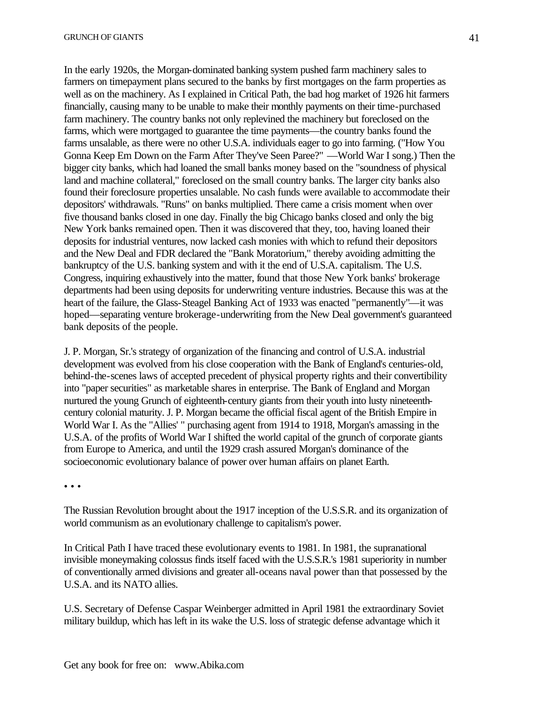In the early 1920s, the Morgan-dominated banking system pushed farm machinery sales to farmers on timepayment plans secured to the banks by first mortgages on the farm properties as well as on the machinery. As I explained in Critical Path, the bad hog market of 1926 hit farmers financially, causing many to be unable to make their monthly payments on their time-purchased farm machinery. The country banks not only replevined the machinery but foreclosed on the farms, which were mortgaged to guarantee the time payments—the country banks found the farms unsalable, as there were no other U.S.A. individuals eager to go into farming. ("How You Gonna Keep Em Down on the Farm After They've Seen Paree?" —World War I song.) Then the bigger city banks, which had loaned the small banks money based on the "soundness of physical land and machine collateral," foreclosed on the small country banks. The larger city banks also found their foreclosure properties unsalable. No cash funds were available to accommodate their depositors' withdrawals. "Runs" on banks multiplied. There came a crisis moment when over five thousand banks closed in one day. Finally the big Chicago banks closed and only the big New York banks remained open. Then it was discovered that they, too, having loaned their deposits for industrial ventures, now lacked cash monies with which to refund their depositors and the New Deal and FDR declared the "Bank Moratorium," thereby avoiding admitting the bankruptcy of the U.S. banking system and with it the end of U.S.A. capitalism. The U.S. Congress, inquiring exhaustively into the matter, found that those New York banks' brokerage departments had been using deposits for underwriting venture industries. Because this was at the heart of the failure, the Glass-Steagel Banking Act of 1933 was enacted "permanently"—it was hoped—separating venture brokerage-underwriting from the New Deal government's guaranteed bank deposits of the people.

J. P. Morgan, Sr.'s strategy of organization of the financing and control of U.S.A. industrial development was evolved from his close cooperation with the Bank of England's centuries-old, behind-the-scenes laws of accepted precedent of physical property rights and their convertibility into "paper securities" as marketable shares in enterprise. The Bank of England and Morgan nurtured the young Grunch of eighteenth-century giants from their youth into lusty nineteenthcentury colonial maturity. J. P. Morgan became the official fiscal agent of the British Empire in World War I. As the "Allies' " purchasing agent from 1914 to 1918, Morgan's amassing in the U.S.A. of the profits of World War I shifted the world capital of the grunch of corporate giants from Europe to America, and until the 1929 crash assured Morgan's dominance of the socioeconomic evolutionary balance of power over human affairs on planet Earth.

#### • • •

The Russian Revolution brought about the 1917 inception of the U.S.S.R. and its organization of world communism as an evolutionary challenge to capitalism's power.

In Critical Path I have traced these evolutionary events to 1981. In 1981, the supranational invisible moneymaking colossus finds itself faced with the U.S.S.R.'s 1981 superiority in number of conventionally armed divisions and greater all-oceans naval power than that possessed by the U.S.A. and its NATO allies.

U.S. Secretary of Defense Caspar Weinberger admitted in April 1981 the extraordinary Soviet military buildup, which has left in its wake the U.S. loss of strategic defense advantage which it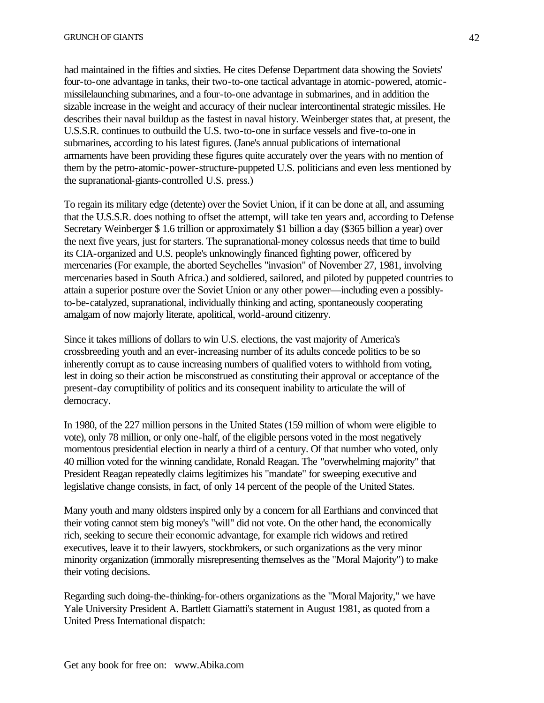had maintained in the fifties and sixties. He cites Defense Department data showing the Soviets' four-to-one advantage in tanks, their two-to-one tactical advantage in atomic-powered, atomicmissilelaunching submarines, and a four-to-one advantage in submarines, and in addition the sizable increase in the weight and accuracy of their nuclear intercontinental strategic missiles. He describes their naval buildup as the fastest in naval history. Weinberger states that, at present, the U.S.S.R. continues to outbuild the U.S. two-to-one in surface vessels and five-to-one in submarines, according to his latest figures. (Jane's annual publications of international armaments have been providing these figures quite accurately over the years with no mention of them by the petro-atomic-power-structure-puppeted U.S. politicians and even less mentioned by the supranational-giants-controlled U.S. press.)

To regain its military edge (detente) over the Soviet Union, if it can be done at all, and assuming that the U.S.S.R. does nothing to offset the attempt, will take ten years and, according to Defense Secretary Weinberger \$ 1.6 trillion or approximately \$1 billion a day (\$365 billion a year) over the next five years, just for starters. The supranational-money colossus needs that time to build its CIA-organized and U.S. people's unknowingly financed fighting power, officered by mercenaries (For example, the aborted Seychelles "invasion" of November 27, 1981, involving mercenaries based in South Africa.) and soldiered, sailored, and piloted by puppeted countries to attain a superior posture over the Soviet Union or any other power—including even a possiblyto-be-catalyzed, supranational, individually thinking and acting, spontaneously cooperating amalgam of now majorly literate, apolitical, world-around citizenry.

Since it takes millions of dollars to win U.S. elections, the vast majority of America's crossbreeding youth and an ever-increasing number of its adults concede politics to be so inherently corrupt as to cause increasing numbers of qualified voters to withhold from voting, lest in doing so their action be misconstrued as constituting their approval or acceptance of the present-day corruptibility of politics and its consequent inability to articulate the will of democracy.

In 1980, of the 227 million persons in the United States (159 million of whom were eligible to vote), only 78 million, or only one-half, of the eligible persons voted in the most negatively momentous presidential election in nearly a third of a century. Of that number who voted, only 40 million voted for the winning candidate, Ronald Reagan. The "overwhelming majority" that President Reagan repeatedly claims legitimizes his "mandate" for sweeping executive and legislative change consists, in fact, of only 14 percent of the people of the United States.

Many youth and many oldsters inspired only by a concern for all Earthians and convinced that their voting cannot stem big money's "will" did not vote. On the other hand, the economically rich, seeking to secure their economic advantage, for example rich widows and retired executives, leave it to their lawyers, stockbrokers, or such organizations as the very minor minority organization (immorally misrepresenting themselves as the "Moral Majority") to make their voting decisions.

Regarding such doing-the-thinking-for-others organizations as the "Moral Majority," we have Yale University President A. Bartlett Giamatti's statement in August 1981, as quoted from a United Press International dispatch: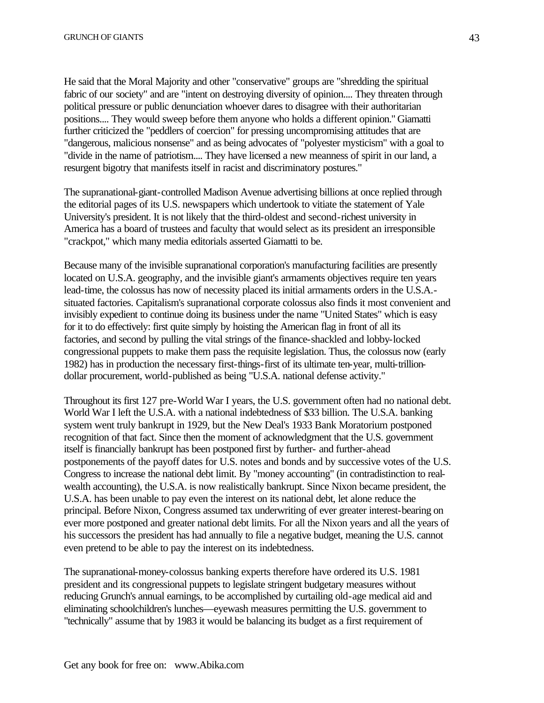He said that the Moral Majority and other "conservative" groups are "shredding the spiritual fabric of our society" and are "intent on destroying diversity of opinion.... They threaten through political pressure or public denunciation whoever dares to disagree with their authoritarian positions.... They would sweep before them anyone who holds a different opinion." Giamatti further criticized the "peddlers of coercion" for pressing uncompromising attitudes that are "dangerous, malicious nonsense" and as being advocates of "polyester mysticism" with a goal to "divide in the name of patriotism.... They have licensed a new meanness of spirit in our land, a resurgent bigotry that manifests itself in racist and discriminatory postures."

The supranational-giant-controlled Madison Avenue advertising billions at once replied through the editorial pages of its U.S. newspapers which undertook to vitiate the statement of Yale University's president. It is not likely that the third-oldest and second-richest university in America has a board of trustees and faculty that would select as its president an irresponsible "crackpot," which many media editorials asserted Giamatti to be.

Because many of the invisible supranational corporation's manufacturing facilities are presently located on U.S.A. geography, and the invisible giant's armaments objectives require ten years lead-time, the colossus has now of necessity placed its initial armaments orders in the U.S.A. situated factories. Capitalism's supranational corporate colossus also finds it most convenient and invisibly expedient to continue doing its business under the name "United States" which is easy for it to do effectively: first quite simply by hoisting the American flag in front of all its factories, and second by pulling the vital strings of the finance-shackled and lobby-locked congressional puppets to make them pass the requisite legislation. Thus, the colossus now (early 1982) has in production the necessary first-things-first of its ultimate ten-year, multi-trilliondollar procurement, world-published as being "U.S.A. national defense activity."

Throughout its first 127 pre-World War I years, the U.S. government often had no national debt. World War I left the U.S.A. with a national indebtedness of \$33 billion. The U.S.A. banking system went truly bankrupt in 1929, but the New Deal's 1933 Bank Moratorium postponed recognition of that fact. Since then the moment of acknowledgment that the U.S. government itself is financially bankrupt has been postponed first by further- and further-ahead postponements of the payoff dates for U.S. notes and bonds and by successive votes of the U.S. Congress to increase the national debt limit. By "money accounting" (in contradistinction to realwealth accounting), the U.S.A. is now realistically bankrupt. Since Nixon became president, the U.S.A. has been unable to pay even the interest on its national debt, let alone reduce the principal. Before Nixon, Congress assumed tax underwriting of ever greater interest-bearing on ever more postponed and greater national debt limits. For all the Nixon years and all the years of his successors the president has had annually to file a negative budget, meaning the U.S. cannot even pretend to be able to pay the interest on its indebtedness.

The supranational-money-colossus banking experts therefore have ordered its U.S. 1981 president and its congressional puppets to legislate stringent budgetary measures without reducing Grunch's annual earnings, to be accomplished by curtailing old-age medical aid and eliminating schoolchildren's lunches—eyewash measures permitting the U.S. government to "technically" assume that by 1983 it would be balancing its budget as a first requirement of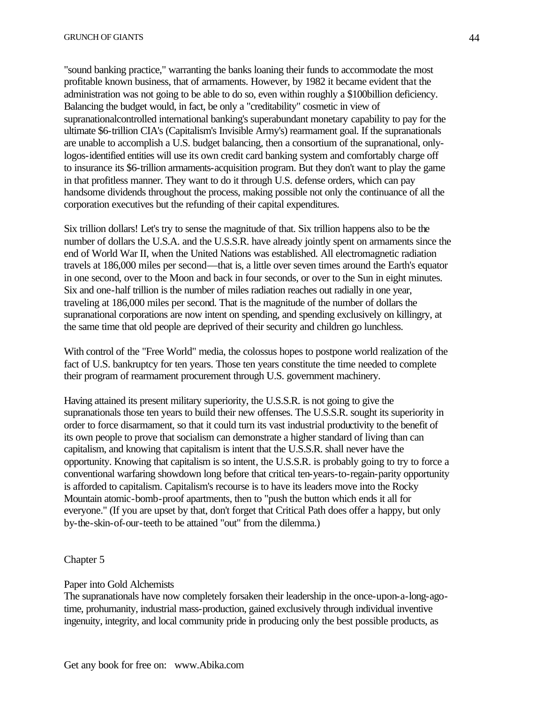"sound banking practice," warranting the banks loaning their funds to accommodate the most profitable known business, that of armaments. However, by 1982 it became evident that the administration was not going to be able to do so, even within roughly a \$100billion deficiency. Balancing the budget would, in fact, be only a "creditability" cosmetic in view of supranationalcontrolled international banking's superabundant monetary capability to pay for the ultimate \$6-trillion CIA's (Capitalism's Invisible Army's) rearmament goal. If the supranationals are unable to accomplish a U.S. budget balancing, then a consortium of the supranational, onlylogos-identified entities will use its own credit card banking system and comfortably charge off to insurance its \$6-trillion armaments-acquisition program. But they don't want to play the game in that profitless manner. They want to do it through U.S. defense orders, which can pay handsome dividends throughout the process, making possible not only the continuance of all the corporation executives but the refunding of their capital expenditures.

Six trillion dollars! Let's try to sense the magnitude of that. Six trillion happens also to be the number of dollars the U.S.A. and the U.S.S.R. have already jointly spent on armaments since the end of World War II, when the United Nations was established. All electromagnetic radiation travels at 186,000 miles per second—that is, a little over seven times around the Earth's equator in one second, over to the Moon and back in four seconds, or over to the Sun in eight minutes. Six and one-half trillion is the number of miles radiation reaches out radially in one year, traveling at 186,000 miles per second. That is the magnitude of the number of dollars the supranational corporations are now intent on spending, and spending exclusively on killingry, at the same time that old people are deprived of their security and children go lunchless.

With control of the "Free World" media, the colossus hopes to postpone world realization of the fact of U.S. bankruptcy for ten years. Those ten years constitute the time needed to complete their program of rearmament procurement through U.S. government machinery.

Having attained its present military superiority, the U.S.S.R. is not going to give the supranationals those ten years to build their new offenses. The U.S.S.R. sought its superiority in order to force disarmament, so that it could turn its vast industrial productivity to the benefit of its own people to prove that socialism can demonstrate a higher standard of living than can capitalism, and knowing that capitalism is intent that the U.S.S.R. shall never have the opportunity. Knowing that capitalism is so intent, the U.S.S.R. is probably going to try to force a conventional warfaring showdown long before that critical ten-years-to-regain-parity opportunity is afforded to capitalism. Capitalism's recourse is to have its leaders move into the Rocky Mountain atomic-bomb-proof apartments, then to "push the button which ends it all for everyone." (If you are upset by that, don't forget that Critical Path does offer a happy, but only by-the-skin-of-our-teeth to be attained "out" from the dilemma.)

#### Chapter 5

#### Paper into Gold Alchemists

The supranationals have now completely forsaken their leadership in the once-upon-a-long-agotime, prohumanity, industrial mass-production, gained exclusively through individual inventive ingenuity, integrity, and local community pride in producing only the best possible products, as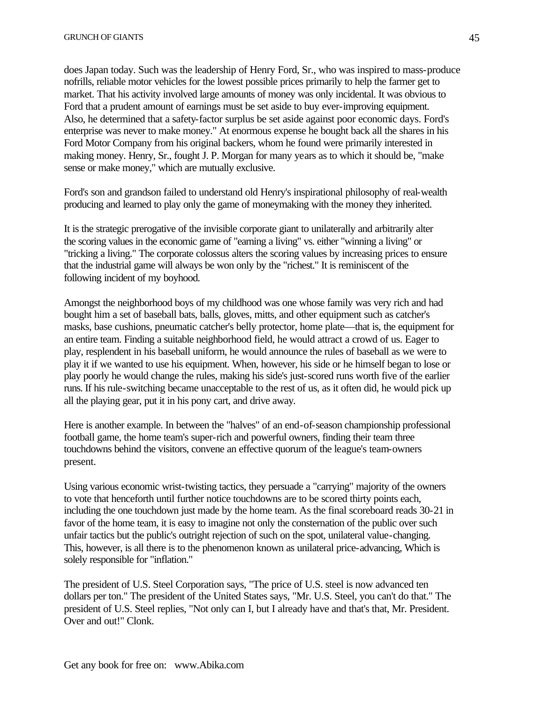does Japan today. Such was the leadership of Henry Ford, Sr., who was inspired to mass-produce nofrills, reliable motor vehicles for the lowest possible prices primarily to help the farmer get to market. That his activity involved large amounts of money was only incidental. It was obvious to Ford that a prudent amount of earnings must be set aside to buy ever-improving equipment. Also, he determined that a safety-factor surplus be set aside against poor economic days. Ford's enterprise was never to make money." At enormous expense he bought back all the shares in his Ford Motor Company from his original backers, whom he found were primarily interested in making money. Henry, Sr., fought J. P. Morgan for many years as to which it should be, "make sense or make money," which are mutually exclusive.

Ford's son and grandson failed to understand old Henry's inspirational philosophy of real-wealth producing and learned to play only the game of moneymaking with the money they inherited.

It is the strategic prerogative of the invisible corporate giant to unilaterally and arbitrarily alter the scoring values in the economic game of "earning a living" vs. either "winning a living" or "tricking a living." The corporate colossus alters the scoring values by increasing prices to ensure that the industrial game will always be won only by the "richest." It is reminiscent of the following incident of my boyhood.

Amongst the neighborhood boys of my childhood was one whose family was very rich and had bought him a set of baseball bats, balls, gloves, mitts, and other equipment such as catcher's masks, base cushions, pneumatic catcher's belly protector, home plate—that is, the equipment for an entire team. Finding a suitable neighborhood field, he would attract a crowd of us. Eager to play, resplendent in his baseball uniform, he would announce the rules of baseball as we were to play it if we wanted to use his equipment. When, however, his side or he himself began to lose or play poorly he would change the rules, making his side's just-scored runs worth five of the earlier runs. If his rule-switching became unacceptable to the rest of us, as it often did, he would pick up all the playing gear, put it in his pony cart, and drive away.

Here is another example. In between the "halves" of an end-of-season championship professional football game, the home team's super-rich and powerful owners, finding their team three touchdowns behind the visitors, convene an effective quorum of the league's team-owners present.

Using various economic wrist-twisting tactics, they persuade a "carrying" majority of the owners to vote that henceforth until further notice touchdowns are to be scored thirty points each, including the one touchdown just made by the home team. As the final scoreboard reads 30-21 in favor of the home team, it is easy to imagine not only the consternation of the public over such unfair tactics but the public's outright rejection of such on the spot, unilateral value-changing. This, however, is all there is to the phenomenon known as unilateral price-advancing, Which is solely responsible for "inflation."

The president of U.S. Steel Corporation says, "The price of U.S. steel is now advanced ten dollars per ton." The president of the United States says, "Mr. U.S. Steel, you can't do that." The president of U.S. Steel replies, "Not only can I, but I already have and that's that, Mr. President. Over and out!" Clonk.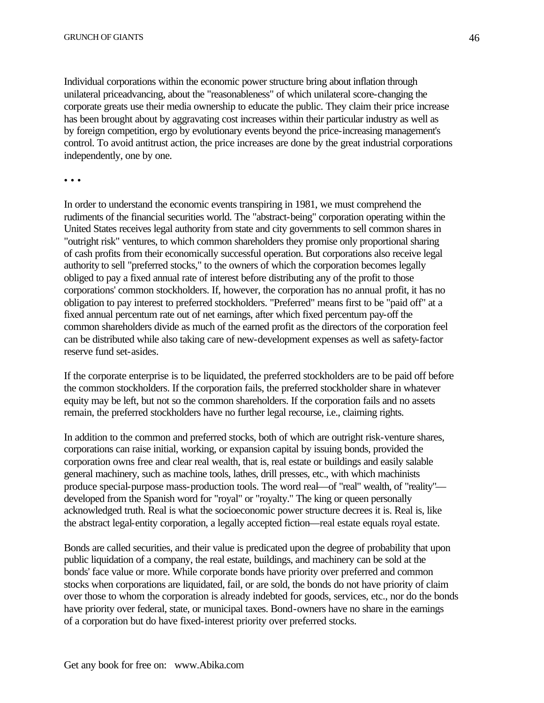Individual corporations within the economic power structure bring about inflation through unilateral priceadvancing, about the "reasonableness" of which unilateral score-changing the corporate greats use their media ownership to educate the public. They claim their price increase has been brought about by aggravating cost increases within their particular industry as well as by foreign competition, ergo by evolutionary events beyond the price-increasing management's control. To avoid antitrust action, the price increases are done by the great industrial corporations independently, one by one.

#### • • •

In order to understand the economic events transpiring in 1981, we must comprehend the rudiments of the financial securities world. The "abstract-being" corporation operating within the United States receives legal authority from state and city governments to sell common shares in "outright risk" ventures, to which common shareholders they promise only proportional sharing of cash profits from their economically successful operation. But corporations also receive legal authority to sell "preferred stocks," to the owners of which the corporation becomes legally obliged to pay a fixed annual rate of interest before distributing any of the profit to those corporations' common stockholders. If, however, the corporation has no annual profit, it has no obligation to pay interest to preferred stockholders. "Preferred" means first to be "paid off" at a fixed annual percentum rate out of net earnings, after which fixed percentum pay-off the common shareholders divide as much of the earned profit as the directors of the corporation feel can be distributed while also taking care of new-development expenses as well as safety-factor reserve fund set-asides.

If the corporate enterprise is to be liquidated, the preferred stockholders are to be paid off before the common stockholders. If the corporation fails, the preferred stockholder share in whatever equity may be left, but not so the common shareholders. If the corporation fails and no assets remain, the preferred stockholders have no further legal recourse, i.e., claiming rights.

In addition to the common and preferred stocks, both of which are outright risk-venture shares, corporations can raise initial, working, or expansion capital by issuing bonds, provided the corporation owns free and clear real wealth, that is, real estate or buildings and easily salable general machinery, such as machine tools, lathes, drill presses, etc., with which machinists produce special-purpose mass-production tools. The word real—of "real" wealth, of "reality" developed from the Spanish word for "royal" or "royalty." The king or queen personally acknowledged truth. Real is what the socioeconomic power structure decrees it is. Real is, like the abstract legal-entity corporation, a legally accepted fiction—real estate equals royal estate.

Bonds are called securities, and their value is predicated upon the degree of probability that upon public liquidation of a company, the real estate, buildings, and machinery can be sold at the bonds' face value or more. While corporate bonds have priority over preferred and common stocks when corporations are liquidated, fail, or are sold, the bonds do not have priority of claim over those to whom the corporation is already indebted for goods, services, etc., nor do the bonds have priority over federal, state, or municipal taxes. Bond-owners have no share in the earnings of a corporation but do have fixed-interest priority over preferred stocks.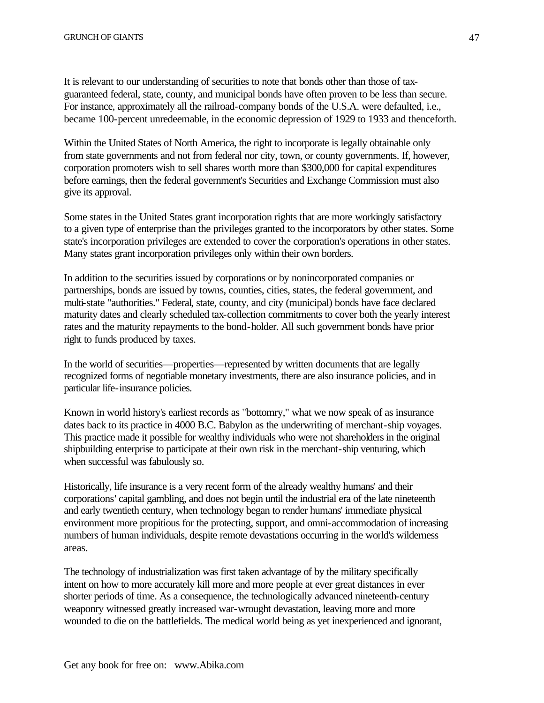It is relevant to our understanding of securities to note that bonds other than those of taxguaranteed federal, state, county, and municipal bonds have often proven to be less than secure. For instance, approximately all the railroad-company bonds of the U.S.A. were defaulted, i.e., became 100-percent unredeemable, in the economic depression of 1929 to 1933 and thenceforth.

Within the United States of North America, the right to incorporate is legally obtainable only from state governments and not from federal nor city, town, or county governments. If, however, corporation promoters wish to sell shares worth more than \$300,000 for capital expenditures before earnings, then the federal government's Securities and Exchange Commission must also give its approval.

Some states in the United States grant incorporation rights that are more workingly satisfactory to a given type of enterprise than the privileges granted to the incorporators by other states. Some state's incorporation privileges are extended to cover the corporation's operations in other states. Many states grant incorporation privileges only within their own borders.

In addition to the securities issued by corporations or by nonincorporated companies or partnerships, bonds are issued by towns, counties, cities, states, the federal government, and multi-state "authorities." Federal, state, county, and city (municipal) bonds have face declared maturity dates and clearly scheduled tax-collection commitments to cover both the yearly interest rates and the maturity repayments to the bond-holder. All such government bonds have prior right to funds produced by taxes.

In the world of securities—properties—represented by written documents that are legally recognized forms of negotiable monetary investments, there are also insurance policies, and in particular life-insurance policies.

Known in world history's earliest records as "bottomry," what we now speak of as insurance dates back to its practice in 4000 B.C. Babylon as the underwriting of merchant-ship voyages. This practice made it possible for wealthy individuals who were not shareholders in the original shipbuilding enterprise to participate at their own risk in the merchant-ship venturing, which when successful was fabulously so.

Historically, life insurance is a very recent form of the already wealthy humans' and their corporations' capital gambling, and does not begin until the industrial era of the late nineteenth and early twentieth century, when technology began to render humans' immediate physical environment more propitious for the protecting, support, and omni-accommodation of increasing numbers of human individuals, despite remote devastations occurring in the world's wilderness areas.

The technology of industrialization was first taken advantage of by the military specifically intent on how to more accurately kill more and more people at ever great distances in ever shorter periods of time. As a consequence, the technologically advanced nineteenth-century weaponry witnessed greatly increased war-wrought devastation, leaving more and more wounded to die on the battlefields. The medical world being as yet inexperienced and ignorant,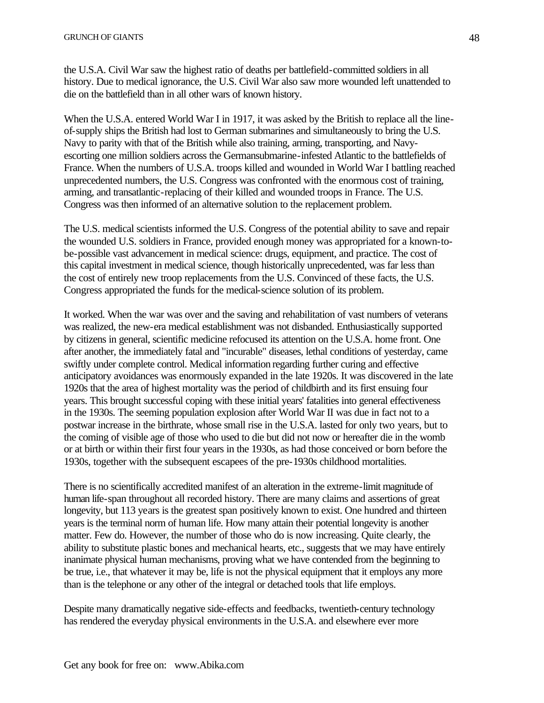the U.S.A. Civil War saw the highest ratio of deaths per battlefield-committed soldiers in all history. Due to medical ignorance, the U.S. Civil War also saw more wounded left unattended to die on the battlefield than in all other wars of known history.

When the U.S.A. entered World War I in 1917, it was asked by the British to replace all the lineof-supply ships the British had lost to German submarines and simultaneously to bring the U.S. Navy to parity with that of the British while also training, arming, transporting, and Navyescorting one million soldiers across the Germansubmarine-infested Atlantic to the battlefields of France. When the numbers of U.S.A. troops killed and wounded in World War I battling reached unprecedented numbers, the U.S. Congress was confronted with the enormous cost of training, arming, and transatlantic-replacing of their killed and wounded troops in France. The U.S. Congress was then informed of an alternative solution to the replacement problem.

The U.S. medical scientists informed the U.S. Congress of the potential ability to save and repair the wounded U.S. soldiers in France, provided enough money was appropriated for a known-tobe-possible vast advancement in medical science: drugs, equipment, and practice. The cost of this capital investment in medical science, though historically unprecedented, was far less than the cost of entirely new troop replacements from the U.S. Convinced of these facts, the U.S. Congress appropriated the funds for the medical-science solution of its problem.

It worked. When the war was over and the saving and rehabilitation of vast numbers of veterans was realized, the new-era medical establishment was not disbanded. Enthusiastically supported by citizens in general, scientific medicine refocused its attention on the U.S.A. home front. One after another, the immediately fatal and "incurable" diseases, lethal conditions of yesterday, came swiftly under complete control. Medical information regarding further curing and effective anticipatory avoidances was enormously expanded in the late 1920s. It was discovered in the late 1920s that the area of highest mortality was the period of childbirth and its first ensuing four years. This brought successful coping with these initial years' fatalities into general effectiveness in the 1930s. The seeming population explosion after World War II was due in fact not to a postwar increase in the birthrate, whose small rise in the U.S.A. lasted for only two years, but to the coming of visible age of those who used to die but did not now or hereafter die in the womb or at birth or within their first four years in the 1930s, as had those conceived or born before the 1930s, together with the subsequent escapees of the pre-1930s childhood mortalities.

There is no scientifically accredited manifest of an alteration in the extreme-limit magnitude of human life-span throughout all recorded history. There are many claims and assertions of great longevity, but 113 years is the greatest span positively known to exist. One hundred and thirteen years is the terminal norm of human life. How many attain their potential longevity is another matter. Few do. However, the number of those who do is now increasing. Quite clearly, the ability to substitute plastic bones and mechanical hearts, etc., suggests that we may have entirely inanimate physical human mechanisms, proving what we have contended from the beginning to be true, i.e., that whatever it may be, life is not the physical equipment that it employs any more than is the telephone or any other of the integral or detached tools that life employs.

Despite many dramatically negative side-effects and feedbacks, twentieth-century technology has rendered the everyday physical environments in the U.S.A. and elsewhere ever more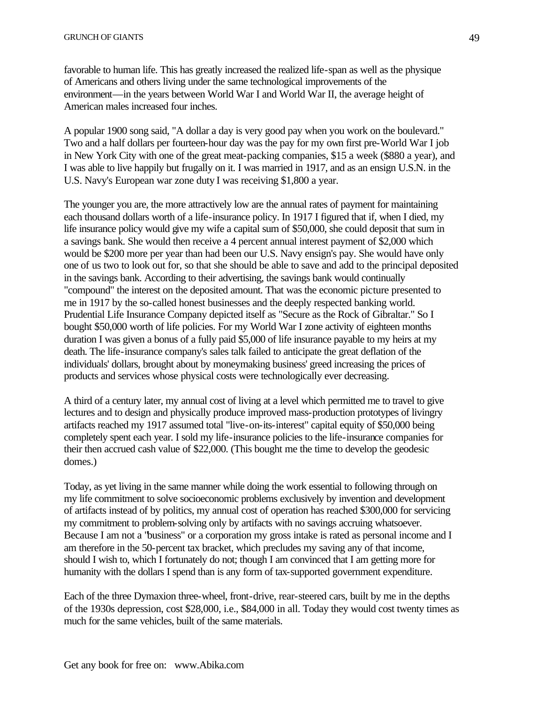favorable to human life. This has greatly increased the realized life-span as well as the physique of Americans and others living under the same technological improvements of the environment—in the years between World War I and World War II, the average height of American males increased four inches.

A popular 1900 song said, "A dollar a day is very good pay when you work on the boulevard." Two and a half dollars per fourteen-hour day was the pay for my own first pre-World War I job in New York City with one of the great meat-packing companies, \$15 a week (\$880 a year), and I was able to live happily but frugally on it. I was married in 1917, and as an ensign U.S.N. in the U.S. Navy's European war zone duty I was receiving \$1,800 a year.

The younger you are, the more attractively low are the annual rates of payment for maintaining each thousand dollars worth of a life-insurance policy. In 1917 I figured that if, when I died, my life insurance policy would give my wife a capital sum of \$50,000, she could deposit that sum in a savings bank. She would then receive a 4 percent annual interest payment of \$2,000 which would be \$200 more per year than had been our U.S. Navy ensign's pay. She would have only one of us two to look out for, so that she should be able to save and add to the principal deposited in the savings bank. According to their advertising, the savings bank would continually "compound" the interest on the deposited amount. That was the economic picture presented to me in 1917 by the so-called honest businesses and the deeply respected banking world. Prudential Life Insurance Company depicted itself as "Secure as the Rock of Gibraltar." So I bought \$50,000 worth of life policies. For my World War I zone activity of eighteen months duration I was given a bonus of a fully paid \$5,000 of life insurance payable to my heirs at my death. The life-insurance company's sales talk failed to anticipate the great deflation of the individuals' dollars, brought about by moneymaking business' greed increasing the prices of products and services whose physical costs were technologically ever decreasing.

A third of a century later, my annual cost of living at a level which permitted me to travel to give lectures and to design and physically produce improved mass-production prototypes of livingry artifacts reached my 1917 assumed total "live-on-its-interest" capital equity of \$50,000 being completely spent each year. I sold my life-insurance policies to the life-insurance companies for their then accrued cash value of \$22,000. (This bought me the time to develop the geodesic domes.)

Today, as yet living in the same manner while doing the work essential to following through on my life commitment to solve socioeconomic problems exclusively by invention and development of artifacts instead of by politics, my annual cost of operation has reached \$300,000 for servicing my commitment to problem-solving only by artifacts with no savings accruing whatsoever. Because I am not a "business" or a corporation my gross intake is rated as personal income and I am therefore in the 50-percent tax bracket, which precludes my saving any of that income, should I wish to, which I fortunately do not; though I am convinced that I am getting more for humanity with the dollars I spend than is any form of tax-supported government expenditure.

Each of the three Dymaxion three-wheel, front-drive, rear-steered cars, built by me in the depths of the 1930s depression, cost \$28,000, i.e., \$84,000 in all. Today they would cost twenty times as much for the same vehicles, built of the same materials.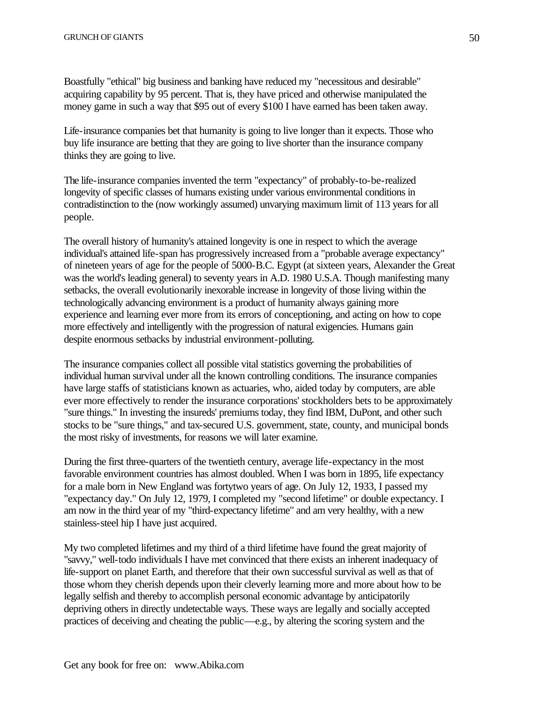Boastfully "ethical" big business and banking have reduced my "necessitous and desirable" acquiring capability by 95 percent. That is, they have priced and otherwise manipulated the money game in such a way that \$95 out of every \$100 I have earned has been taken away.

Life-insurance companies bet that humanity is going to live longer than it expects. Those who buy life insurance are betting that they are going to live shorter than the insurance company thinks they are going to live.

The life-insurance companies invented the term "expectancy" of probably-to-be-realized longevity of specific classes of humans existing under various environmental conditions in contradistinction to the (now workingly assumed) unvarying maximum limit of 113 years for all people.

The overall history of humanity's attained longevity is one in respect to which the average individual's attained life-span has progressively increased from a "probable average expectancy" of nineteen years of age for the people of 5000-B.C. Egypt (at sixteen years, Alexander the Great was the world's leading general) to seventy years in A.D. 1980 U.S.A. Though manifesting many setbacks, the overall evolutionarily inexorable increase in longevity of those living within the technologically advancing environment is a product of humanity always gaining more experience and learning ever more from its errors of conceptioning, and acting on how to cope more effectively and intelligently with the progression of natural exigencies. Humans gain despite enormous setbacks by industrial environment-polluting.

The insurance companies collect all possible vital statistics governing the probabilities of individual human survival under all the known controlling conditions. The insurance companies have large staffs of statisticians known as actuaries, who, aided today by computers, are able ever more effectively to render the insurance corporations' stockholders bets to be approximately "sure things." In investing the insureds' premiums today, they find IBM, DuPont, and other such stocks to be "sure things," and tax-secured U.S. government, state, county, and municipal bonds the most risky of investments, for reasons we will later examine.

During the first three-quarters of the twentieth century, average life-expectancy in the most favorable environment countries has almost doubled. When I was born in 1895, life expectancy for a male born in New England was fortytwo years of age. On July 12, 1933, I passed my "expectancy day." On July 12, 1979, I completed my "second lifetime" or double expectancy. I am now in the third year of my "third-expectancy lifetime" and am very healthy, with a new stainless-steel hip I have just acquired.

My two completed lifetimes and my third of a third lifetime have found the great majority of "savvy," well-todo individuals I have met convinced that there exists an inherent inadequacy of life-support on planet Earth, and therefore that their own successful survival as well as that of those whom they cherish depends upon their cleverly learning more and more about how to be legally selfish and thereby to accomplish personal economic advantage by anticipatorily depriving others in directly undetectable ways. These ways are legally and socially accepted practices of deceiving and cheating the public—e.g., by altering the scoring system and the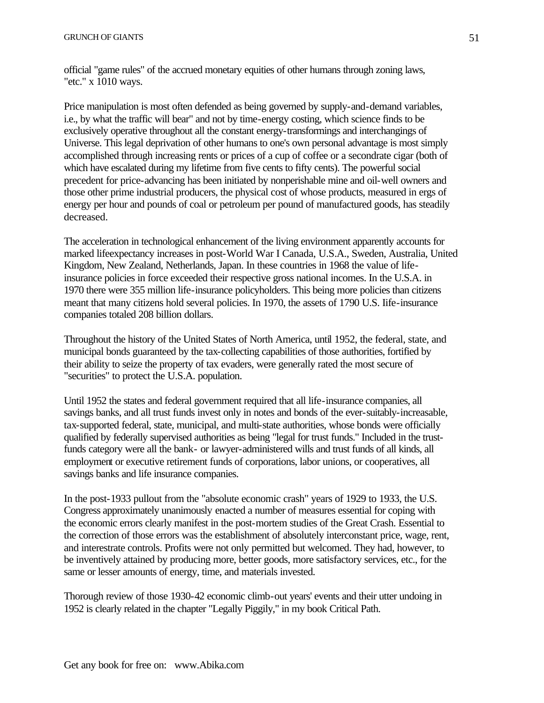official "game rules" of the accrued monetary equities of other humans through zoning laws, "etc." x 1010 ways.

Price manipulation is most often defended as being governed by supply-and-demand variables, i.e., by what the traffic will bear" and not by time-energy costing, which science finds to be exclusively operative throughout all the constant energy-transformings and interchangings of Universe. This legal deprivation of other humans to one's own personal advantage is most simply accomplished through increasing rents or prices of a cup of coffee or a secondrate cigar (both of which have escalated during my lifetime from five cents to fifty cents). The powerful social precedent for price-advancing has been initiated by nonperishable mine and oil-well owners and those other prime industrial producers, the physical cost of whose products, measured in ergs of energy per hour and pounds of coal or petroleum per pound of manufactured goods, has steadily decreased.

The acceleration in technological enhancement of the living environment apparently accounts for marked lifeexpectancy increases in post-World War I Canada, U.S.A., Sweden, Australia, United Kingdom, New Zealand, Netherlands, Japan. In these countries in 1968 the value of lifeinsurance policies in force exceeded their respective gross national incomes. In the U.S.A. in 1970 there were 355 million life-insurance policyholders. This being more policies than citizens meant that many citizens hold several policies. In 1970, the assets of 1790 U.S. Iife-insurance companies totaled 208 billion dollars.

Throughout the history of the United States of North America, until 1952, the federal, state, and municipal bonds guaranteed by the tax-collecting capabilities of those authorities, fortified by their ability to seize the property of tax evaders, were generally rated the most secure of "securities" to protect the U.S.A. population.

Until 1952 the states and federal government required that all life-insurance companies, all savings banks, and all trust funds invest only in notes and bonds of the ever-suitably-increasable, tax-supported federal, state, municipal, and multi-state authorities, whose bonds were officially qualified by federally supervised authorities as being "legal for trust funds." Included in the trustfunds category were all the bank- or lawyer-administered wills and trust funds of all kinds, all employment or executive retirement funds of corporations, labor unions, or cooperatives, all savings banks and life insurance companies.

In the post-1933 pullout from the "absolute economic crash" years of 1929 to 1933, the U.S. Congress approximately unanimously enacted a number of measures essential for coping with the economic errors clearly manifest in the post-mortem studies of the Great Crash. Essential to the correction of those errors was the establishment of absolutely interconstant price, wage, rent, and interestrate controls. Profits were not only permitted but welcomed. They had, however, to be inventively attained by producing more, better goods, more satisfactory services, etc., for the same or lesser amounts of energy, time, and materials invested.

Thorough review of those 1930-42 economic climb-out years' events and their utter undoing in 1952 is clearly related in the chapter "Legally Piggily," in my book Critical Path.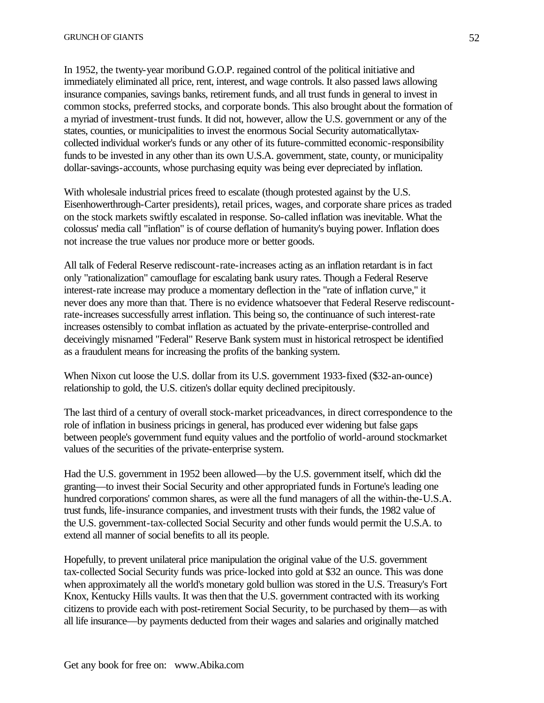In 1952, the twenty-year moribund G.O.P. regained control of the political initiative and immediately eliminated all price, rent, interest, and wage controls. It also passed laws allowing insurance companies, savings banks, retirement funds, and all trust funds in general to invest in common stocks, preferred stocks, and corporate bonds. This also brought about the formation of a myriad of investment-trust funds. It did not, however, allow the U.S. government or any of the states, counties, or municipalities to invest the enormous Social Security automaticallytaxcollected individual worker's funds or any other of its future-committed economic-responsibility funds to be invested in any other than its own U.S.A. government, state, county, or municipality dollar-savings-accounts, whose purchasing equity was being ever depreciated by inflation.

With wholesale industrial prices freed to escalate (though protested against by the U.S. Eisenhowerthrough-Carter presidents), retail prices, wages, and corporate share prices as traded on the stock markets swiftly escalated in response. So-called inflation was inevitable. What the colossus' media call "inflation" is of course deflation of humanity's buying power. Inflation does not increase the true values nor produce more or better goods.

All talk of Federal Reserve rediscount-rate-increases acting as an inflation retardant is in fact only "rationalization" camouflage for escalating bank usury rates. Though a Federal Reserve interest-rate increase may produce a momentary deflection in the "rate of inflation curve," it never does any more than that. There is no evidence whatsoever that Federal Reserve rediscountrate-increases successfully arrest inflation. This being so, the continuance of such interest-rate increases ostensibly to combat inflation as actuated by the private-enterprise-controlled and deceivingly misnamed "Federal" Reserve Bank system must in historical retrospect be identified as a fraudulent means for increasing the profits of the banking system.

When Nixon cut loose the U.S. dollar from its U.S. government 1933-fixed (\$32-an-ounce) relationship to gold, the U.S. citizen's dollar equity declined precipitously.

The last third of a century of overall stock-market priceadvances, in direct correspondence to the role of inflation in business pricings in general, has produced ever widening but false gaps between people's government fund equity values and the portfolio of world-around stockmarket values of the securities of the private-enterprise system.

Had the U.S. government in 1952 been allowed—by the U.S. government itself, which did the granting—to invest their Social Security and other appropriated funds in Fortune's leading one hundred corporations' common shares, as were all the fund managers of all the within-the-U.S.A. trust funds, life-insurance companies, and investment trusts with their funds, the 1982 value of the U.S. government-tax-collected Social Security and other funds would permit the U.S.A. to extend all manner of social benefits to all its people.

Hopefully, to prevent unilateral price manipulation the original value of the U.S. government tax-collected Social Security funds was price-locked into gold at \$32 an ounce. This was done when approximately all the world's monetary gold bullion was stored in the U.S. Treasury's Fort Knox, Kentucky Hills vaults. It was then that the U.S. government contracted with its working citizens to provide each with post-retirement Social Security, to be purchased by them—as with all life insurance—by payments deducted from their wages and salaries and originally matched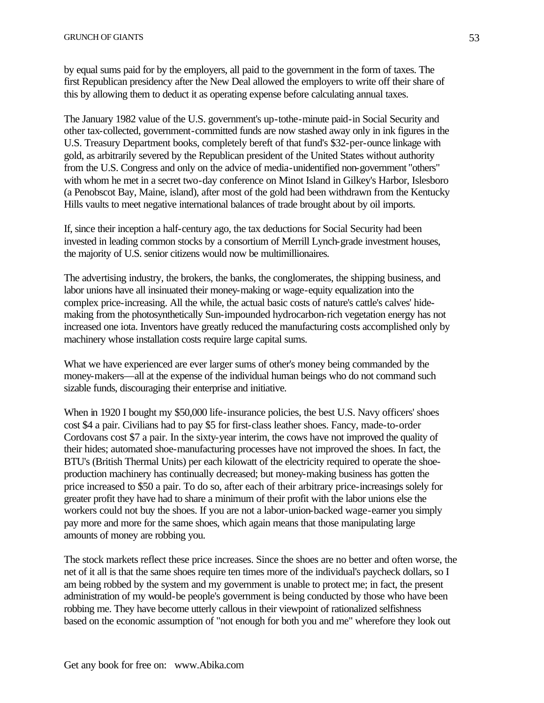by equal sums paid for by the employers, all paid to the government in the form of taxes. The first Republican presidency after the New Deal allowed the employers to write off their share of this by allowing them to deduct it as operating expense before calculating annual taxes.

The January 1982 value of the U.S. government's up-tothe-minute paid-in Social Security and other tax-collected, government-committed funds are now stashed away only in ink figures in the U.S. Treasury Department books, completely bereft of that fund's \$32-per-ounce linkage with gold, as arbitrarily severed by the Republican president of the United States without authority from the U.S. Congress and only on the advice of media-unidentified non-government "others" with whom he met in a secret two-day conference on Minot Island in Gilkey's Harbor, Islesboro (a Penobscot Bay, Maine, island), after most of the gold had been withdrawn from the Kentucky Hills vaults to meet negative international balances of trade brought about by oil imports.

If, since their inception a half-century ago, the tax deductions for Social Security had been invested in leading common stocks by a consortium of Merrill Lynch-grade investment houses, the majority of U.S. senior citizens would now be multimillionaires.

The advertising industry, the brokers, the banks, the conglomerates, the shipping business, and labor unions have all insinuated their money-making or wage-equity equalization into the complex price-increasing. All the while, the actual basic costs of nature's cattle's calves' hidemaking from the photosynthetically Sun-impounded hydrocarbon-rich vegetation energy has not increased one iota. Inventors have greatly reduced the manufacturing costs accomplished only by machinery whose installation costs require large capital sums.

What we have experienced are ever larger sums of other's money being commanded by the money-makers—all at the expense of the individual human beings who do not command such sizable funds, discouraging their enterprise and initiative.

When in 1920 I bought my \$50,000 life-insurance policies, the best U.S. Navy officers' shoes cost \$4 a pair. Civilians had to pay \$5 for first-class leather shoes. Fancy, made-to-order Cordovans cost \$7 a pair. In the sixty-year interim, the cows have not improved the quality of their hides; automated shoe-manufacturing processes have not improved the shoes. In fact, the BTU's (British Thermal Units) per each kilowatt of the electricity required to operate the shoeproduction machinery has continually decreased; but money-making business has gotten the price increased to \$50 a pair. To do so, after each of their arbitrary price-increasings solely for greater profit they have had to share a minimum of their profit with the labor unions else the workers could not buy the shoes. If you are not a labor-union-backed wage-earner you simply pay more and more for the same shoes, which again means that those manipulating large amounts of money are robbing you.

The stock markets reflect these price increases. Since the shoes are no better and often worse, the net of it all is that the same shoes require ten times more of the individual's paycheck dollars, so I am being robbed by the system and my government is unable to protect me; in fact, the present administration of my would-be people's government is being conducted by those who have been robbing me. They have become utterly callous in their viewpoint of rationalized selfishness based on the economic assumption of "not enough for both you and me" wherefore they look out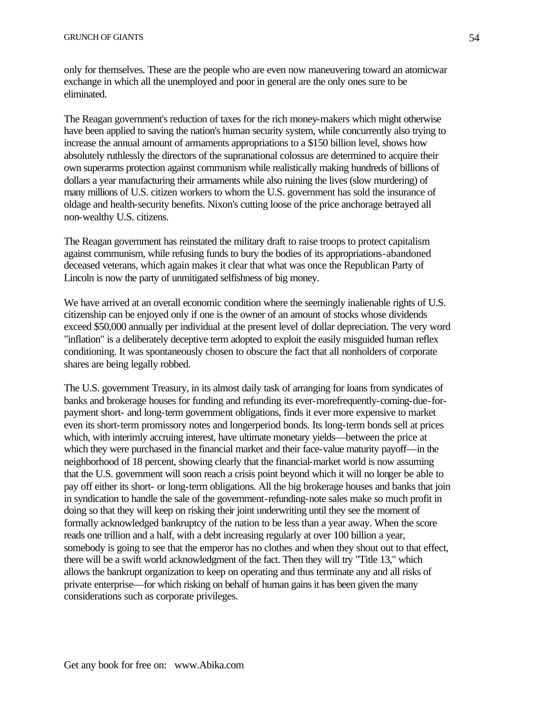only for themselves. These are the people who are even now maneuvering toward an atomicwar exchange in which all the unemployed and poor in general are the only ones sure to be eliminated.

The Reagan government's reduction of taxes for the rich money-makers which might otherwise have been applied to saving the nation's human security system, while concurrently also trying to increase the annual amount of armaments appropriations to a \$150 billion level, shows how absolutely ruthlessly the directors of the supranational colossus are determined to acquire their own superarms protection against communism while realistically making hundreds of billions of dollars a year manufacturing their armaments while also ruining the lives (slow murdering) of many millions of U.S. citizen workers to whom the U.S. government has sold the insurance of oldage and health-security benefits. Nixon's cutting loose of the price anchorage betrayed all non-wealthy U.S. citizens.

The Reagan government has reinstated the military draft to raise troops to protect capitalism against communism, while refusing funds to bury the bodies of its appropriations-abandoned deceased veterans, which again makes it clear that what was once the Republican Party of Lincoln is now the party of unmitigated selfishness of big money.

We have arrived at an overall economic condition where the seemingly inalienable rights of U.S. citizenship can be enjoyed only if one is the owner of an amount of stocks whose dividends exceed \$50,000 annually per individual at the present level of dollar depreciation. The very word "inflation" is a deliberately deceptive term adopted to exploit the easily misguided human reflex conditioning. It was spontaneously chosen to obscure the fact that all nonholders of corporate shares are being legally robbed.

The U.S. government Treasury, in its almost daily task of arranging for loans from syndicates of banks and brokerage houses for funding and refunding its ever-morefrequently-coming-due-forpayment short- and long-term government obligations, finds it ever more expensive to market even its short-term promissory notes and longerperiod bonds. Its long-term bonds sell at prices which, with interimly accruing interest, have ultimate monetary yields—between the price at which they were purchased in the financial market and their face-value maturity payoff—in the neighborhood of 18 percent, showing clearly that the financial-market world is now assuming that the U.S. government will soon reach a crisis point beyond which it will no longer be able to pay off either its short- or long-term obligations. All the big brokerage houses and banks that join in syndication to handle the sale of the government-refunding-note sales make so much profit in doing so that they will keep on risking their joint underwriting until they see the moment of formally acknowledged bankruptcy of the nation to be less than a year away. When the score reads one trillion and a half, with a debt increasing regularly at over 100 billion a year, somebody is going to see that the emperor has no clothes and when they shout out to that effect, there will be a swift world acknowledgment of the fact. Then they will try "Title 13," which allows the bankrupt organization to keep on operating and thus terminate any and all risks of private enterprise—for which risking on behalf of human gains it has been given the many considerations such as corporate privileges.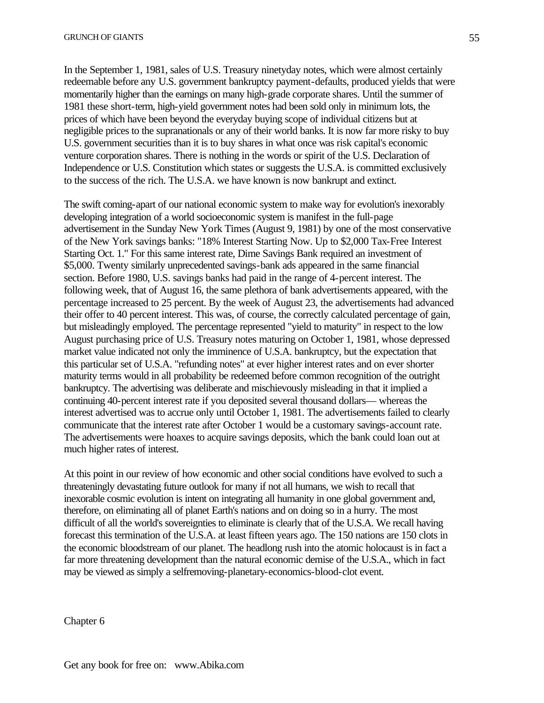In the September 1, 1981, sales of U.S. Treasury ninetyday notes, which were almost certainly redeemable before any U.S. government bankruptcy payment-defaults, produced yields that were momentarily higher than the earnings on many high-grade corporate shares. Until the summer of 1981 these short-term, high-yield government notes had been sold only in minimum lots, the prices of which have been beyond the everyday buying scope of individual citizens but at negligible prices to the supranationals or any of their world banks. It is now far more risky to buy U.S. government securities than it is to buy shares in what once was risk capital's economic venture corporation shares. There is nothing in the words or spirit of the U.S. Declaration of Independence or U.S. Constitution which states or suggests the U.S.A. is committed exclusively to the success of the rich. The U.S.A. we have known is now bankrupt and extinct.

The swift coming-apart of our national economic system to make way for evolution's inexorably developing integration of a world socioeconomic system is manifest in the full-page advertisement in the Sunday New York Times (August 9, 1981) by one of the most conservative of the New York savings banks: "18% Interest Starting Now. Up to \$2,000 Tax-Free Interest Starting Oct. 1." For this same interest rate, Dime Savings Bank required an investment of \$5,000. Twenty similarly unprecedented savings-bank ads appeared in the same financial section. Before 1980, U.S. savings banks had paid in the range of 4-percent interest. The following week, that of August 16, the same plethora of bank advertisements appeared, with the percentage increased to 25 percent. By the week of August 23, the advertisements had advanced their offer to 40 percent interest. This was, of course, the correctly calculated percentage of gain, but misleadingly employed. The percentage represented "yield to maturity" in respect to the low August purchasing price of U.S. Treasury notes maturing on October 1, 1981, whose depressed market value indicated not only the imminence of U.S.A. bankruptcy, but the expectation that this particular set of U.S.A. "refunding notes" at ever higher interest rates and on ever shorter maturity terms would in all probability be redeemed before common recognition of the outright bankruptcy. The advertising was deliberate and mischievously misleading in that it implied a continuing 40-percent interest rate if you deposited several thousand dollars— whereas the interest advertised was to accrue only until October 1, 1981. The advertisements failed to clearly communicate that the interest rate after October 1 would be a customary savings-account rate. The advertisements were hoaxes to acquire savings deposits, which the bank could loan out at much higher rates of interest.

At this point in our review of how economic and other social conditions have evolved to such a threateningly devastating future outlook for many if not all humans, we wish to recall that inexorable cosmic evolution is intent on integrating all humanity in one global government and, therefore, on eliminating all of planet Earth's nations and on doing so in a hurry. The most difficult of all the world's sovereignties to eliminate is clearly that of the U.S.A. We recall having forecast this termination of the U.S.A. at least fifteen years ago. The 150 nations are 150 clots in the economic bloodstream of our planet. The headlong rush into the atomic holocaust is in fact a far more threatening development than the natural economic demise of the U.S.A., which in fact may be viewed as simply a selfremoving-planetary-economics-blood-clot event.

Chapter 6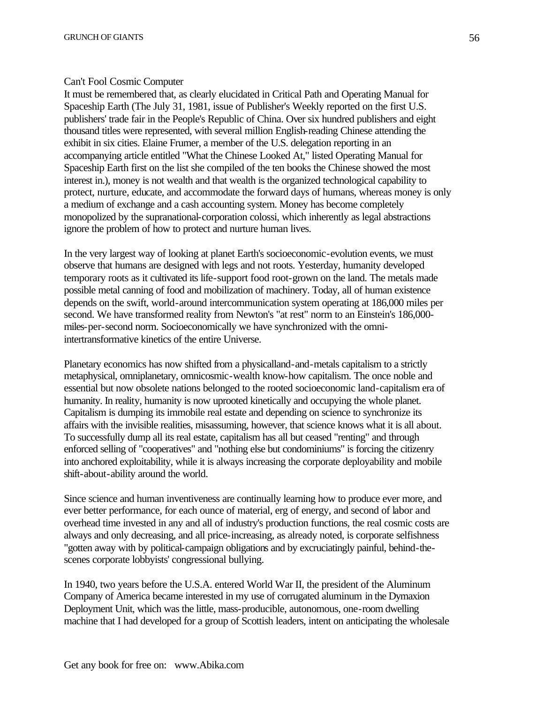#### Can't Fool Cosmic Computer

It must be remembered that, as clearly elucidated in Critical Path and Operating Manual for Spaceship Earth (The July 31, 1981, issue of Publisher's Weekly reported on the first U.S. publishers' trade fair in the People's Republic of China. Over six hundred publishers and eight thousand titles were represented, with several million English-reading Chinese attending the exhibit in six cities. Elaine Frumer, a member of the U.S. delegation reporting in an accompanying article entitled "What the Chinese Looked At," listed Operating Manual for Spaceship Earth first on the list she compiled of the ten books the Chinese showed the most interest in.), money is not wealth and that wealth is the organized technological capability to protect, nurture, educate, and accommodate the forward days of humans, whereas money is only a medium of exchange and a cash accounting system. Money has become completely monopolized by the supranational-corporation colossi, which inherently as legal abstractions ignore the problem of how to protect and nurture human lives.

In the very largest way of looking at planet Earth's socioeconomic-evolution events, we must observe that humans are designed with legs and not roots. Yesterday, humanity developed temporary roots as it cultivated its life-support food root-grown on the land. The metals made possible metal canning of food and mobilization of machinery. Today, all of human existence depends on the swift, world-around intercommunication system operating at 186,000 miles per second. We have transformed reality from Newton's "at rest" norm to an Einstein's 186,000 miles-per-second norm. Socioeconomically we have synchronized with the omniintertransformative kinetics of the entire Universe.

Planetary economics has now shifted from a physicalland-and-metals capitalism to a strictly metaphysical, omniplanetary, omnicosmic-wealth know-how capitalism. The once noble and essential but now obsolete nations belonged to the rooted socioeconomic land-capitalism era of humanity. In reality, humanity is now uprooted kinetically and occupying the whole planet. Capitalism is dumping its immobile real estate and depending on science to synchronize its affairs with the invisible realities, misassuming, however, that science knows what it is all about. To successfully dump all its real estate, capitalism has all but ceased "renting" and through enforced selling of "cooperatives" and "nothing else but condominiums" is forcing the citizenry into anchored exploitability, while it is always increasing the corporate deployability and mobile shift-about-ability around the world.

Since science and human inventiveness are continually learning how to produce ever more, and ever better performance, for each ounce of material, erg of energy, and second of labor and overhead time invested in any and all of industry's production functions, the real cosmic costs are always and only decreasing, and all price-increasing, as already noted, is corporate selfishness "gotten away with by political-campaign obligations and by excruciatingly painful, behind-thescenes corporate lobbyists' congressional bullying.

In 1940, two years before the U.S.A. entered World War II, the president of the Aluminum Company of America became interested in my use of corrugated aluminum in the Dymaxion Deployment Unit, which was the little, mass-producible, autonomous, one-room dwelling machine that I had developed for a group of Scottish leaders, intent on anticipating the wholesale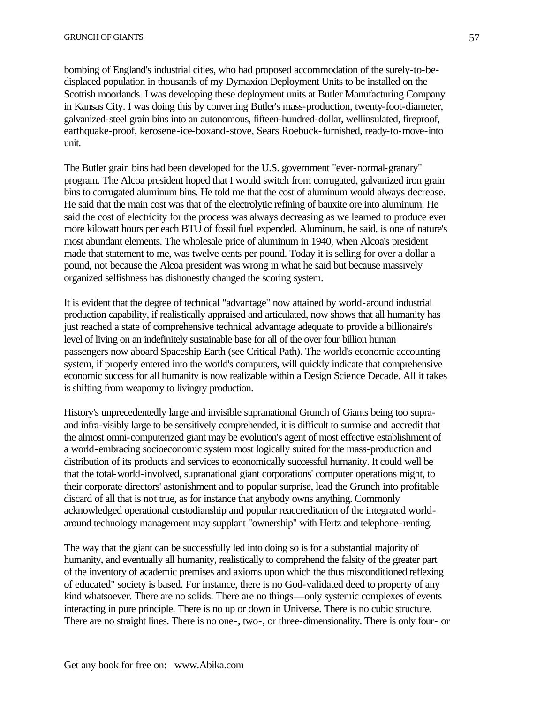bombing of England's industrial cities, who had proposed accommodation of the surely-to-bedisplaced population in thousands of my Dymaxion Deployment Units to be installed on the Scottish moorlands. I was developing these deployment units at Butler Manufacturing Company in Kansas City. I was doing this by converting Butler's mass-production, twenty-foot-diameter, galvanized-steel grain bins into an autonomous, fifteen-hundred-dollar, wellinsulated, fireproof, earthquake-proof, kerosene-ice-boxand-stove, Sears Roebuck-furnished, ready-to-move-into unit.

The Butler grain bins had been developed for the U.S. government "ever-normal-granary" program. The Alcoa president hoped that I would switch from corrugated, galvanized iron grain bins to corrugated aluminum bins. He told me that the cost of aluminum would always decrease. He said that the main cost was that of the electrolytic refining of bauxite ore into aluminum. He said the cost of electricity for the process was always decreasing as we learned to produce ever more kilowatt hours per each BTU of fossil fuel expended. Aluminum, he said, is one of nature's most abundant elements. The wholesale price of aluminum in 1940, when Alcoa's president made that statement to me, was twelve cents per pound. Today it is selling for over a dollar a pound, not because the Alcoa president was wrong in what he said but because massively organized selfishness has dishonestly changed the scoring system.

It is evident that the degree of technical "advantage" now attained by world-around industrial production capability, if realistically appraised and articulated, now shows that all humanity has just reached a state of comprehensive technical advantage adequate to provide a billionaire's level of living on an indefinitely sustainable base for all of the over four billion human passengers now aboard Spaceship Earth (see Critical Path). The world's economic accounting system, if properly entered into the world's computers, will quickly indicate that comprehensive economic success for all humanity is now realizable within a Design Science Decade. All it takes is shifting from weaponry to livingry production.

History's unprecedentedly large and invisible supranational Grunch of Giants being too supraand infra-visibly large to be sensitively comprehended, it is difficult to surmise and accredit that the almost omni-computerized giant may be evolution's agent of most effective establishment of a world-embracing socioeconomic system most logically suited for the mass-production and distribution of its products and services to economically successful humanity. It could well be that the total-world-involved, supranational giant corporations' computer operations might, to their corporate directors' astonishment and to popular surprise, lead the Grunch into profitable discard of all that is not true, as for instance that anybody owns anything. Commonly acknowledged operational custodianship and popular reaccreditation of the integrated worldaround technology management may supplant "ownership" with Hertz and telephone-renting.

The way that the giant can be successfully led into doing so is for a substantial majority of humanity, and eventually all humanity, realistically to comprehend the falsity of the greater part of the inventory of academic premises and axioms upon which the thus misconditioned reflexing of educated" society is based. For instance, there is no God-validated deed to property of any kind whatsoever. There are no solids. There are no things—only systemic complexes of events interacting in pure principle. There is no up or down in Universe. There is no cubic structure. There are no straight lines. There is no one-, two-, or three-dimensionality. There is only four- or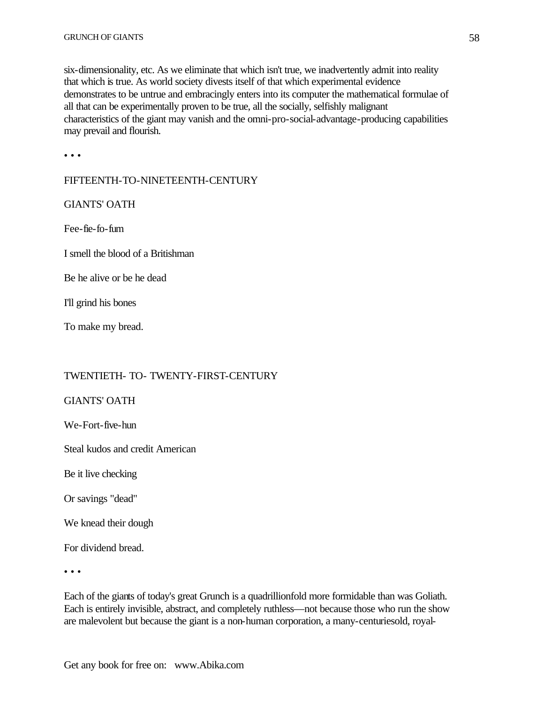six-dimensionality, etc. As we eliminate that which isn't true, we inadvertently admit into reality that which is true. As world society divests itself of that which experimental evidence demonstrates to be untrue and embracingly enters into its computer the mathematical formulae of all that can be experimentally proven to be true, all the socially, selfishly malignant characteristics of the giant may vanish and the omni-pro-social-advantage-producing capabilities may prevail and flourish.

• • •

FIFTEENTH-TO-NINETEENTH-CENTURY

GIANTS' OATH

Fee-fie-fo-fum

I smell the blood of a Britishman

Be he alive or be he dead

I'll grind his bones

To make my bread.

## TWENTIETH- TO- TWENTY-FIRST-CENTURY

### GIANTS' OATH

We-Fort-five-hun

Steal kudos and credit American

Be it live checking

Or savings "dead"

We knead their dough

For dividend bread.

• • •

Each of the giants of today's great Grunch is a quadrillionfold more formidable than was Goliath. Each is entirely invisible, abstract, and completely ruthless—not because those who run the show are malevolent but because the giant is a non-human corporation, a many-centuriesold, royal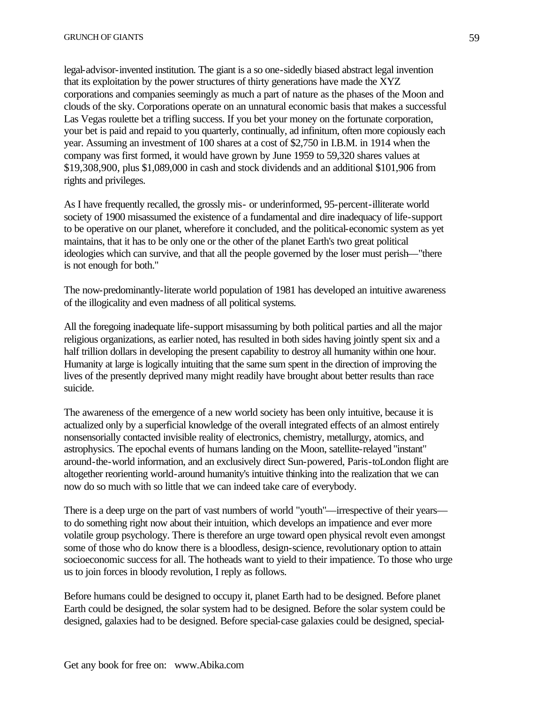legal-advisor-invented institution. The giant is a so one-sidedly biased abstract legal invention that its exploitation by the power structures of thirty generations have made the XYZ corporations and companies seemingly as much a part of nature as the phases of the Moon and clouds of the sky. Corporations operate on an unnatural economic basis that makes a successful Las Vegas roulette bet a trifling success. If you bet your money on the fortunate corporation, your bet is paid and repaid to you quarterly, continually, ad infinitum, often more copiously each year. Assuming an investment of 100 shares at a cost of \$2,750 in I.B.M. in 1914 when the company was first formed, it would have grown by June 1959 to 59,320 shares values at \$19,308,900, plus \$1,089,000 in cash and stock dividends and an additional \$101,906 from rights and privileges.

As I have frequently recalled, the grossly mis- or underinformed, 95-percent-illiterate world society of 1900 misassumed the existence of a fundamental and dire inadequacy of life-support to be operative on our planet, wherefore it concluded, and the political-economic system as yet maintains, that it has to be only one or the other of the planet Earth's two great political ideologies which can survive, and that all the people governed by the loser must perish—"there is not enough for both."

The now-predominantly-literate world population of 1981 has developed an intuitive awareness of the illogicality and even madness of all political systems.

All the foregoing inadequate life-support misassuming by both political parties and all the major religious organizations, as earlier noted, has resulted in both sides having jointly spent six and a half trillion dollars in developing the present capability to destroy all humanity within one hour. Humanity at large is logically intuiting that the same sum spent in the direction of improving the lives of the presently deprived many might readily have brought about better results than race suicide.

The awareness of the emergence of a new world society has been only intuitive, because it is actualized only by a superficial knowledge of the overall integrated effects of an almost entirely nonsensorially contacted invisible reality of electronics, chemistry, metallurgy, atomics, and astrophysics. The epochal events of humans landing on the Moon, satellite-relayed "instant" around-the-world information, and an exclusively direct Sun-powered, Paris-toLondon flight are altogether reorienting world-around humanity's intuitive thinking into the realization that we can now do so much with so little that we can indeed take care of everybody.

There is a deep urge on the part of vast numbers of world "youth"—irrespective of their years to do something right now about their intuition, which develops an impatience and ever more volatile group psychology. There is therefore an urge toward open physical revolt even amongst some of those who do know there is a bloodless, design-science, revolutionary option to attain socioeconomic success for all. The hotheads want to yield to their impatience. To those who urge us to join forces in bloody revolution, I reply as follows.

Before humans could be designed to occupy it, planet Earth had to be designed. Before planet Earth could be designed, the solar system had to be designed. Before the solar system could be designed, galaxies had to be designed. Before special-case galaxies could be designed, special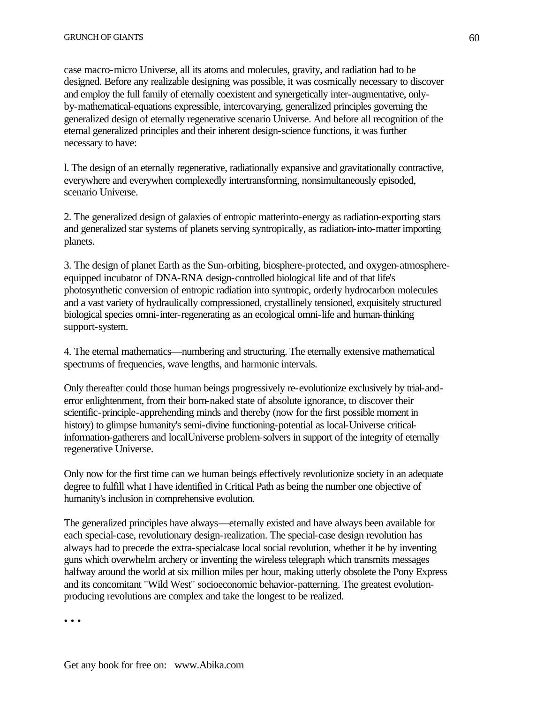case macro-micro Universe, all its atoms and molecules, gravity, and radiation had to be designed. Before any realizable designing was possible, it was cosmically necessary to discover and employ the full family of eternally coexistent and synergetically inter-augmentative, onlyby-mathematical-equations expressible, intercovarying, generalized principles governing the generalized design of eternally regenerative scenario Universe. And before all recognition of the eternal generalized principles and their inherent design-science functions, it was further necessary to have:

l. The design of an eternally regenerative, radiationally expansive and gravitationally contractive, everywhere and everywhen complexedly intertransforming, nonsimultaneously episoded, scenario Universe.

2. The generalized design of galaxies of entropic matterinto-energy as radiation-exporting stars and generalized star systems of planets serving syntropically, as radiation-into-matter importing planets.

3. The design of planet Earth as the Sun-orbiting, biosphere-protected, and oxygen-atmosphereequipped incubator of DNA-RNA design-controlled biological life and of that life's photosynthetic conversion of entropic radiation into syntropic, orderly hydrocarbon molecules and a vast variety of hydraulically compressioned, crystallinely tensioned, exquisitely structured biological species omni-inter-regenerating as an ecological omni-life and human-thinking support-system.

4. The eternal mathematics—numbering and structuring. The eternally extensive mathematical spectrums of frequencies, wave lengths, and harmonic intervals.

Only thereafter could those human beings progressively re-evolutionize exclusively by trial-anderror enlightenment, from their born-naked state of absolute ignorance, to discover their scientific-principle-apprehending minds and thereby (now for the first possible moment in history) to glimpse humanity's semi-divine functioning-potential as local-Universe criticalinformation-gatherers and localUniverse problem-solvers in support of the integrity of eternally regenerative Universe.

Only now for the first time can we human beings effectively revolutionize society in an adequate degree to fulfill what I have identified in Critical Path as being the number one objective of humanity's inclusion in comprehensive evolution.

The generalized principles have always—eternally existed and have always been available for each special-case, revolutionary design-realization. The special-case design revolution has always had to precede the extra-specialcase local social revolution, whether it be by inventing guns which overwhelm archery or inventing the wireless telegraph which transmits messages halfway around the world at six million miles per hour, making utterly obsolete the Pony Express and its concomitant "Wild West" socioeconomic behavior-patterning. The greatest evolutionproducing revolutions are complex and take the longest to be realized.

• • •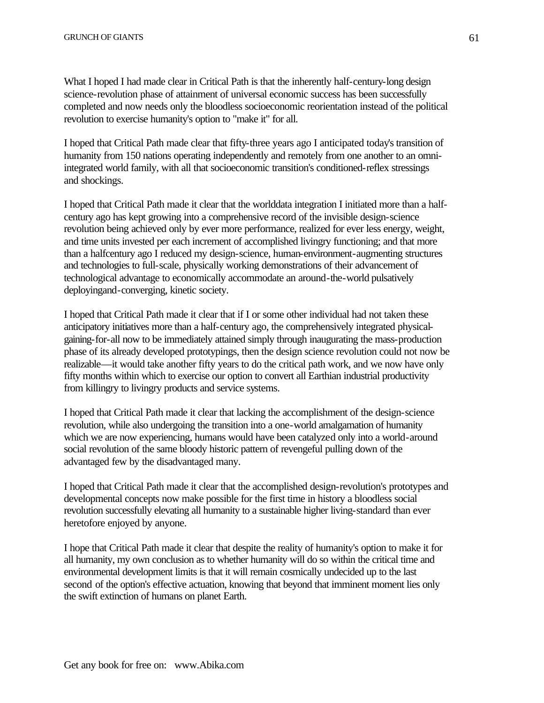What I hoped I had made clear in Critical Path is that the inherently half-century-long design science-revolution phase of attainment of universal economic success has been successfully completed and now needs only the bloodless socioeconomic reorientation instead of the political revolution to exercise humanity's option to "make it" for all.

I hoped that Critical Path made clear that fifty-three years ago I anticipated today's transition of humanity from 150 nations operating independently and remotely from one another to an omniintegrated world family, with all that socioeconomic transition's conditioned-reflex stressings and shockings.

I hoped that Critical Path made it clear that the worlddata integration I initiated more than a halfcentury ago has kept growing into a comprehensive record of the invisible design-science revolution being achieved only by ever more performance, realized for ever less energy, weight, and time units invested per each increment of accomplished livingry functioning; and that more than a halfcentury ago I reduced my design-science, human-environment-augmenting structures and technologies to full-scale, physically working demonstrations of their advancement of technological advantage to economically accommodate an around-the-world pulsatively deployingand-converging, kinetic society.

I hoped that Critical Path made it clear that if I or some other individual had not taken these anticipatory initiatives more than a half-century ago, the comprehensively integrated physicalgaining-for-all now to be immediately attained simply through inaugurating the mass-production phase of its already developed prototypings, then the design science revolution could not now be realizable—it would take another fifty years to do the critical path work, and we now have only fifty months within which to exercise our option to convert all Earthian industrial productivity from killingry to livingry products and service systems.

I hoped that Critical Path made it clear that lacking the accomplishment of the design-science revolution, while also undergoing the transition into a one-world amalgamation of humanity which we are now experiencing, humans would have been catalyzed only into a world-around social revolution of the same bloody historic pattern of revengeful pulling down of the advantaged few by the disadvantaged many.

I hoped that Critical Path made it clear that the accomplished design-revolution's prototypes and developmental concepts now make possible for the first time in history a bloodless social revolution successfully elevating all humanity to a sustainable higher living-standard than ever heretofore enjoyed by anyone.

I hope that Critical Path made it clear that despite the reality of humanity's option to make it for all humanity, my own conclusion as to whether humanity will do so within the critical time and environmental development limits is that it will remain cosmically undecided up to the last second of the option's effective actuation, knowing that beyond that imminent moment lies only the swift extinction of humans on planet Earth.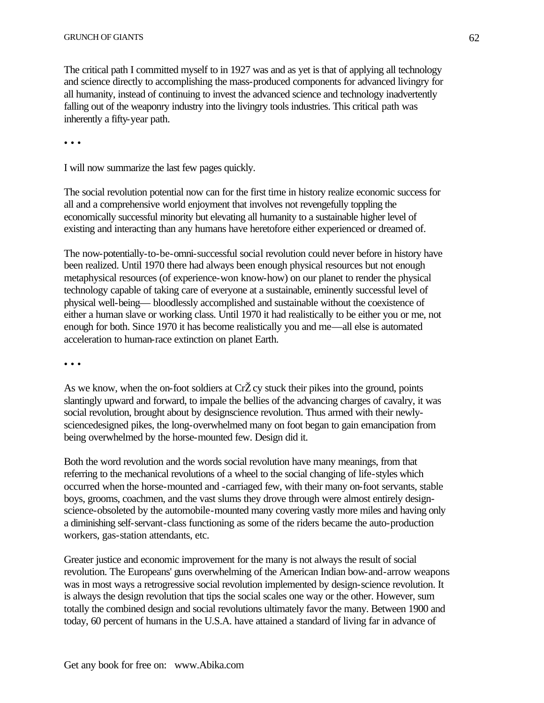The critical path I committed myself to in 1927 was and as yet is that of applying all technology and science directly to accomplishing the mass-produced components for advanced livingry for all humanity, instead of continuing to invest the advanced science and technology inadvertently falling out of the weaponry industry into the livingry tools industries. This critical path was inherently a fifty-year path.

• • •

I will now summarize the last few pages quickly.

The social revolution potential now can for the first time in history realize economic success for all and a comprehensive world enjoyment that involves not revengefully toppling the economically successful minority but elevating all humanity to a sustainable higher level of existing and interacting than any humans have heretofore either experienced or dreamed of.

The now-potentially-to-be-omni-successful social revolution could never before in history have been realized. Until 1970 there had always been enough physical resources but not enough metaphysical resources (of experience-won know-how) on our planet to render the physical technology capable of taking care of everyone at a sustainable, eminently successful level of physical well-being— bloodlessly accomplished and sustainable without the coexistence of either a human slave or working class. Until 1970 it had realistically to be either you or me, not enough for both. Since 1970 it has become realistically you and me—all else is automated acceleration to human-race extinction on planet Earth.

• • •

As we know, when the on-foot soldiers at Cr $\check{Z}$ cy stuck their pikes into the ground, points slantingly upward and forward, to impale the bellies of the advancing charges of cavalry, it was social revolution, brought about by designscience revolution. Thus armed with their newlysciencedesigned pikes, the long-overwhelmed many on foot began to gain emancipation from being overwhelmed by the horse-mounted few. Design did it.

Both the word revolution and the words social revolution have many meanings, from that referring to the mechanical revolutions of a wheel to the social changing of life-styles which occurred when the horse-mounted and -carriaged few, with their many on-foot servants, stable boys, grooms, coachmen, and the vast slums they drove through were almost entirely designscience-obsoleted by the automobile-mounted many covering vastly more miles and having only a diminishing self-servant-class functioning as some of the riders became the auto-production workers, gas-station attendants, etc.

Greater justice and economic improvement for the many is not always the result of social revolution. The Europeans' guns overwhelming of the American Indian bow-and-arrow weapons was in most ways a retrogressive social revolution implemented by design-science revolution. It is always the design revolution that tips the social scales one way or the other. However, sum totally the combined design and social revolutions ultimately favor the many. Between 1900 and today, 60 percent of humans in the U.S.A. have attained a standard of living far in advance of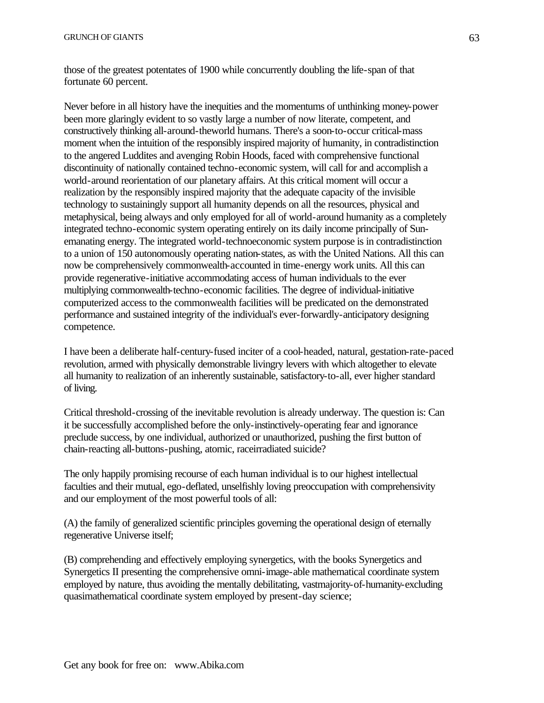those of the greatest potentates of 1900 while concurrently doubling the life-span of that fortunate 60 percent.

Never before in all history have the inequities and the momentums of unthinking money-power been more glaringly evident to so vastly large a number of now literate, competent, and constructively thinking all-around-theworld humans. There's a soon-to-occur critical-mass moment when the intuition of the responsibly inspired majority of humanity, in contradistinction to the angered Luddites and avenging Robin Hoods, faced with comprehensive functional discontinuity of nationally contained techno-economic system, will call for and accomplish a world-around reorientation of our planetary affairs. At this critical moment will occur a realization by the responsibly inspired majority that the adequate capacity of the invisible technology to sustainingly support all humanity depends on all the resources, physical and metaphysical, being always and only employed for all of world-around humanity as a completely integrated techno-economic system operating entirely on its daily income principally of Sunemanating energy. The integrated world-technoeconomic system purpose is in contradistinction to a union of 150 autonomously operating nation-states, as with the United Nations. All this can now be comprehensively commonwealth-accounted in time-energy work units. All this can provide regenerative-initiative accommodating access of human individuals to the ever multiplying commonwealth-techno-economic facilities. The degree of individual-initiative computerized access to the commonwealth facilities will be predicated on the demonstrated performance and sustained integrity of the individual's ever-forwardly-anticipatory designing competence.

I have been a deliberate half-century-fused inciter of a cool-headed, natural, gestation-rate-paced revolution, armed with physically demonstrable livingry levers with which altogether to elevate all humanity to realization of an inherently sustainable, satisfactory-to-all, ever higher standard of living.

Critical threshold-crossing of the inevitable revolution is already underway. The question is: Can it be successfully accomplished before the only-instinctively-operating fear and ignorance preclude success, by one individual, authorized or unauthorized, pushing the first button of chain-reacting all-buttons-pushing, atomic, raceirradiated suicide?

The only happily promising recourse of each human individual is to our highest intellectual faculties and their mutual, ego-deflated, unselfishly loving preoccupation with comprehensivity and our employment of the most powerful tools of all:

(A) the family of generalized scientific principles governing the operational design of eternally regenerative Universe itself;

(B) comprehending and effectively employing synergetics, with the books Synergetics and Synergetics II presenting the comprehensive omni-image-able mathematical coordinate system employed by nature, thus avoiding the mentally debilitating, vastmajority-of-humanity-excluding quasimathematical coordinate system employed by present-day science;